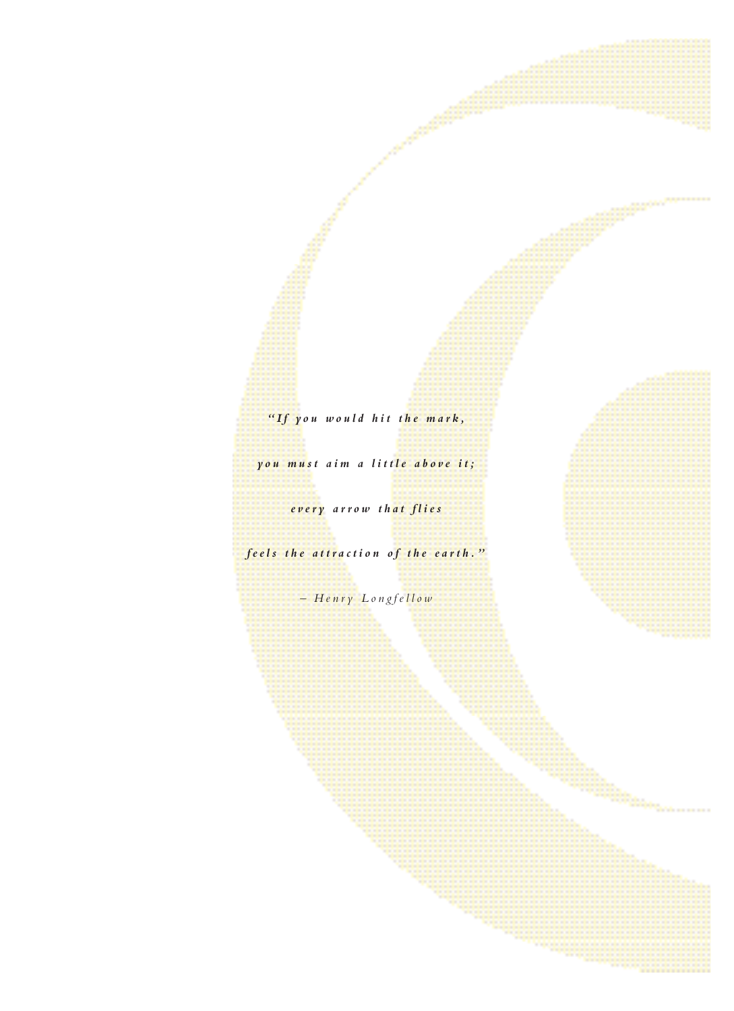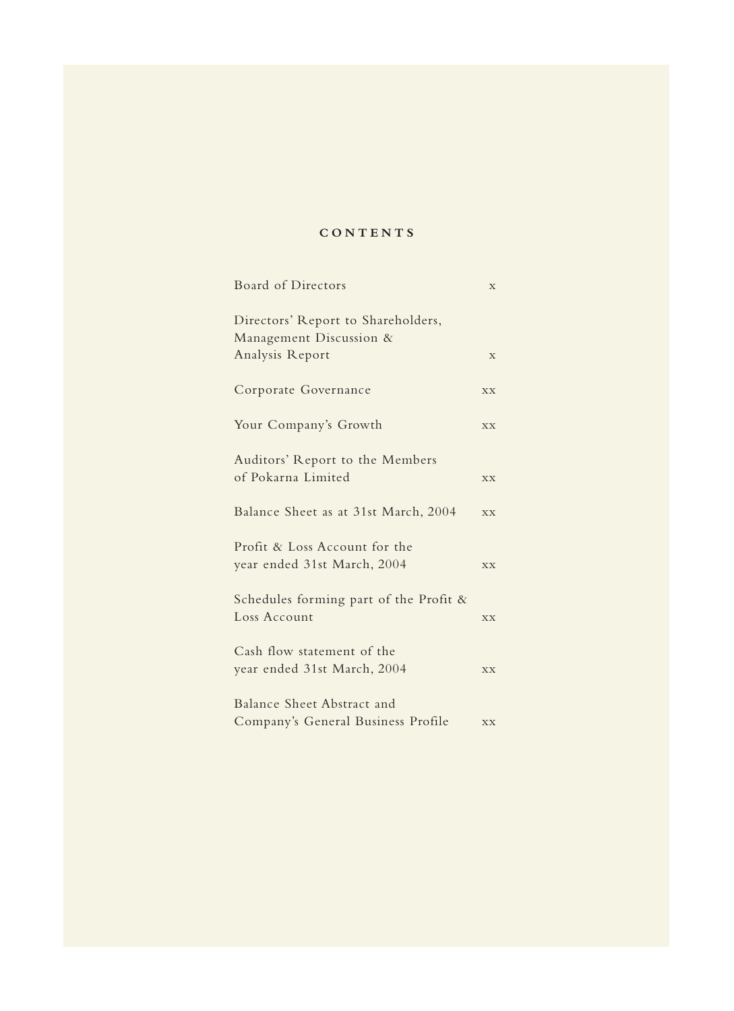# **CONTENTS**

| Board of Directors                                            | X           |
|---------------------------------------------------------------|-------------|
| Directors' Report to Shareholders,<br>Management Discussion & |             |
| Analysis Report                                               | $\mathbf X$ |
| Corporate Governance                                          | <b>XX</b>   |
| Your Company's Growth                                         | XX          |
| Auditors' Report to the Members<br>of Pokarna Limited         | <b>XX</b>   |
|                                                               |             |
| Balance Sheet as at 31st March, 2004                          | <b>XX</b>   |
| Profit & Loss Account for the<br>year ended 31st March, 2004  | <b>XX</b>   |
|                                                               |             |
| Schedules forming part of the Profit $\&$<br>Loss Account     | <b>XX</b>   |
| Cash flow statement of the                                    |             |
| year ended 31st March, 2004                                   | <b>XX</b>   |
| Balance Sheet Abstract and                                    |             |
| Company's General Business Profile                            | <b>XX</b>   |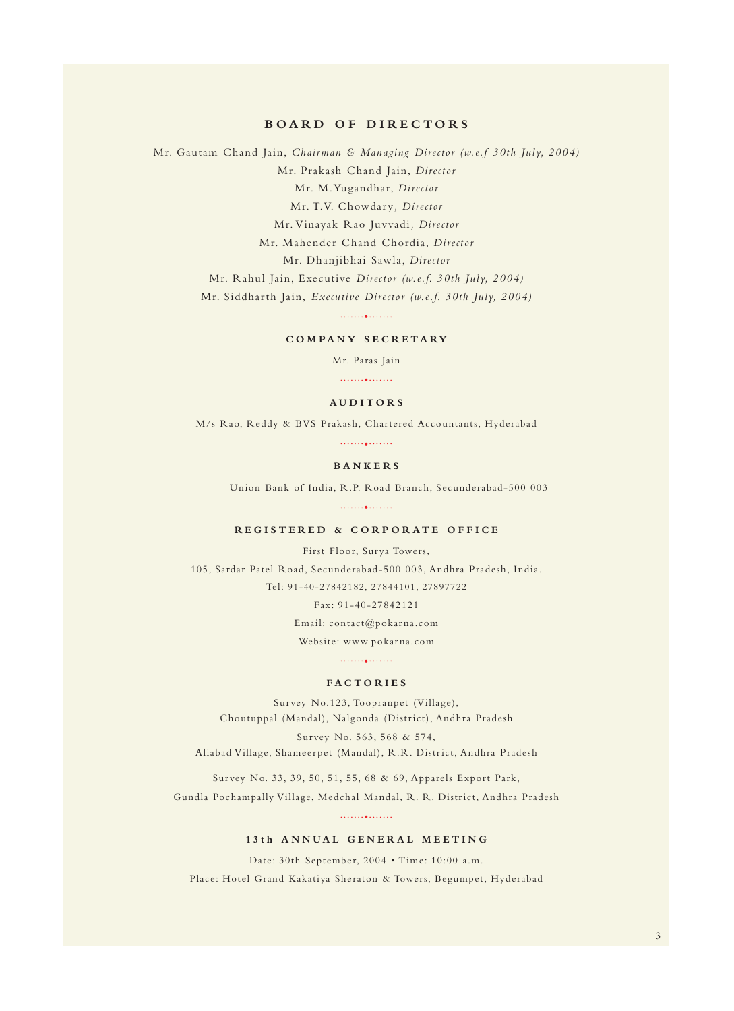## **BOARD OF DIRECTORS**

Mr. Gautam Chand Jain, *Chairman & Managing Director (w.e.f 30th July, 2004)* Mr. Prakash Chand Jain, *Director* Mr. M.Yugandhar, *Director* Mr. T.V. Chowdary*, Director*  Mr. Vinayak Rao Juvvadi*, Director*  Mr. Mahender Chand Chordia, *Director*  Mr. Dhanjibhai Sawla, *Director*  Mr. Rahul Jain, Executive *Director (w.e.f. 30th July, 2004)* Mr. Siddharth Jain, *Executive Director (w.e.f. 30th July, 2004)* .......•.......

# **COMPANY SECRETARY**

Mr. Paras Jain

.......•.......

#### **AUDITORS**

M/s Rao, Reddy & BVS Prakash, Chartered Accountants, Hyderabad

.......•.......

## **BANKERS**

Union Bank of India, R.P. Road Branch, Secunderabad-500 003

.......•.......

## **REGISTERED & CORPORATE OFFICE**

First Floor, Surya Towers, 105, Sardar Patel Road, Secunderabad-500 003, Andhra Pradesh, India. Tel: 91-40-27842182, 27844101, 27897722

Fax: 91-40-27842121

Email: contact@pokarna.com

Website: www.pokarna.com

.......•.......

#### **FACTORIES**

Survey No.123, Toopranpet (Village), Choutuppal (Mandal), Nalgonda (District), Andhra Pradesh Survey No. 563, 568 & 574,

Aliabad Village, Shameerpet (Mandal), R.R. District, Andhra Pradesh

Survey No. 33, 39, 50, 51, 55, 68 & 69, Apparels Export Park, Gundla Pochampally Village, Medchal Mandal, R. R. District, Andhra Pradesh

.......•.......

## **13th ANNUAL GENERAL MEETING**

Date: 30th September, 2004 • Time: 10:00 a.m.

Place: Hotel Grand Kakatiya Sheraton & Towers, Begumpet, Hyderabad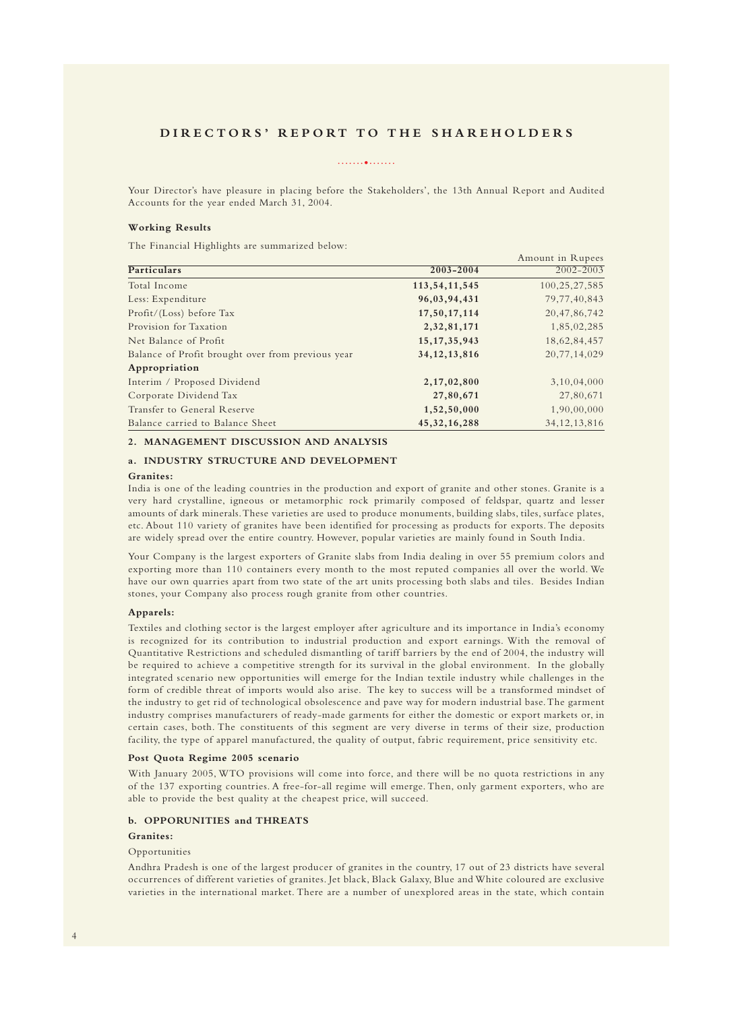# **DIRECTORS' REPORT TO THE SHAREHOLDERS**

#### .......•.......

Your Director's have pleasure in placing before the Stakeholders', the 13th Annual Report and Audited Accounts for the year ended March 31, 2004.

#### **Working Results**

The Financial Highlights are summarized below:

|                                                   |                  | Amount in Rupees |
|---------------------------------------------------|------------------|------------------|
| Particulars                                       | 2003-2004        | $2002 - 2003$    |
| Total Income                                      | 113, 54, 11, 545 | 100, 25, 27, 585 |
| Less: Expenditure                                 | 96,03,94,431     | 79, 77, 40, 843  |
| Profit/(Loss) before Tax                          | 17,50,17,114     | 20, 47, 86, 742  |
| Provision for Taxation                            | 2, 32, 81, 171   | 1,85,02,285      |
| Net Balance of Profit                             | 15, 17, 35, 943  | 18,62,84,457     |
| Balance of Profit brought over from previous year | 34, 12, 13, 816  | 20,77,14,029     |
| Appropriation                                     |                  |                  |
| Interim / Proposed Dividend                       | 2,17,02,800      | 3,10,04,000      |
| Corporate Dividend Tax                            | 27,80,671        | 27,80,671        |
| Transfer to General Reserve                       | 1,52,50,000      | 1,90,00,000      |
| Balance carried to Balance Sheet                  | 45, 32, 16, 288  | 34, 12, 13, 816  |

## **2. MANAGEMENT DISCUSSION AND ANALYSIS**

## **a. INDUSTRY STRUCTURE AND DEVELOPMENT**

## **Granites:**

India is one of the leading countries in the production and export of granite and other stones. Granite is a very hard crystalline, igneous or metamorphic rock primarily composed of feldspar, quartz and lesser amounts of dark minerals.These varieties are used to produce monuments, building slabs, tiles, surface plates, etc. About 110 variety of granites have been identified for processing as products for exports. The deposits are widely spread over the entire country. However, popular varieties are mainly found in South India.

Your Company is the largest exporters of Granite slabs from India dealing in over 55 premium colors and exporting more than 110 containers every month to the most reputed companies all over the world. We have our own quarries apart from two state of the art units processing both slabs and tiles. Besides Indian stones, your Company also process rough granite from other countries.

#### **Apparels:**

Textiles and clothing sector is the largest employer after agriculture and its importance in India's economy is recognized for its contribution to industrial production and export earnings. With the removal of Quantitative Restrictions and scheduled dismantling of tariff barriers by the end of 2004, the industry will be required to achieve a competitive strength for its survival in the global environment. In the globally integrated scenario new opportunities will emerge for the Indian textile industry while challenges in the form of credible threat of imports would also arise. The key to success will be a transformed mindset of the industry to get rid of technological obsolescence and pave way for modern industrial base.The garment industry comprises manufacturers of ready-made garments for either the domestic or export markets or, in certain cases, both. The constituents of this segment are very diverse in terms of their size, production facility, the type of apparel manufactured, the quality of output, fabric requirement, price sensitivity etc.

#### **Post Quota Regime 2005 scenario**

With January 2005, WTO provisions will come into force, and there will be no quota restrictions in any of the 137 exporting countries. A free-for-all regime will emerge. Then, only garment exporters, who are able to provide the best quality at the cheapest price, will succeed.

#### **b. OPPORUNITIES and THREATS**

#### **Granites:**

#### Opportunities

Andhra Pradesh is one of the largest producer of granites in the country, 17 out of 23 districts have several occurrences of different varieties of granites. Jet black, Black Galaxy, Blue and White coloured are exclusive varieties in the international market. There are a number of unexplored areas in the state, which contain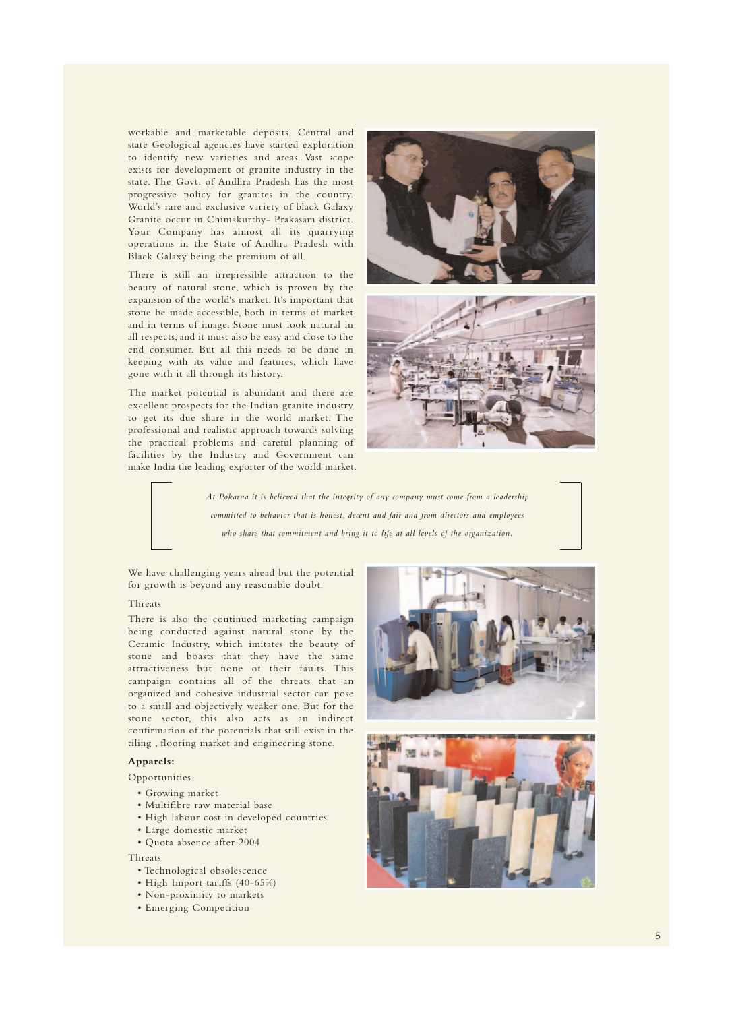workable and marketable deposits, Central and state Geological agencies have started exploration to identify new varieties and areas. Vast scope exists for development of granite industry in the state. The Govt. of Andhra Pradesh has the most progressive policy for granites in the country. World's rare and exclusive variety of black Galaxy Granite occur in Chimakurthy- Prakasam district. Your Company has almost all its quarrying operations in the State of Andhra Pradesh with Black Galaxy being the premium of all.

There is still an irrepressible attraction to the beauty of natural stone, which is proven by the expansion of the world's market. It's important that stone be made accessible, both in terms of market and in terms of image. Stone must look natural in all respects, and it must also be easy and close to the end consumer. But all this needs to be done in keeping with its value and features, which have gone with it all through its history.

The market potential is abundant and there are excellent prospects for the Indian granite industry to get its due share in the world market. The professional and realistic approach towards solving the practical problems and careful planning of facilities by the Industry and Government can make India the leading exporter of the world market.





*At Pokarna it is believed that the integrity of any company must come from a leadership committed to behavior that is honest, decent and fair and from directors and employees who share that commitment and bring it to life at all levels of the organization.*

We have challenging years ahead but the potential for growth is beyond any reasonable doubt.

#### Threats

There is also the continued marketing campaign being conducted against natural stone by the Ceramic Industry, which imitates the beauty of stone and boasts that they have the same attractiveness but none of their faults. This campaign contains all of the threats that an organized and cohesive industrial sector can pose to a small and objectively weaker one. But for the stone sector, this also acts as an indirect confirmation of the potentials that still exist in the tiling , flooring market and engineering stone.

## **Apparels:**

Opportunities

- Growing market
- Multifibre raw material base
- High labour cost in developed countries
- Large domestic market
- Quota absence after 2004

#### Threats

- Technological obsolescence
- High Import tariffs (40-65%)
- Non-proximity to markets
- Emerging Competition



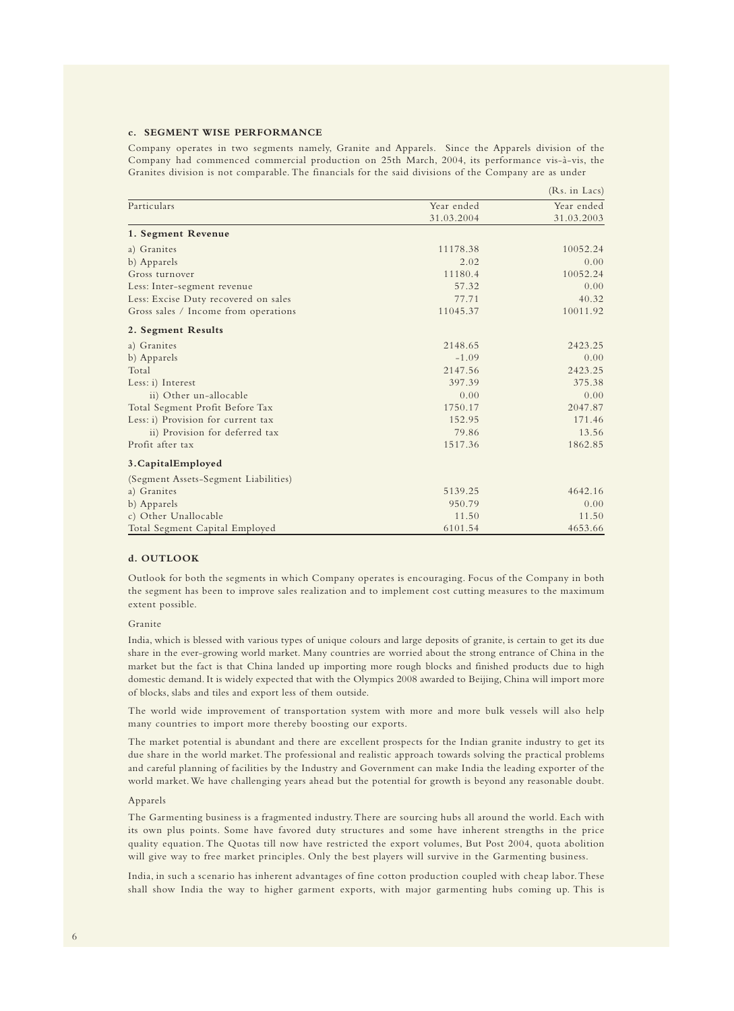## **c. SEGMENT WISE PERFORMANCE**

Company operates in two segments namely, Granite and Apparels. Since the Apparels division of the Company had commenced commercial production on 25th March, 2004, its performance vis-à-vis, the Granites division is not comparable. The financials for the said divisions of the Company are as under

|                                      |            | (Rs. in Lacs) |
|--------------------------------------|------------|---------------|
| Particulars                          | Year ended | Year ended    |
|                                      | 31.03.2004 | 31.03.2003    |
| 1. Segment Revenue                   |            |               |
| a) Granites                          | 11178.38   | 10052.24      |
| b) Apparels                          | 2.02       | 0.00          |
| Gross turnover                       | 11180.4    | 10052.24      |
| Less: Inter-segment revenue          | 57.32      | 0.00          |
| Less: Excise Duty recovered on sales | 77.71      | 40.32         |
| Gross sales / Income from operations | 11045.37   | 10011.92      |
| 2. Segment Results                   |            |               |
| a) Granites                          | 2148.65    | 2423.25       |
| b) Apparels                          | $-1.09$    | 0.00          |
| Total                                | 2147.56    | 2423.25       |
| Less: i) Interest                    | 397.39     | 375.38        |
| ii) Other un-allocable               | 0.00       | 0.00          |
| Total Segment Profit Before Tax      | 1750.17    | 2047.87       |
| Less: i) Provision for current tax   | 152.95     | 171.46        |
| ii) Provision for deferred tax       | 79.86      | 13.56         |
| Profit after tax                     | 1517.36    | 1862.85       |
| 3. Capital Employed                  |            |               |
| (Segment Assets-Segment Liabilities) |            |               |
| a) Granites                          | 5139.25    | 4642.16       |
| b) Apparels                          | 950.79     | 0.00          |
| c) Other Unallocable                 | 11.50      | 11.50         |
| Total Segment Capital Employed       | 6101.54    | 4653.66       |

#### **d. OUTLOOK**

Outlook for both the segments in which Company operates is encouraging. Focus of the Company in both the segment has been to improve sales realization and to implement cost cutting measures to the maximum extent possible.

#### Granite

India, which is blessed with various types of unique colours and large deposits of granite, is certain to get its due share in the ever-growing world market. Many countries are worried about the strong entrance of China in the market but the fact is that China landed up importing more rough blocks and finished products due to high domestic demand. It is widely expected that with the Olympics 2008 awarded to Beijing, China will import more of blocks, slabs and tiles and export less of them outside.

The world wide improvement of transportation system with more and more bulk vessels will also help many countries to import more thereby boosting our exports.

The market potential is abundant and there are excellent prospects for the Indian granite industry to get its due share in the world market.The professional and realistic approach towards solving the practical problems and careful planning of facilities by the Industry and Government can make India the leading exporter of the world market. We have challenging years ahead but the potential for growth is beyond any reasonable doubt.

#### Apparels

The Garmenting business is a fragmented industry.There are sourcing hubs all around the world. Each with its own plus points. Some have favored duty structures and some have inherent strengths in the price quality equation. The Quotas till now have restricted the export volumes, But Post 2004, quota abolition will give way to free market principles. Only the best players will survive in the Garmenting business.

India, in such a scenario has inherent advantages of fine cotton production coupled with cheap labor.These shall show India the way to higher garment exports, with major garmenting hubs coming up. This is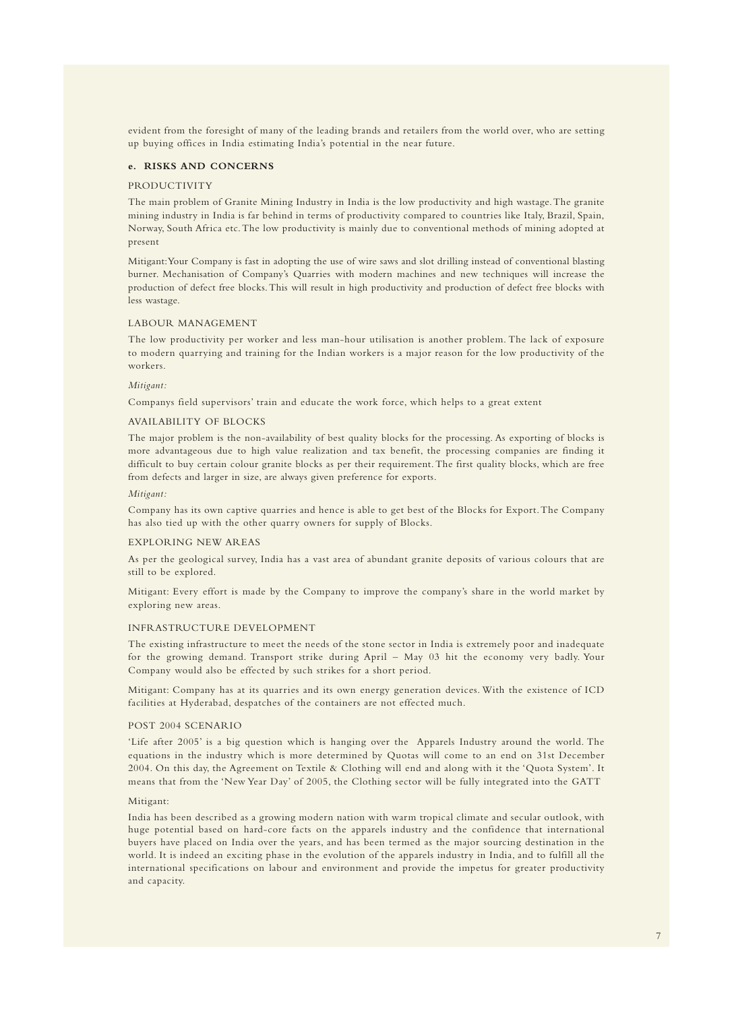evident from the foresight of many of the leading brands and retailers from the world over, who are setting up buying offices in India estimating India's potential in the near future.

#### **e. RISKS AND CONCERNS**

#### PRODUCTIVITY

The main problem of Granite Mining Industry in India is the low productivity and high wastage.The granite mining industry in India is far behind in terms of productivity compared to countries like Italy, Brazil, Spain, Norway, South Africa etc. The low productivity is mainly due to conventional methods of mining adopted at present

Mitigant:Your Company is fast in adopting the use of wire saws and slot drilling instead of conventional blasting burner. Mechanisation of Company's Quarries with modern machines and new techniques will increase the production of defect free blocks. This will result in high productivity and production of defect free blocks with less wastage.

#### LABOUR MANAGEMENT

The low productivity per worker and less man-hour utilisation is another problem. The lack of exposure to modern quarrying and training for the Indian workers is a major reason for the low productivity of the workers.

#### *Mitigant:*

Companys field supervisors' train and educate the work force, which helps to a great extent

#### AVAILABILITY OF BLOCKS

The major problem is the non-availability of best quality blocks for the processing. As exporting of blocks is more advantageous due to high value realization and tax benefit, the processing companies are finding it difficult to buy certain colour granite blocks as per their requirement.The first quality blocks, which are free from defects and larger in size, are always given preference for exports.

#### *Mitigant:*

Company has its own captive quarries and hence is able to get best of the Blocks for Export.The Company has also tied up with the other quarry owners for supply of Blocks.

#### EXPLORING NEW AREAS

As per the geological survey, India has a vast area of abundant granite deposits of various colours that are still to be explored.

Mitigant: Every effort is made by the Company to improve the company's share in the world market by exploring new areas.

#### INFRASTRUCTURE DEVELOPMENT

The existing infrastructure to meet the needs of the stone sector in India is extremely poor and inadequate for the growing demand. Transport strike during April – May 03 hit the economy very badly. Your Company would also be effected by such strikes for a short period.

Mitigant: Company has at its quarries and its own energy generation devices. With the existence of ICD facilities at Hyderabad, despatches of the containers are not effected much.

#### POST 2004 SCENARIO

'Life after 2005' is a big question which is hanging over the Apparels Industry around the world. The equations in the industry which is more determined by Quotas will come to an end on 31st December 2004. On this day, the Agreement on Textile & Clothing will end and along with it the 'Quota System'. It means that from the 'New Year Day' of 2005, the Clothing sector will be fully integrated into the GATT

#### Mitigant:

India has been described as a growing modern nation with warm tropical climate and secular outlook, with huge potential based on hard-core facts on the apparels industry and the confidence that international buyers have placed on India over the years, and has been termed as the major sourcing destination in the world. It is indeed an exciting phase in the evolution of the apparels industry in India, and to fulfill all the international specifications on labour and environment and provide the impetus for greater productivity and capacity.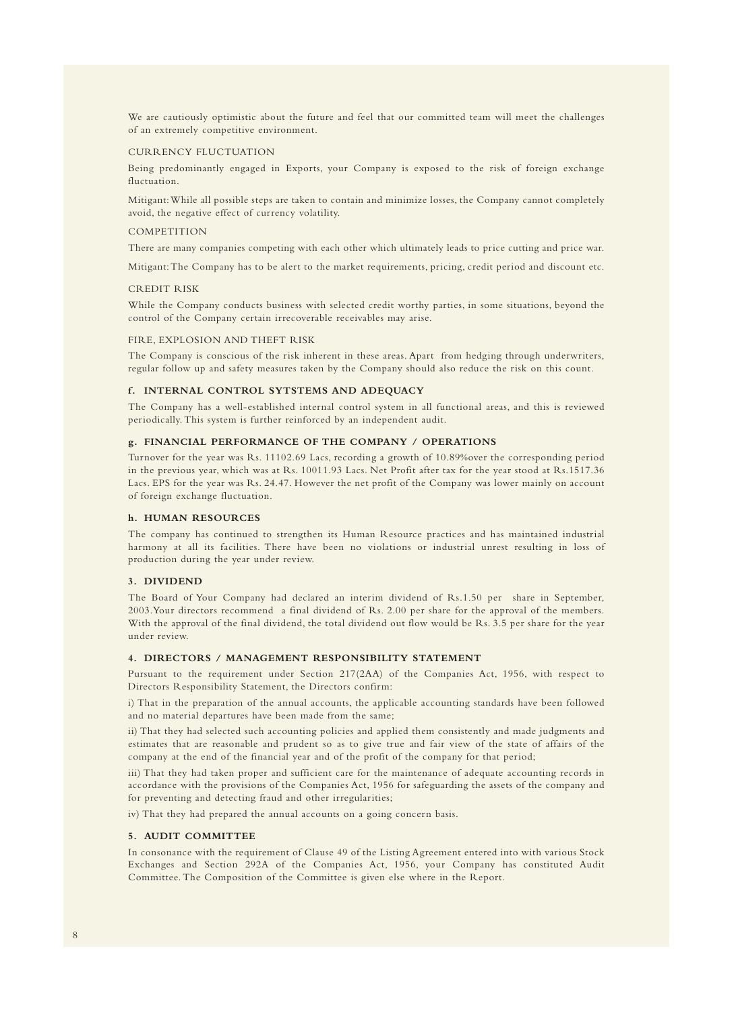We are cautiously optimistic about the future and feel that our committed team will meet the challenges of an extremely competitive environment.

#### CURRENCY FLUCTUATION

Being predominantly engaged in Exports, your Company is exposed to the risk of foreign exchange fluctuation.

Mitigant:While all possible steps are taken to contain and minimize losses, the Company cannot completely avoid, the negative effect of currency volatility.

#### COMPETITION

There are many companies competing with each other which ultimately leads to price cutting and price war.

Mitigant:The Company has to be alert to the market requirements, pricing, credit period and discount etc.

#### CREDIT RISK

While the Company conducts business with selected credit worthy parties, in some situations, beyond the control of the Company certain irrecoverable receivables may arise.

#### FIRE, EXPLOSION AND THEFT RISK

The Company is conscious of the risk inherent in these areas. Apart from hedging through underwriters, regular follow up and safety measures taken by the Company should also reduce the risk on this count.

#### **f. INTERNAL CONTROL SYTSTEMS AND ADEQUACY**

The Company has a well-established internal control system in all functional areas, and this is reviewed periodically. This system is further reinforced by an independent audit.

#### **g. FINANCIAL PERFORMANCE OF THE COMPANY / OPERATIONS**

Turnover for the year was Rs. 11102.69 Lacs, recording a growth of 10.89%over the corresponding period in the previous year, which was at Rs. 10011.93 Lacs. Net Profit after tax for the year stood at Rs.1517.36 Lacs. EPS for the year was Rs. 24.47. However the net profit of the Company was lower mainly on account of foreign exchange fluctuation.

#### **h. HUMAN RESOURCES**

The company has continued to strengthen its Human Resource practices and has maintained industrial harmony at all its facilities. There have been no violations or industrial unrest resulting in loss of production during the year under review.

#### **3. DIVIDEND**

The Board of Your Company had declared an interim dividend of Rs.1.50 per share in September, 2003.Your directors recommend a final dividend of Rs. 2.00 per share for the approval of the members. With the approval of the final dividend, the total dividend out flow would be Rs. 3.5 per share for the year under review.

#### **4. DIRECTORS / MANAGEMENT RESPONSIBILITY STATEMENT**

Pursuant to the requirement under Section 217(2AA) of the Companies Act, 1956, with respect to Directors Responsibility Statement, the Directors confirm:

i) That in the preparation of the annual accounts, the applicable accounting standards have been followed and no material departures have been made from the same;

ii) That they had selected such accounting policies and applied them consistently and made judgments and estimates that are reasonable and prudent so as to give true and fair view of the state of affairs of the company at the end of the financial year and of the profit of the company for that period;

iii) That they had taken proper and sufficient care for the maintenance of adequate accounting records in accordance with the provisions of the Companies Act, 1956 for safeguarding the assets of the company and for preventing and detecting fraud and other irregularities;

iv) That they had prepared the annual accounts on a going concern basis.

#### **5. AUDIT COMMITTEE**

In consonance with the requirement of Clause 49 of the Listing Agreement entered into with various Stock Exchanges and Section 292A of the Companies Act, 1956, your Company has constituted Audit Committee. The Composition of the Committee is given else where in the Report.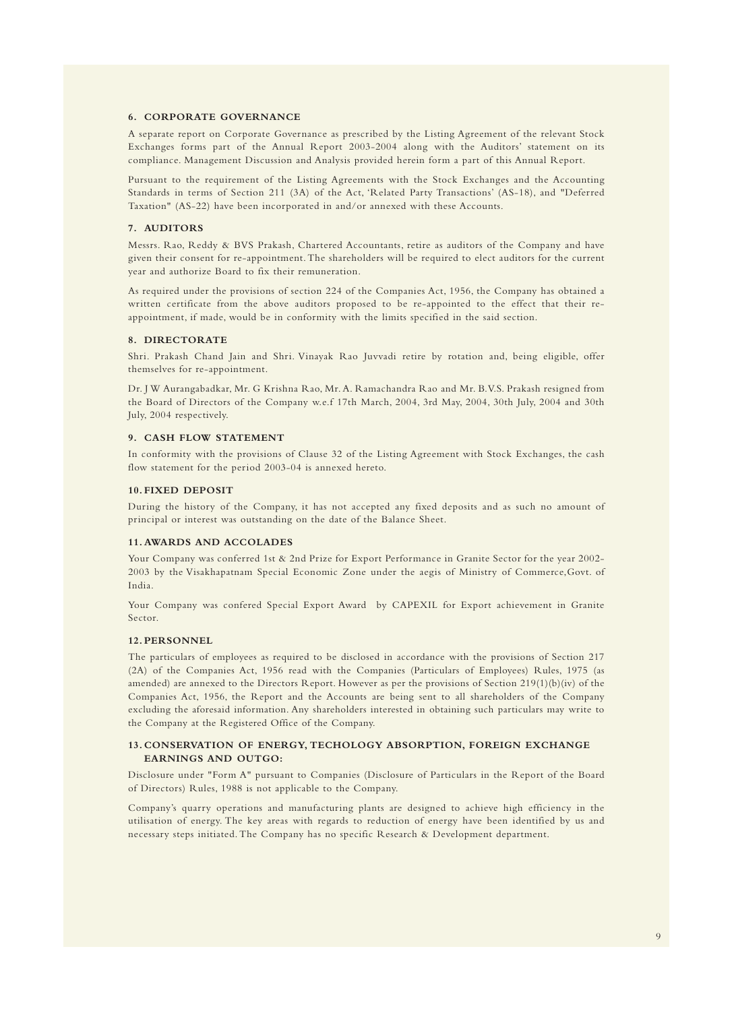#### **6. CORPORATE GOVERNANCE**

A separate report on Corporate Governance as prescribed by the Listing Agreement of the relevant Stock Exchanges forms part of the Annual Report 2003-2004 along with the Auditors' statement on its compliance. Management Discussion and Analysis provided herein form a part of this Annual Report.

Pursuant to the requirement of the Listing Agreements with the Stock Exchanges and the Accounting Standards in terms of Section 211 (3A) of the Act, 'Related Party Transactions' (AS-18), and "Deferred Taxation" (AS-22) have been incorporated in and/or annexed with these Accounts.

#### **7. AUDITORS**

Messrs. Rao, Reddy & BVS Prakash, Chartered Accountants, retire as auditors of the Company and have given their consent for re-appointment. The shareholders will be required to elect auditors for the current year and authorize Board to fix their remuneration.

As required under the provisions of section 224 of the Companies Act, 1956, the Company has obtained a written certificate from the above auditors proposed to be re-appointed to the effect that their reappointment, if made, would be in conformity with the limits specified in the said section.

#### **8. DIRECTORATE**

Shri. Prakash Chand Jain and Shri. Vinayak Rao Juvvadi retire by rotation and, being eligible, offer themselves for re-appointment.

Dr. J W Aurangabadkar, Mr. G Krishna Rao, Mr. A. Ramachandra Rao and Mr. B.V.S. Prakash resigned from the Board of Directors of the Company w.e.f 17th March, 2004, 3rd May, 2004, 30th July, 2004 and 30th July, 2004 respectively.

#### **9. CASH FLOW STATEMENT**

In conformity with the provisions of Clause 32 of the Listing Agreement with Stock Exchanges, the cash flow statement for the period 2003-04 is annexed hereto.

#### **10.FIXED DEPOSIT**

During the history of the Company, it has not accepted any fixed deposits and as such no amount of principal or interest was outstanding on the date of the Balance Sheet.

#### **11.AWARDS AND ACCOLADES**

Your Company was conferred 1st & 2nd Prize for Export Performance in Granite Sector for the year 2002- 2003 by the Visakhapatnam Special Economic Zone under the aegis of Ministry of Commerce,Govt. of India.

Your Company was confered Special Export Award by CAPEXIL for Export achievement in Granite Sector.

#### **12.PERSONNEL**

The particulars of employees as required to be disclosed in accordance with the provisions of Section 217 (2A) of the Companies Act, 1956 read with the Companies (Particulars of Employees) Rules, 1975 (as amended) are annexed to the Directors Report. However as per the provisions of Section 219(1)(b)(iv) of the Companies Act, 1956, the Report and the Accounts are being sent to all shareholders of the Company excluding the aforesaid information. Any shareholders interested in obtaining such particulars may write to the Company at the Registered Office of the Company.

#### **13.CONSERVATION OF ENERGY, TECHOLOGY ABSORPTION, FOREIGN EXCHANGE EARNINGS AND OUTGO:**

Disclosure under "Form A" pursuant to Companies (Disclosure of Particulars in the Report of the Board of Directors) Rules, 1988 is not applicable to the Company.

Company's quarry operations and manufacturing plants are designed to achieve high efficiency in the utilisation of energy. The key areas with regards to reduction of energy have been identified by us and necessary steps initiated. The Company has no specific Research & Development department.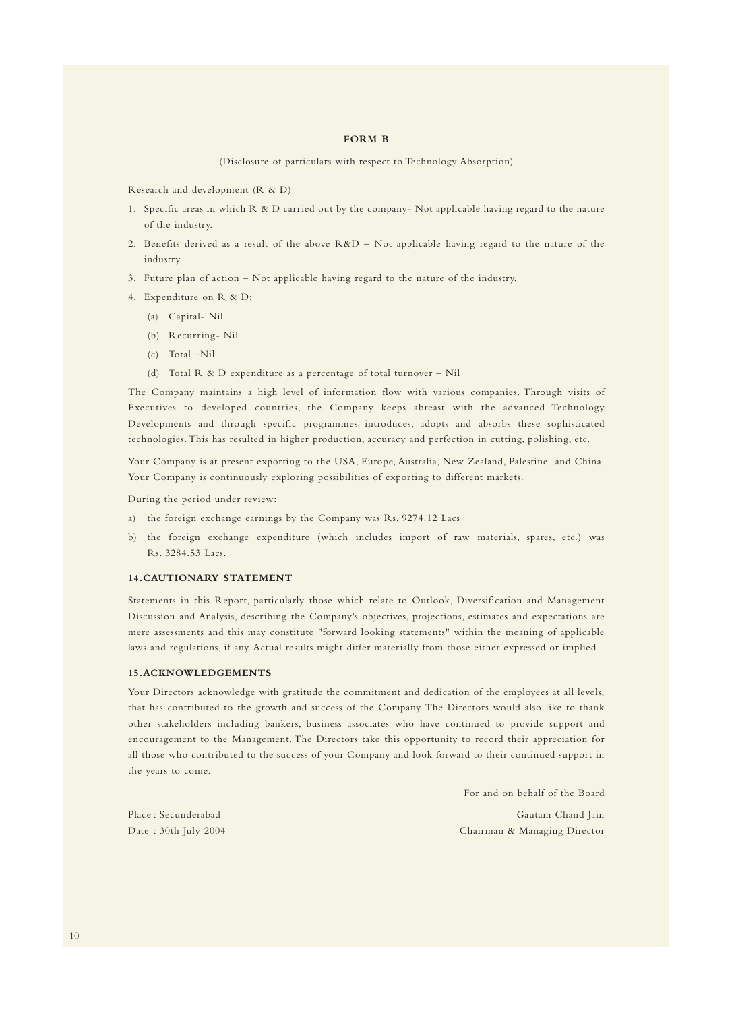#### **FORM B**

(Disclosure of particulars with respect to Technology Absorption)

Research and development (R & D)

- 1. Specific areas in which R & D carried out by the company- Not applicable having regard to the nature of the industry.
- 2. Benefits derived as a result of the above R&D Not applicable having regard to the nature of the industry.
- 3. Future plan of action Not applicable having regard to the nature of the industry.
- 4. Expenditure on R & D:
	- (a) Capital- Nil
	- (b) Recurring- Nil
	- (c) Total –Nil
	- (d) Total R & D expenditure as a percentage of total turnover Nil

The Company maintains a high level of information flow with various companies. Through visits of Executives to developed countries, the Company keeps abreast with the advanced Technology Developments and through specific programmes introduces, adopts and absorbs these sophisticated technologies. This has resulted in higher production, accuracy and perfection in cutting, polishing, etc.

Your Company is at present exporting to the USA, Europe, Australia, New Zealand, Palestine and China. Your Company is continuously exploring possibilities of exporting to different markets.

During the period under review:

- a) the foreign exchange earnings by the Company was Rs. 9274.12 Lacs
- b) the foreign exchange expenditure (which includes import of raw materials, spares, etc.) was Rs. 3284.53 Lacs.

#### **14.CAUTIONARY STATEMENT**

Statements in this Report, particularly those which relate to Outlook, Diversification and Management Discussion and Analysis, describing the Company's objectives, projections, estimates and expectations are mere assessments and this may constitute "forward looking statements" within the meaning of applicable laws and regulations, if any. Actual results might differ materially from those either expressed or implied

#### **15.ACKNOWLEDGEMENTS**

Your Directors acknowledge with gratitude the commitment and dedication of the employees at all levels, that has contributed to the growth and success of the Company. The Directors would also like to thank other stakeholders including bankers, business associates who have continued to provide support and encouragement to the Management. The Directors take this opportunity to record their appreciation for all those who contributed to the success of your Company and look forward to their continued support in the years to come.

For and on behalf of the Board

Place : Secunderabad Gautam Chand Jain Date : 30th July 2004 Chairman & Managing Director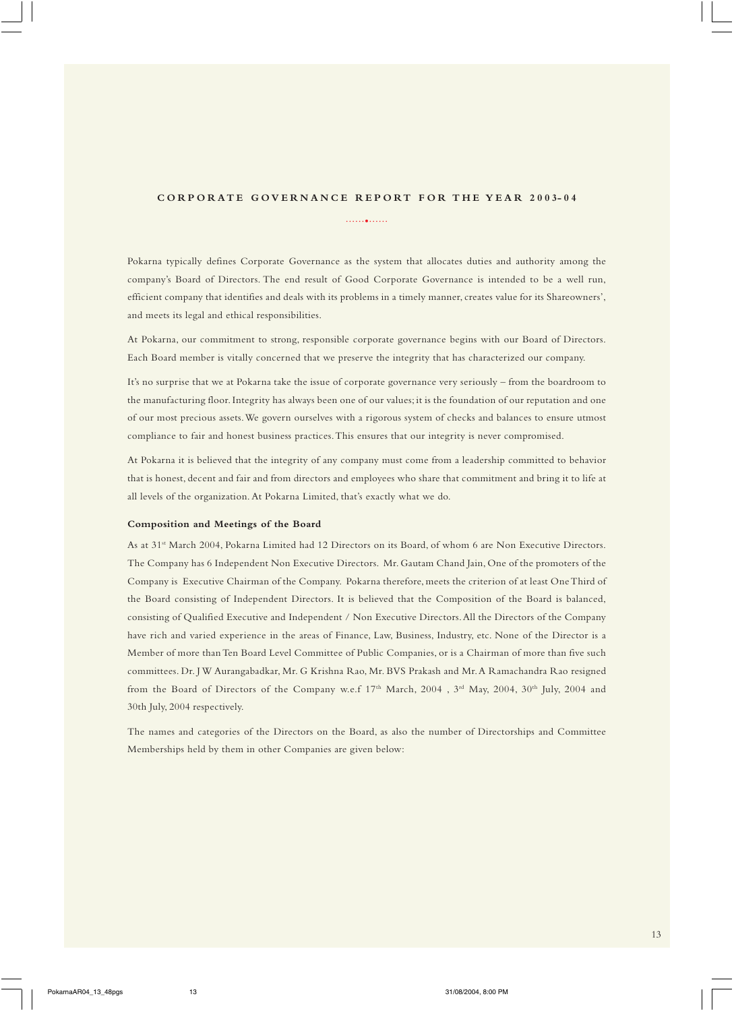# **CORPORATE GOVERNANCE REPORT FOR THE YEAR 2003-04** ......•......

Pokarna typically defines Corporate Governance as the system that allocates duties and authority among the company's Board of Directors. The end result of Good Corporate Governance is intended to be a well run, efficient company that identifies and deals with its problems in a timely manner, creates value for its Shareowners', and meets its legal and ethical responsibilities.

At Pokarna, our commitment to strong, responsible corporate governance begins with our Board of Directors. Each Board member is vitally concerned that we preserve the integrity that has characterized our company.

It's no surprise that we at Pokarna take the issue of corporate governance very seriously – from the boardroom to the manufacturing floor. Integrity has always been one of our values; it is the foundation of our reputation and one of our most precious assets. We govern ourselves with a rigorous system of checks and balances to ensure utmost compliance to fair and honest business practices. This ensures that our integrity is never compromised.

At Pokarna it is believed that the integrity of any company must come from a leadership committed to behavior that is honest, decent and fair and from directors and employees who share that commitment and bring it to life at all levels of the organization. At Pokarna Limited, that's exactly what we do.

#### **Composition and Meetings of the Board**

As at 31st March 2004, Pokarna Limited had 12 Directors on its Board, of whom 6 are Non Executive Directors. The Company has 6 Independent Non Executive Directors. Mr. Gautam Chand Jain, One of the promoters of the Company is Executive Chairman of the Company. Pokarna therefore, meets the criterion of at least One Third of the Board consisting of Independent Directors. It is believed that the Composition of the Board is balanced, consisting of Qualified Executive and Independent / Non Executive Directors. All the Directors of the Company have rich and varied experience in the areas of Finance, Law, Business, Industry, etc. None of the Director is a Member of more than Ten Board Level Committee of Public Companies, or is a Chairman of more than five such committees. Dr. J W Aurangabadkar, Mr. G Krishna Rao, Mr. BVS Prakash and Mr. A Ramachandra Rao resigned from the Board of Directors of the Company w.e.f 17<sup>th</sup> March, 2004 , 3<sup>rd</sup> May, 2004, 30<sup>th</sup> July, 2004 and 30th July, 2004 respectively.

The names and categories of the Directors on the Board, as also the number of Directorships and Committee Memberships held by them in other Companies are given below: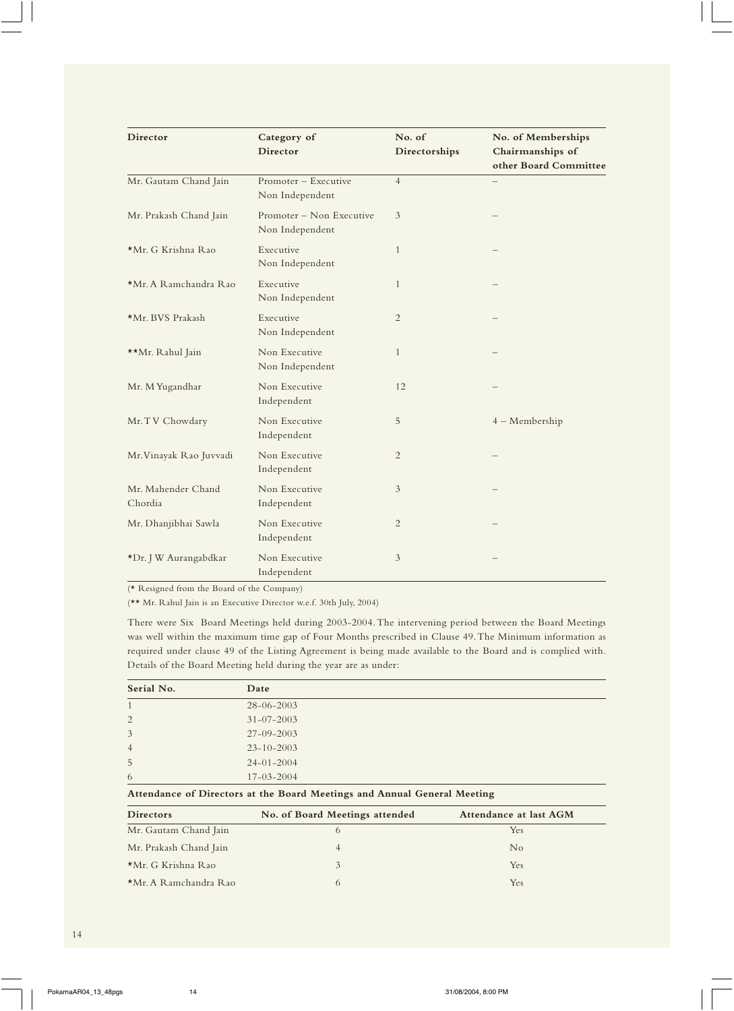| Director                      | Category of<br>Director                     | No. of<br>Directorships | No. of Memberships<br>Chairmanships of<br>other Board Committee |
|-------------------------------|---------------------------------------------|-------------------------|-----------------------------------------------------------------|
| Mr. Gautam Chand Jain         | Promoter - Executive<br>Non Independent     | $\overline{4}$          |                                                                 |
| Mr. Prakash Chand Jain        | Promoter - Non Executive<br>Non Independent | 3                       |                                                                 |
| *Mr. G Krishna Rao            | Executive<br>Non Independent                | $\mathbf{1}$            |                                                                 |
| *Mr. A Ramchandra Rao         | Executive<br>Non Independent                | 1                       |                                                                 |
| *Mr. BVS Prakash              | Executive<br>Non Independent                | 2                       |                                                                 |
| **Mr. Rahul Jain              | Non Executive<br>Non Independent            | $\mathbf{1}$            |                                                                 |
| Mr. M Yugandhar               | Non Executive<br>Independent                | 12                      |                                                                 |
| Mr. TV Chowdary               | Non Executive<br>Independent                | 5                       | 4 - Membership                                                  |
| Mr. Vinayak Rao Juvvadi       | Non Executive<br>Independent                | 2                       |                                                                 |
| Mr. Mahender Chand<br>Chordia | Non Executive<br>Independent                | 3                       |                                                                 |
| Mr. Dhanjibhai Sawla          | Non Executive<br>Independent                | $\overline{2}$          |                                                                 |
| *Dr. J W Aurangabdkar         | Non Executive<br>Independent                | 3                       |                                                                 |

(\* Resigned from the Board of the Company)

(\*\* Mr. Rahul Jain is an Executive Director w.e.f. 30th July, 2004)

There were Six Board Meetings held during 2003-2004. The intervening period between the Board Meetings was well within the maximum time gap of Four Months prescribed in Clause 49. The Minimum information as required under clause 49 of the Listing Agreement is being made available to the Board and is complied with. Details of the Board Meeting held during the year are as under:

| Serial No.     | Date             |  |
|----------------|------------------|--|
| 1              | $28 - 06 - 2003$ |  |
| 2              | $31 - 07 - 2003$ |  |
| 3              | $27 - 09 - 2003$ |  |
| $\overline{4}$ | $23 - 10 - 2003$ |  |
| 5              | $24 - 01 - 2004$ |  |
| 6              | $17 - 03 - 2004$ |  |

## **Attendance of Directors at the Board Meetings and Annual General Meeting**

| <b>Directors</b>       | No. of Board Meetings attended | Attendance at last AGM |
|------------------------|--------------------------------|------------------------|
| Mr. Gautam Chand Jain  |                                | <b>Yes</b>             |
| Mr. Prakash Chand Jain |                                | N <sub>o</sub>         |
| *Mr. G Krishna Rao     |                                | Yes                    |
| *Mr. A Ramchandra Rao  |                                | Yes                    |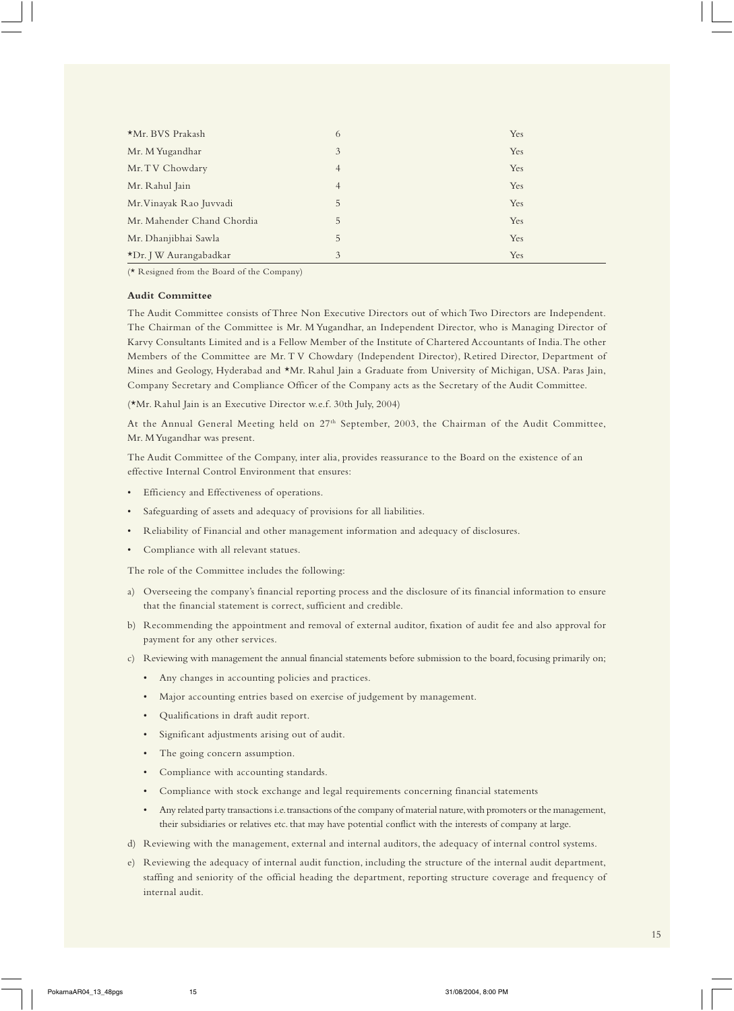| *Mr. BVS Prakash           | 6              | Yes |
|----------------------------|----------------|-----|
| Mr. M Yugandhar            | 3              | Yes |
| Mr. TV Chowdary            | $\overline{4}$ | Yes |
| Mr. Rahul Jain             | $\overline{4}$ | Yes |
| Mr. Vinayak Rao Juvvadi    | 5              | Yes |
| Mr. Mahender Chand Chordia | 5              | Yes |
| Mr. Dhanjibhai Sawla       | 5              | Yes |
| *Dr. J W Aurangabadkar     | 3              | Yes |

(\* Resigned from the Board of the Company)

#### **Audit Committee**

The Audit Committee consists of Three Non Executive Directors out of which Two Directors are Independent. The Chairman of the Committee is Mr. M Yugandhar, an Independent Director, who is Managing Director of Karvy Consultants Limited and is a Fellow Member of the Institute of Chartered Accountants of India. The other Members of the Committee are Mr. T V Chowdary (Independent Director), Retired Director, Department of Mines and Geology, Hyderabad and \*Mr. Rahul Jain a Graduate from University of Michigan, USA. Paras Jain, Company Secretary and Compliance Officer of the Company acts as the Secretary of the Audit Committee.

(\*Mr. Rahul Jain is an Executive Director w.e.f. 30th July, 2004)

At the Annual General Meeting held on 27<sup>th</sup> September, 2003, the Chairman of the Audit Committee, Mr. M Yugandhar was present.

The Audit Committee of the Company, inter alia, provides reassurance to the Board on the existence of an effective Internal Control Environment that ensures:

- Efficiency and Effectiveness of operations.
- Safeguarding of assets and adequacy of provisions for all liabilities.
- Reliability of Financial and other management information and adequacy of disclosures.
- Compliance with all relevant statues.

The role of the Committee includes the following:

- a) Overseeing the company's financial reporting process and the disclosure of its financial information to ensure that the financial statement is correct, sufficient and credible.
- b) Recommending the appointment and removal of external auditor, fixation of audit fee and also approval for payment for any other services.
- c) Reviewing with management the annual financial statements before submission to the board, focusing primarily on;
	- Any changes in accounting policies and practices.
	- Major accounting entries based on exercise of judgement by management.
	- Qualifications in draft audit report.
	- Significant adjustments arising out of audit.
	- The going concern assumption.
	- Compliance with accounting standards.
	- Compliance with stock exchange and legal requirements concerning financial statements
	- Any related party transactions i.e. transactions of the company of material nature, with promoters or the management, their subsidiaries or relatives etc. that may have potential conflict with the interests of company at large.
- d) Reviewing with the management, external and internal auditors, the adequacy of internal control systems.
- e) Reviewing the adequacy of internal audit function, including the structure of the internal audit department, staffing and seniority of the official heading the department, reporting structure coverage and frequency of internal audit.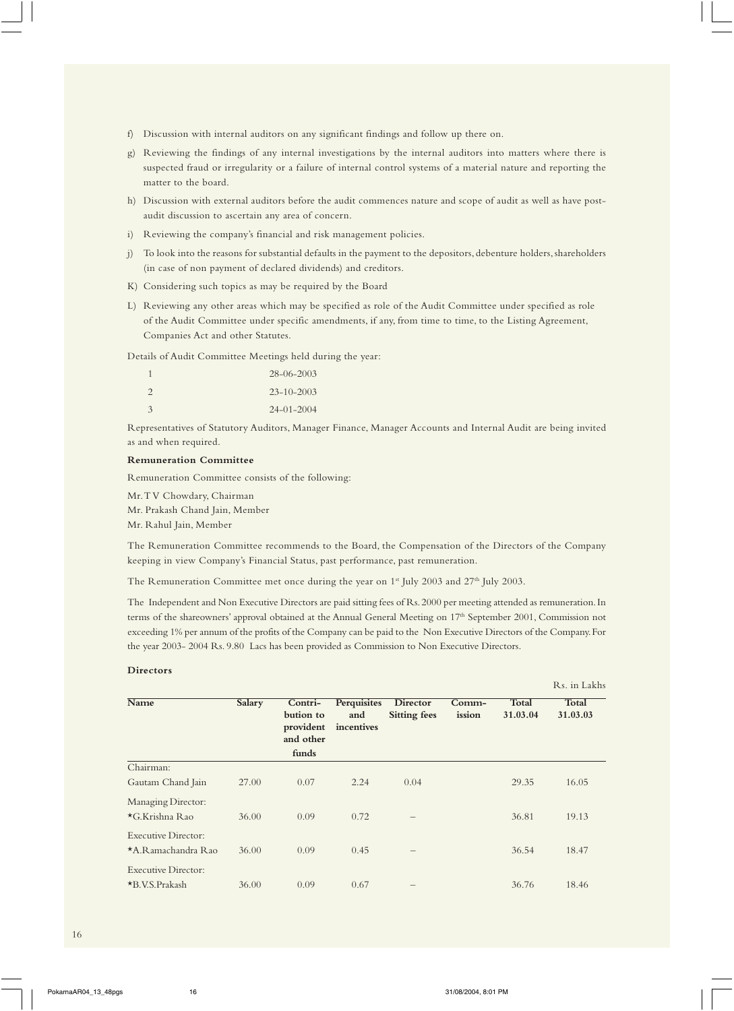- f) Discussion with internal auditors on any significant findings and follow up there on.
- g) Reviewing the findings of any internal investigations by the internal auditors into matters where there is suspected fraud or irregularity or a failure of internal control systems of a material nature and reporting the matter to the board.
- h) Discussion with external auditors before the audit commences nature and scope of audit as well as have postaudit discussion to ascertain any area of concern.
- i) Reviewing the company's financial and risk management policies.
- j) To look into the reasons for substantial defaults in the payment to the depositors, debenture holders, shareholders (in case of non payment of declared dividends) and creditors.
- K) Considering such topics as may be required by the Board
- L) Reviewing any other areas which may be specified as role of the Audit Committee under specified as role of the Audit Committee under specific amendments, if any, from time to time, to the Listing Agreement, Companies Act and other Statutes.

Details of Audit Committee Meetings held during the year:

| -1            | $28 - 06 - 2003$ |
|---------------|------------------|
| $\mathcal{L}$ | $23 - 10 - 2003$ |
| 3             | $24 - 01 - 2004$ |

Representatives of Statutory Auditors, Manager Finance, Manager Accounts and Internal Audit are being invited as and when required.

#### **Remuneration Committee**

Remuneration Committee consists of the following:

Mr. T V Chowdary, Chairman

Mr. Prakash Chand Jain, Member

Mr. Rahul Jain, Member

The Remuneration Committee recommends to the Board, the Compensation of the Directors of the Company keeping in view Company's Financial Status, past performance, past remuneration.

The Remuneration Committee met once during the year on 1<sup>st</sup> July 2003 and 27<sup>th</sup> July 2003.

The Independent and Non Executive Directors are paid sitting fees of Rs. 2000 per meeting attended as remuneration. In terms of the shareowners' approval obtained at the Annual General Meeting on 17<sup>th</sup> September 2001, Commission not exceeding 1% per annum of the profits of the Company can be paid to the Non Executive Directors of the Company. For the year 2003- 2004 Rs. 9.80 Lacs has been provided as Commission to Non Executive Directors.

#### **Directors**

|                            |               |                                                         |                                  |                                 |                 |                          | Rs. in Lakhs             |
|----------------------------|---------------|---------------------------------------------------------|----------------------------------|---------------------------------|-----------------|--------------------------|--------------------------|
| Name                       | <b>Salary</b> | Contri-<br>bution to<br>provident<br>and other<br>funds | Perquisites<br>and<br>incentives | Director<br><b>Sitting fees</b> | Comm-<br>ission | <b>Total</b><br>31.03.04 | <b>Total</b><br>31.03.03 |
| Chairman:                  |               |                                                         |                                  |                                 |                 |                          |                          |
| Gautam Chand Jain          | 27.00         | 0.07                                                    | 2.24                             | 0.04                            |                 | 29.35                    | 16.05                    |
| Managing Director:         |               |                                                         |                                  |                                 |                 |                          |                          |
| $\star$ G.Krishna Rao      | 36.00         | 0.09                                                    | 0.72                             |                                 |                 | 36.81                    | 19.13                    |
| <b>Executive Director:</b> |               |                                                         |                                  |                                 |                 |                          |                          |
| *A.Ramachandra Rao         | 36.00         | 0.09                                                    | 0.45                             | $\qquad \qquad -$               |                 | 36.54                    | 18.47                    |
| <b>Executive Director:</b> |               |                                                         |                                  |                                 |                 |                          |                          |
| $*B.V.S.Prakash$           | 36.00         | 0.09                                                    | 0.67                             | —                               |                 | 36.76                    | 18.46                    |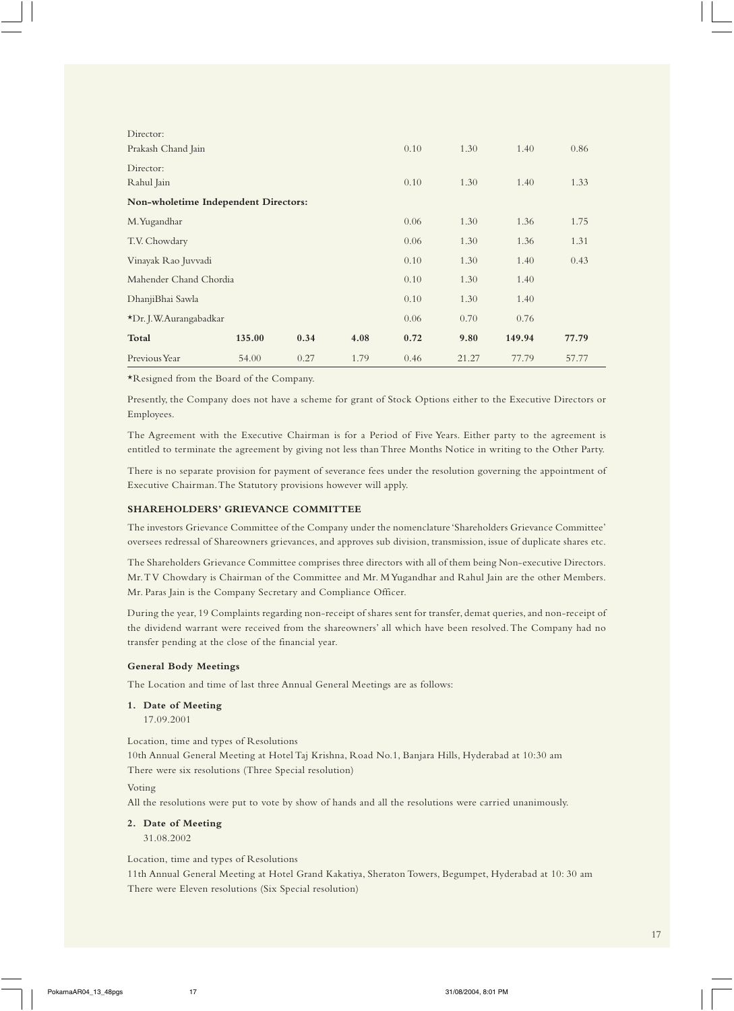| Director:                            |        |      |      |      |       |        |       |
|--------------------------------------|--------|------|------|------|-------|--------|-------|
| Prakash Chand Jain                   |        |      |      | 0.10 | 1.30  | 1.40   | 0.86  |
| Director:                            |        |      |      |      |       |        |       |
| Rahul Jain                           |        |      | 0.10 | 1.30 | 1.40  | 1.33   |       |
| Non-wholetime Independent Directors: |        |      |      |      |       |        |       |
| M. Yugandhar                         |        |      |      | 0.06 | 1.30  | 1.36   | 1.75  |
| T.V. Chowdary                        |        |      | 0.06 | 1.30 | 1.36  | 1.31   |       |
| Vinayak Rao Juvvadi                  |        |      | 0.10 | 1.30 | 1.40  | 0.43   |       |
| Mahender Chand Chordia               |        |      |      | 0.10 | 1.30  | 1.40   |       |
| DhanjiBhai Sawla                     |        |      |      | 0.10 | 1.30  | 1.40   |       |
| *Dr. J.W.Aurangabadkar               |        |      |      | 0.06 | 0.70  | 0.76   |       |
| Total                                | 135.00 | 0.34 | 4.08 | 0.72 | 9.80  | 149.94 | 77.79 |
| Previous Year                        | 54.00  | 0.27 | 1.79 | 0.46 | 21.27 | 77.79  | 57.77 |

\*Resigned from the Board of the Company.

Presently, the Company does not have a scheme for grant of Stock Options either to the Executive Directors or Employees.

The Agreement with the Executive Chairman is for a Period of Five Years. Either party to the agreement is entitled to terminate the agreement by giving not less than Three Months Notice in writing to the Other Party.

There is no separate provision for payment of severance fees under the resolution governing the appointment of Executive Chairman. The Statutory provisions however will apply.

#### **SHAREHOLDERS' GRIEVANCE COMMITTEE**

The investors Grievance Committee of the Company under the nomenclature 'Shareholders Grievance Committee' oversees redressal of Shareowners grievances, and approves sub division, transmission, issue of duplicate shares etc.

The Shareholders Grievance Committee comprises three directors with all of them being Non-executive Directors. Mr. T V Chowdary is Chairman of the Committee and Mr. M Yugandhar and Rahul Jain are the other Members. Mr. Paras Jain is the Company Secretary and Compliance Officer.

During the year, 19 Complaints regarding non-receipt of shares sent for transfer, demat queries, and non-receipt of the dividend warrant were received from the shareowners' all which have been resolved. The Company had no transfer pending at the close of the financial year.

#### **General Body Meetings**

The Location and time of last three Annual General Meetings are as follows:

## **1. Date of Meeting**

17.09.2001

Location, time and types of Resolutions

10th Annual General Meeting at Hotel Taj Krishna, Road No.1, Banjara Hills, Hyderabad at 10:30 am There were six resolutions (Three Special resolution)

#### Voting

All the resolutions were put to vote by show of hands and all the resolutions were carried unanimously.

#### **2. Date of Meeting**

31.08.2002

Location, time and types of Resolutions

11th Annual General Meeting at Hotel Grand Kakatiya, Sheraton Towers, Begumpet, Hyderabad at 10: 30 am There were Eleven resolutions (Six Special resolution)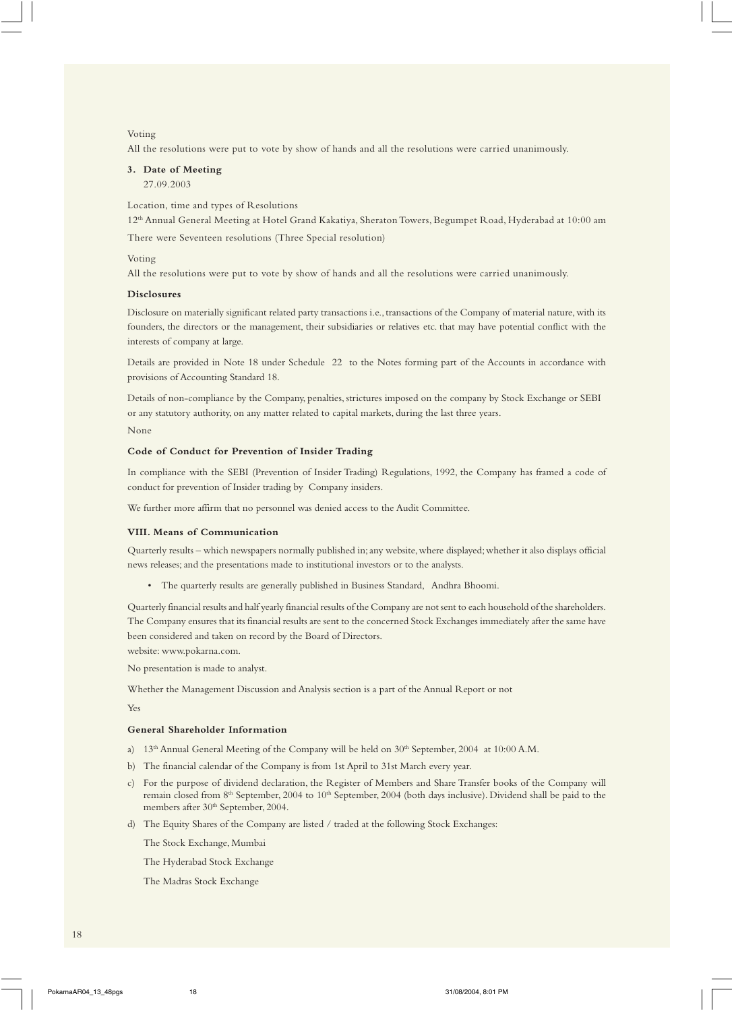#### Voting

All the resolutions were put to vote by show of hands and all the resolutions were carried unanimously.

## **3. Date of Meeting**

27.09.2003

Location, time and types of Resolutions

12th Annual General Meeting at Hotel Grand Kakatiya, Sheraton Towers, Begumpet Road, Hyderabad at 10:00 am

There were Seventeen resolutions (Three Special resolution)

#### Voting

All the resolutions were put to vote by show of hands and all the resolutions were carried unanimously.

#### **Disclosures**

Disclosure on materially significant related party transactions i.e., transactions of the Company of material nature, with its founders, the directors or the management, their subsidiaries or relatives etc. that may have potential conflict with the interests of company at large.

Details are provided in Note 18 under Schedule 22 to the Notes forming part of the Accounts in accordance with provisions of Accounting Standard 18.

Details of non-compliance by the Company, penalties, strictures imposed on the company by Stock Exchange or SEBI or any statutory authority, on any matter related to capital markets, during the last three years.

## None

#### **Code of Conduct for Prevention of Insider Trading**

In compliance with the SEBI (Prevention of Insider Trading) Regulations, 1992, the Company has framed a code of conduct for prevention of Insider trading by Company insiders.

We further more affirm that no personnel was denied access to the Audit Committee.

#### **VIII. Means of Communication**

Quarterly results – which newspapers normally published in; any website, where displayed; whether it also displays official news releases; and the presentations made to institutional investors or to the analysts.

• The quarterly results are generally published in Business Standard, Andhra Bhoomi.

Quarterly financial results and half yearly financial results of the Company are not sent to each household of the shareholders. The Company ensures that its financial results are sent to the concerned Stock Exchanges immediately after the same have been considered and taken on record by the Board of Directors.

website: www.pokarna.com.

No presentation is made to analyst.

Whether the Management Discussion and Analysis section is a part of the Annual Report or not

Yes

#### **General Shareholder Information**

- a) 13<sup>th</sup> Annual General Meeting of the Company will be held on 30<sup>th</sup> September, 2004 at 10:00 A.M.
- b) The financial calendar of the Company is from 1st April to 31st March every year.
- c) For the purpose of dividend declaration, the Register of Members and Share Transfer books of the Company will remain closed from 8<sup>th</sup> September, 2004 to 10<sup>th</sup> September, 2004 (both days inclusive). Dividend shall be paid to the members after 30<sup>th</sup> September, 2004.
- d) The Equity Shares of the Company are listed / traded at the following Stock Exchanges:
	- The Stock Exchange, Mumbai
	- The Hyderabad Stock Exchange
	- The Madras Stock Exchange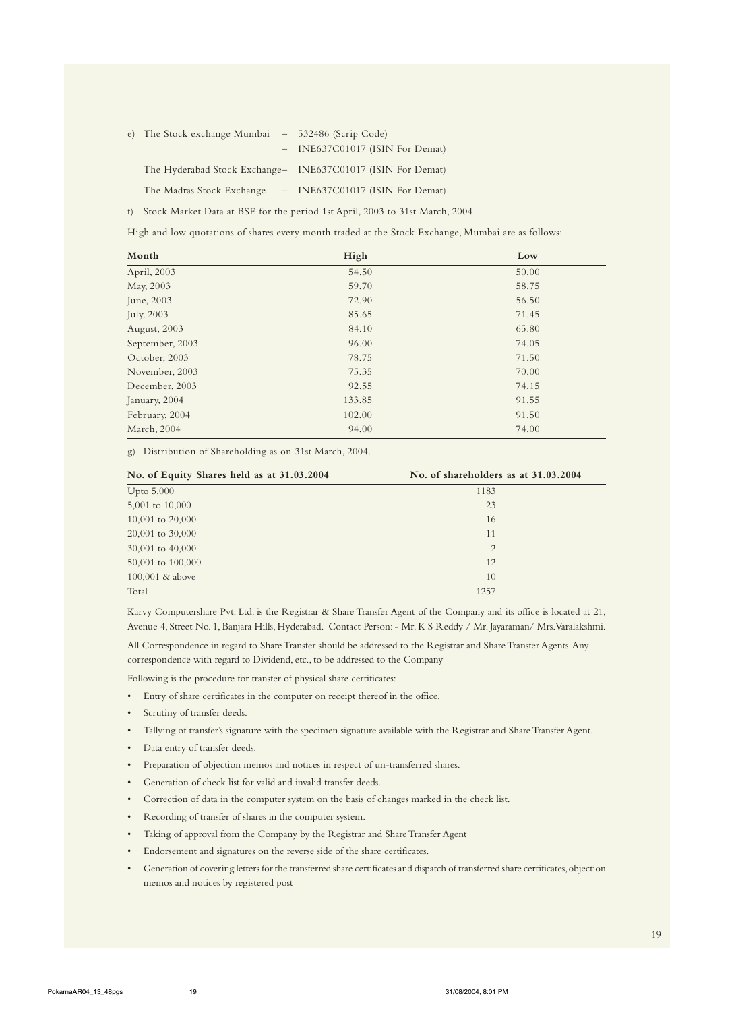| e) The Stock exchange Mumbai $-532486$ (Scrip Code) |                                                             |
|-----------------------------------------------------|-------------------------------------------------------------|
|                                                     | - INE637C01017 (ISIN For Demat)                             |
|                                                     | The Hyderabad Stock Exchange- INE637C01017 (ISIN For Demat) |
| The Madras Stock Exchange                           | $-$ INE637C01017 (ISIN For Demat)                           |

f) Stock Market Data at BSE for the period 1st April, 2003 to 31st March, 2004

High and low quotations of shares every month traded at the Stock Exchange, Mumbai are as follows:

| Month           | High   | Low   |
|-----------------|--------|-------|
| April, 2003     | 54.50  | 50.00 |
| May, 2003       | 59.70  | 58.75 |
| June, 2003      | 72.90  | 56.50 |
| July, 2003      | 85.65  | 71.45 |
| August, 2003    | 84.10  | 65.80 |
| September, 2003 | 96.00  | 74.05 |
| October, 2003   | 78.75  | 71.50 |
| November, 2003  | 75.35  | 70.00 |
| December, 2003  | 92.55  | 74.15 |
| January, 2004   | 133.85 | 91.55 |
| February, 2004  | 102.00 | 91.50 |
| March, 2004     | 94.00  | 74.00 |

g) Distribution of Shareholding as on 31st March, 2004.

| No. of Equity Shares held as at 31.03.2004 | No. of shareholders as at 31.03.2004 |
|--------------------------------------------|--------------------------------------|
| Upto $5,000$                               | 1183                                 |
| 5,001 to 10,000                            | 23                                   |
| 10,001 to $20,000$                         | 16                                   |
| 20,001 to 30,000                           | 11                                   |
| 30,001 to 40,000                           | $\overline{2}$                       |
| 50,001 to 100,000                          | 12                                   |
| 100,001 $&$ above                          | 10                                   |
| Total                                      | 1257                                 |

Karvy Computershare Pvt. Ltd. is the Registrar & Share Transfer Agent of the Company and its office is located at 21, Avenue 4, Street No. 1, Banjara Hills, Hyderabad. Contact Person: - Mr. K S Reddy / Mr. Jayaraman/ Mrs. Varalakshmi.

All Correspondence in regard to Share Transfer should be addressed to the Registrar and Share Transfer Agents. Any correspondence with regard to Dividend, etc., to be addressed to the Company

Following is the procedure for transfer of physical share certificates:

- Entry of share certificates in the computer on receipt thereof in the office.
- Scrutiny of transfer deeds.
- Tallying of transfer's signature with the specimen signature available with the Registrar and Share Transfer Agent.
- Data entry of transfer deeds.
- Preparation of objection memos and notices in respect of un-transferred shares.
- Generation of check list for valid and invalid transfer deeds.
- Correction of data in the computer system on the basis of changes marked in the check list.
- Recording of transfer of shares in the computer system.
- Taking of approval from the Company by the Registrar and Share Transfer Agent
- Endorsement and signatures on the reverse side of the share certificates.
- Generation of covering letters for the transferred share certificates and dispatch of transferred share certificates, objection memos and notices by registered post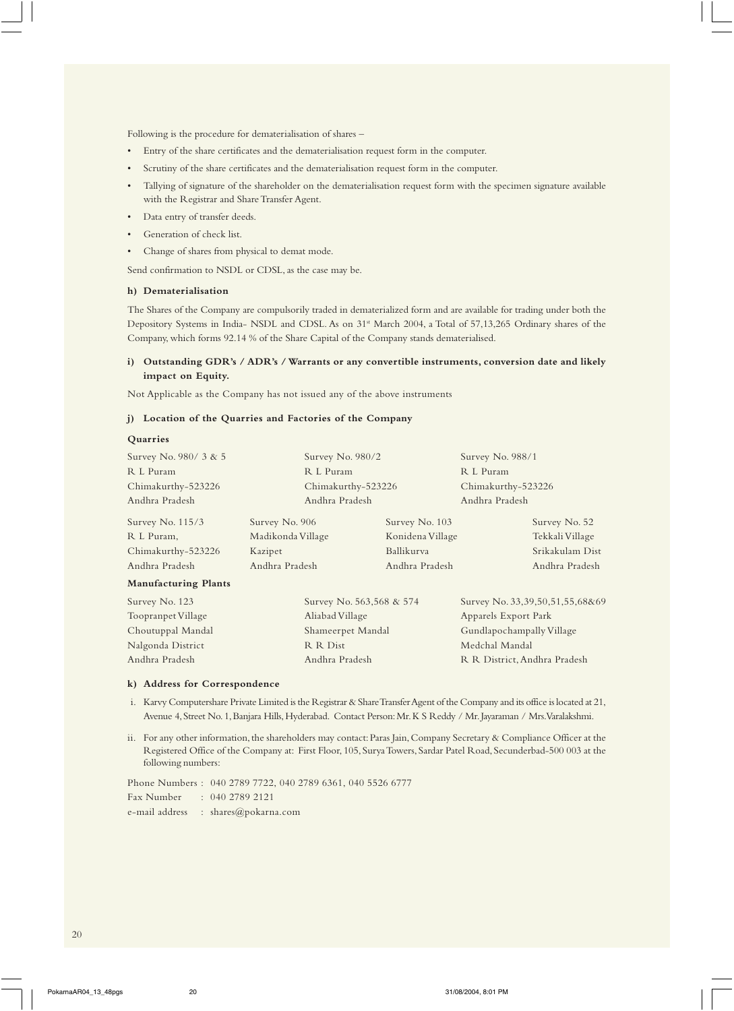Following is the procedure for dematerialisation of shares –

- Entry of the share certificates and the dematerialisation request form in the computer.
- Scrutiny of the share certificates and the dematerialisation request form in the computer.
- Tallying of signature of the shareholder on the dematerialisation request form with the specimen signature available with the Registrar and Share Transfer Agent.
- Data entry of transfer deeds.
- Generation of check list.
- Change of shares from physical to demat mode.
- Send confirmation to NSDL or CDSL, as the case may be.

#### **h) Dematerialisation**

The Shares of the Company are compulsorily traded in dematerialized form and are available for trading under both the Depository Systems in India- NSDL and CDSL. As on 31<sup>st</sup> March 2004, a Total of 57,13,265 Ordinary shares of the Company, which forms 92.14 % of the Share Capital of the Company stands dematerialised.

## **i) Outstanding GDR's / ADR's / Warrants or any convertible instruments, conversion date and likely impact on Equity.**

Not Applicable as the Company has not issued any of the above instruments

#### **j) Location of the Quarries and Factories of the Company**

#### **Quarries**

| Survey No. 980/ 3 & 5       | Survey No. 980/2         |                  | Survey No. 988/1             |                                 |
|-----------------------------|--------------------------|------------------|------------------------------|---------------------------------|
| R L Puram                   | R L Puram                |                  | R L Puram                    |                                 |
| Chimakurthy-523226          | Chimakurthy-523226       |                  | Chimakurthy-523226           |                                 |
| Andhra Pradesh              | Andhra Pradesh           |                  | Andhra Pradesh               |                                 |
| Survey No. 115/3            | Survey No. 906           | Survey No. 103   |                              | Survey No. 52                   |
| R L Puram,                  | Madikonda Village        | Konidena Village |                              | Tekkali Village                 |
| Chimakurthy-523226          | Kazipet                  | Ballikurva       |                              | Srikakulam Dist                 |
| Andhra Pradesh              | Andhra Pradesh           | Andhra Pradesh   |                              | Andhra Pradesh                  |
| <b>Manufacturing Plants</b> |                          |                  |                              |                                 |
| Survey No. 123              | Survey No. 563,568 & 574 |                  |                              | Survey No. 33,39,50,51,55,68&69 |
| Toopranpet Village          | Aliabad Village          |                  | Apparels Export Park         |                                 |
| Choutuppal Mandal           | Shameerpet Mandal        |                  | Gundlapochampally Village    |                                 |
| Nalgonda District           | R R Dist                 |                  | Medchal Mandal               |                                 |
| Andhra Pradesh              | Andhra Pradesh           |                  | R R District, Andhra Pradesh |                                 |

## **k) Address for Correspondence**

- i. Karvy Computershare Private Limited is the Registrar & Share Transfer Agent of the Company and its office is located at 21, Avenue 4, Street No. 1, Banjara Hills, Hyderabad. Contact Person: Mr. K S Reddy / Mr. Jayaraman / Mrs. Varalakshmi.
- ii. For any other information, the shareholders may contact: Paras Jain, Company Secretary & Compliance Officer at the Registered Office of the Company at: First Floor, 105, Surya Towers, Sardar Patel Road, Secunderbad-500 003 at the following numbers:

Phone Numbers : 040 2789 7722, 040 2789 6361, 040 5526 6777 Fax Number : 040 2789 2121 e-mail address : shares@pokarna.com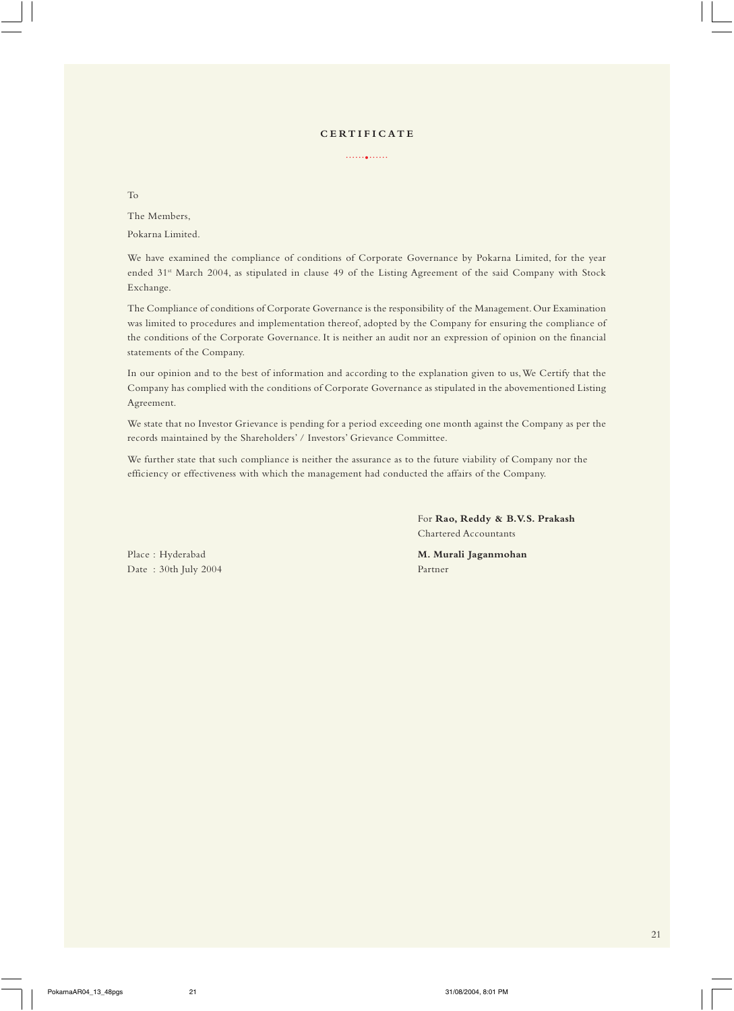## **CERTIFICATE**

......•......

To

The Members, Pokarna Limited.

We have examined the compliance of conditions of Corporate Governance by Pokarna Limited, for the year ended 31st March 2004, as stipulated in clause 49 of the Listing Agreement of the said Company with Stock Exchange.

The Compliance of conditions of Corporate Governance is the responsibility of the Management. Our Examination was limited to procedures and implementation thereof, adopted by the Company for ensuring the compliance of the conditions of the Corporate Governance. It is neither an audit nor an expression of opinion on the financial statements of the Company.

In our opinion and to the best of information and according to the explanation given to us, We Certify that the Company has complied with the conditions of Corporate Governance as stipulated in the abovementioned Listing Agreement.

We state that no Investor Grievance is pending for a period exceeding one month against the Company as per the records maintained by the Shareholders' / Investors' Grievance Committee.

We further state that such compliance is neither the assurance as to the future viability of Company nor the efficiency or effectiveness with which the management had conducted the affairs of the Company.

> For **Rao, Reddy & B.V.S. Prakash** Chartered Accountants

Date : 30th July 2004 Partner

Place : Hyderabad **M. Murali Jaganmohan**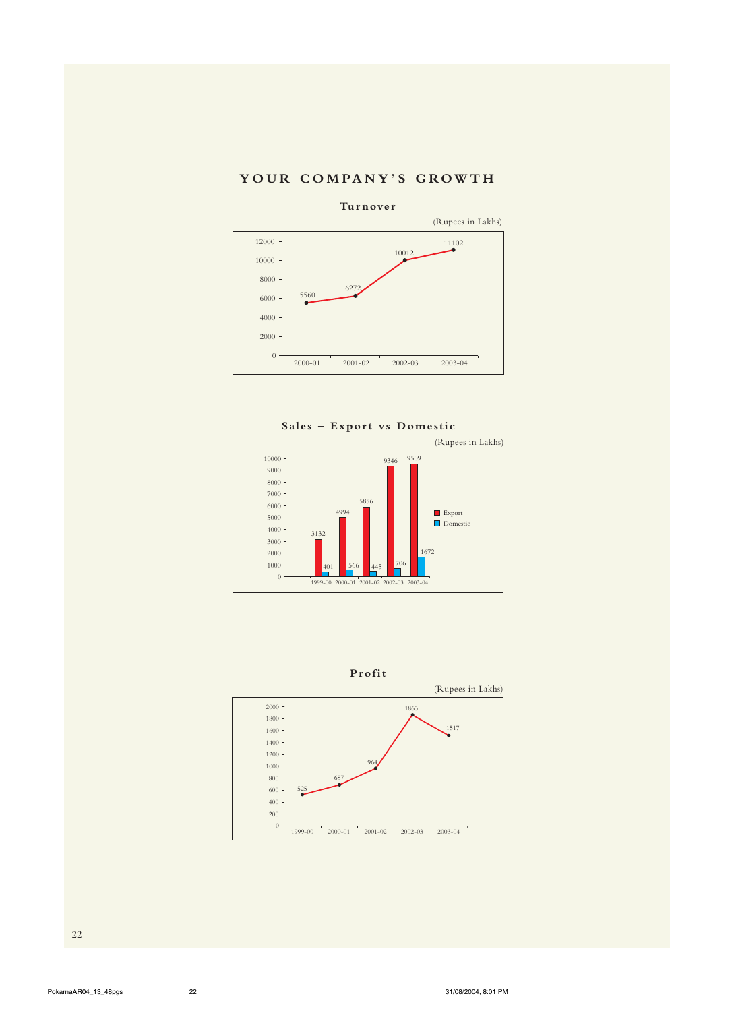# **YOUR COMPANY'S GROWTH**



**Sales – Export vs Domestic**





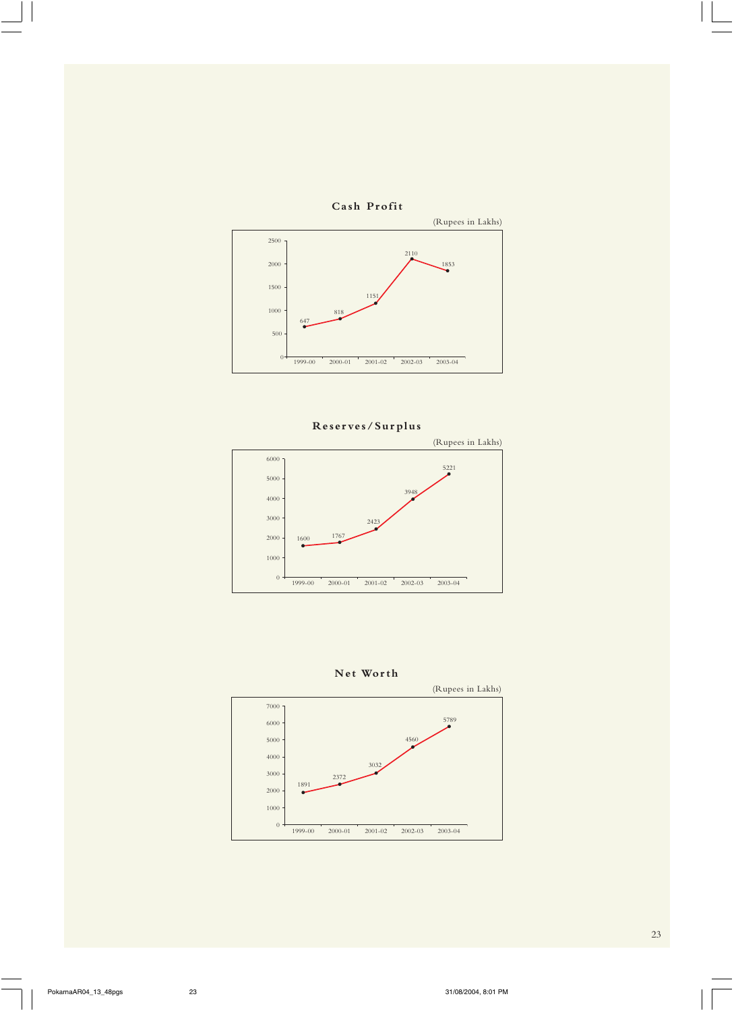



# **Reserves/Surplus**





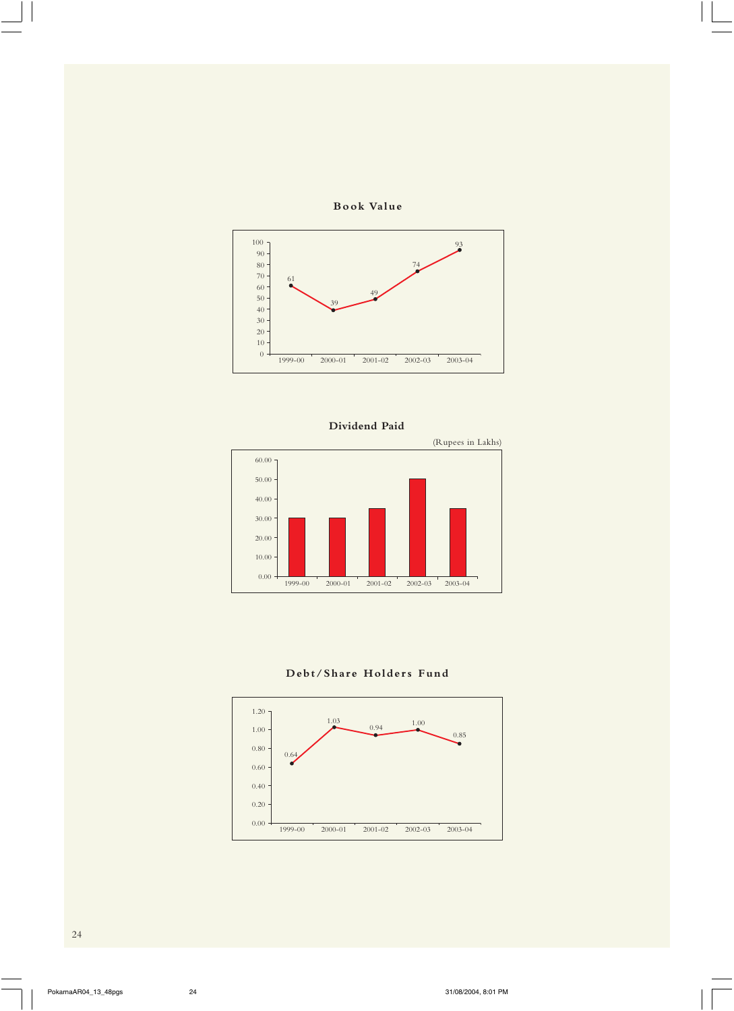









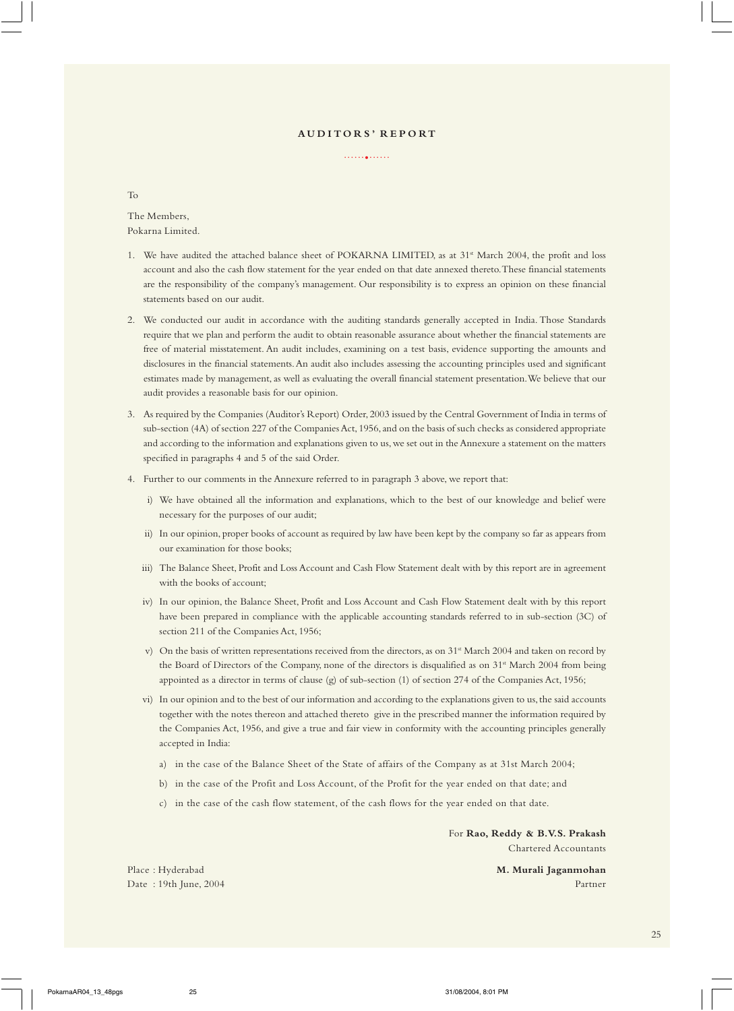#### **A U D I T O R S ' R E P O RT**

......•......

To

The Members, Pokarna Limited.

- 1. We have audited the attached balance sheet of POKARNA LIMITED, as at 31<sup>st</sup> March 2004, the profit and loss account and also the cash flow statement for the year ended on that date annexed thereto. These financial statements are the responsibility of the company's management. Our responsibility is to express an opinion on these financial statements based on our audit.
- 2. We conducted our audit in accordance with the auditing standards generally accepted in India. Those Standards require that we plan and perform the audit to obtain reasonable assurance about whether the financial statements are free of material misstatement. An audit includes, examining on a test basis, evidence supporting the amounts and disclosures in the financial statements. An audit also includes assessing the accounting principles used and significant estimates made by management, as well as evaluating the overall financial statement presentation. We believe that our audit provides a reasonable basis for our opinion.
- 3. As required by the Companies (Auditor's Report) Order, 2003 issued by the Central Government of India in terms of sub-section (4A) of section 227 of the Companies Act, 1956, and on the basis of such checks as considered appropriate and according to the information and explanations given to us, we set out in the Annexure a statement on the matters specified in paragraphs 4 and 5 of the said Order.
- 4. Further to our comments in the Annexure referred to in paragraph 3 above, we report that:
	- i) We have obtained all the information and explanations, which to the best of our knowledge and belief were necessary for the purposes of our audit;
	- ii) In our opinion, proper books of account as required by law have been kept by the company so far as appears from our examination for those books;
	- iii) The Balance Sheet, Profit and Loss Account and Cash Flow Statement dealt with by this report are in agreement with the books of account;
	- iv) In our opinion, the Balance Sheet, Profit and Loss Account and Cash Flow Statement dealt with by this report have been prepared in compliance with the applicable accounting standards referred to in sub-section (3C) of section 211 of the Companies Act, 1956;
	- v) On the basis of written representations received from the directors, as on  $31$ <sup>\*</sup> March 2004 and taken on record by the Board of Directors of the Company, none of the directors is disqualified as on 31<sup>st</sup> March 2004 from being appointed as a director in terms of clause (g) of sub-section (1) of section 274 of the Companies Act, 1956;
	- vi) In our opinion and to the best of our information and according to the explanations given to us, the said accounts together with the notes thereon and attached thereto give in the prescribed manner the information required by the Companies Act, 1956, and give a true and fair view in conformity with the accounting principles generally accepted in India:
		- a) in the case of the Balance Sheet of the State of affairs of the Company as at 31st March 2004;
		- b) in the case of the Profit and Loss Account, of the Profit for the year ended on that date; and
		- c) in the case of the cash flow statement, of the cash flows for the year ended on that date.

For **Rao, Reddy & B.V.S. Prakash** Chartered Accountants

Place : Hyderabad **M. Murali Jaganmohan** Date : 19th June, 2004 Partner

25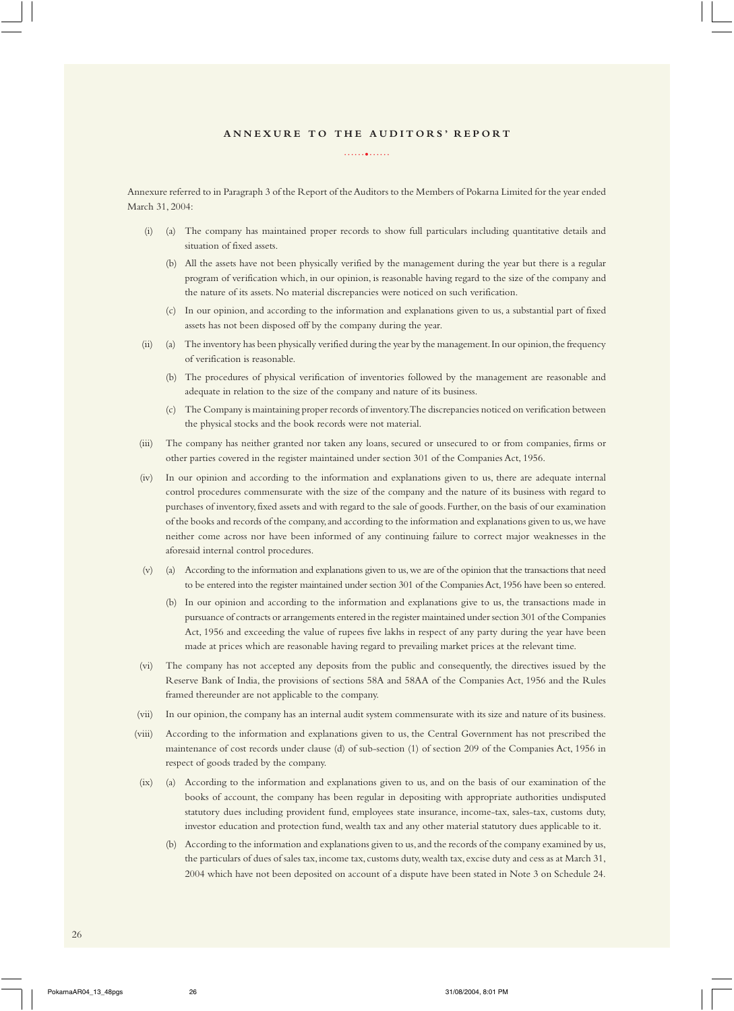#### **A N N E X U R E T O T H E A U D I T O R S ' R E P O R T**

......•......

Annexure referred to in Paragraph 3 of the Report of the Auditors to the Members of Pokarna Limited for the year ended March 31, 2004:

- (i) (a) The company has maintained proper records to show full particulars including quantitative details and situation of fixed assets.
	- (b) All the assets have not been physically verified by the management during the year but there is a regular program of verification which, in our opinion, is reasonable having regard to the size of the company and the nature of its assets. No material discrepancies were noticed on such verification.
	- (c) In our opinion, and according to the information and explanations given to us, a substantial part of fixed assets has not been disposed off by the company during the year.
- (ii) (a) The inventory has been physically verified during the year by the management. In our opinion, the frequency of verification is reasonable.
	- (b) The procedures of physical verification of inventories followed by the management are reasonable and adequate in relation to the size of the company and nature of its business.
	- (c) The Company is maintaining proper records of inventory. The discrepancies noticed on verification between the physical stocks and the book records were not material.
- (iii) The company has neither granted nor taken any loans, secured or unsecured to or from companies, firms or other parties covered in the register maintained under section 301 of the Companies Act, 1956.
- (iv) In our opinion and according to the information and explanations given to us, there are adequate internal control procedures commensurate with the size of the company and the nature of its business with regard to purchases of inventory, fixed assets and with regard to the sale of goods. Further, on the basis of our examination of the books and records of the company, and according to the information and explanations given to us, we have neither come across nor have been informed of any continuing failure to correct major weaknesses in the aforesaid internal control procedures.
- (v) (a) According to the information and explanations given to us, we are of the opinion that the transactions that need to be entered into the register maintained under section 301 of the Companies Act, 1956 have been so entered.
	- (b) In our opinion and according to the information and explanations give to us, the transactions made in pursuance of contracts or arrangements entered in the register maintained under section 301 of the Companies Act, 1956 and exceeding the value of rupees five lakhs in respect of any party during the year have been made at prices which are reasonable having regard to prevailing market prices at the relevant time.
- (vi) The company has not accepted any deposits from the public and consequently, the directives issued by the Reserve Bank of India, the provisions of sections 58A and 58AA of the Companies Act, 1956 and the Rules framed thereunder are not applicable to the company.
- (vii) In our opinion, the company has an internal audit system commensurate with its size and nature of its business.
- (viii) According to the information and explanations given to us, the Central Government has not prescribed the maintenance of cost records under clause (d) of sub-section (1) of section 209 of the Companies Act, 1956 in respect of goods traded by the company.
- (ix) (a) According to the information and explanations given to us, and on the basis of our examination of the books of account, the company has been regular in depositing with appropriate authorities undisputed statutory dues including provident fund, employees state insurance, income-tax, sales-tax, customs duty, investor education and protection fund, wealth tax and any other material statutory dues applicable to it.
	- (b) According to the information and explanations given to us, and the records of the company examined by us, the particulars of dues of sales tax, income tax, customs duty, wealth tax, excise duty and cess as at March 31, 2004 which have not been deposited on account of a dispute have been stated in Note 3 on Schedule 24.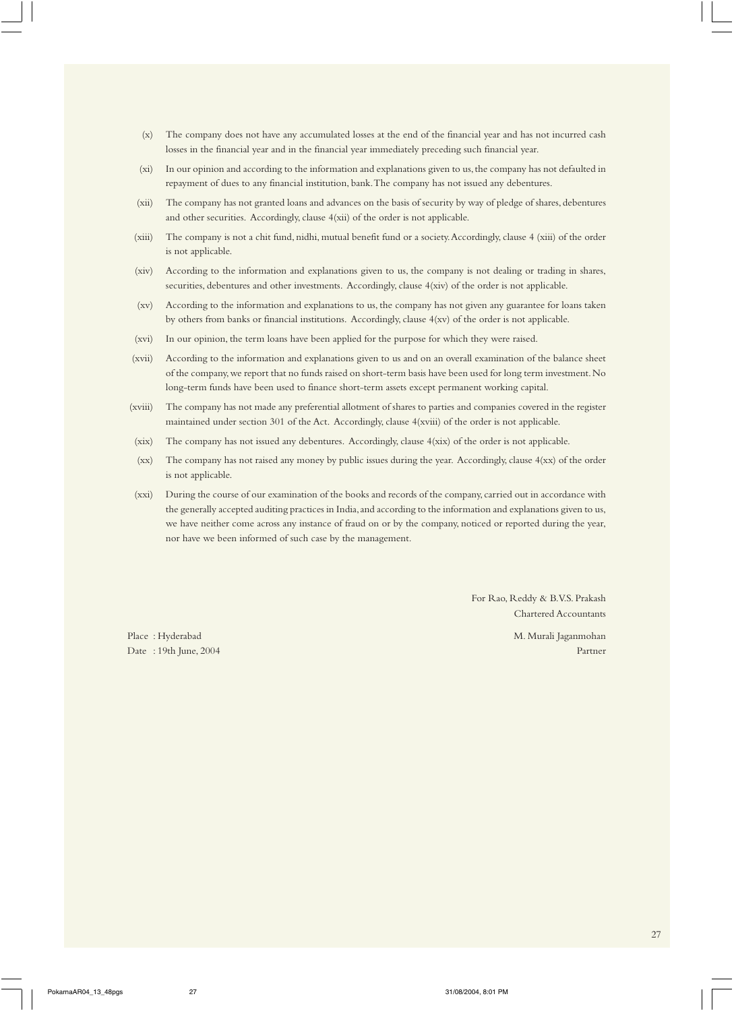- (x) The company does not have any accumulated losses at the end of the financial year and has not incurred cash losses in the financial year and in the financial year immediately preceding such financial year.
- (xi) In our opinion and according to the information and explanations given to us, the company has not defaulted in repayment of dues to any financial institution, bank. The company has not issued any debentures.
- (xii) The company has not granted loans and advances on the basis of security by way of pledge of shares, debentures and other securities. Accordingly, clause 4(xii) of the order is not applicable.
- (xiii) The company is not a chit fund, nidhi, mutual benefit fund or a society. Accordingly, clause 4 (xiii) of the order is not applicable.
- (xiv) According to the information and explanations given to us, the company is not dealing or trading in shares, securities, debentures and other investments. Accordingly, clause 4(xiv) of the order is not applicable.
- (xv) According to the information and explanations to us, the company has not given any guarantee for loans taken by others from banks or financial institutions. Accordingly, clause 4(xv) of the order is not applicable.
- (xvi) In our opinion, the term loans have been applied for the purpose for which they were raised.
- (xvii) According to the information and explanations given to us and on an overall examination of the balance sheet of the company, we report that no funds raised on short-term basis have been used for long term investment. No long-term funds have been used to finance short-term assets except permanent working capital.
- (xviii) The company has not made any preferential allotment of shares to parties and companies covered in the register maintained under section 301 of the Act. Accordingly, clause 4(xviii) of the order is not applicable.
- (xix) The company has not issued any debentures. Accordingly, clause 4(xix) of the order is not applicable.
- (xx) The company has not raised any money by public issues during the year. Accordingly, clause 4(xx) of the order is not applicable.
- (xxi) During the course of our examination of the books and records of the company, carried out in accordance with the generally accepted auditing practices in India, and according to the information and explanations given to us, we have neither come across any instance of fraud on or by the company, noticed or reported during the year, nor have we been informed of such case by the management*.*

For Rao, Reddy & B.V.S. Prakash Chartered Accountants

Place : Hyderabad M. Murali Jaganmohan Date : 19th June, 2004 Partner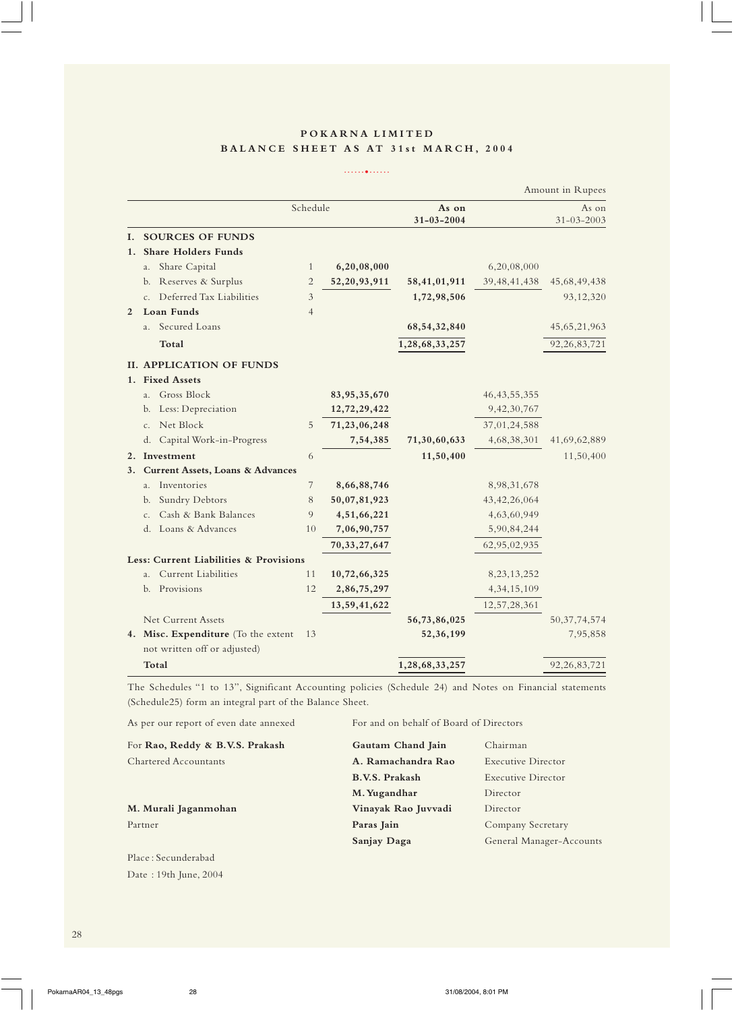# **POKARNA LIMITED BALANCE SHEET AS AT 31st MARCH, 2004**

......•......

|    |                                             |                |                 |                  |                 | Amount in Rupees |
|----|---------------------------------------------|----------------|-----------------|------------------|-----------------|------------------|
|    |                                             | Schedule       |                 | As on            |                 | As on            |
|    |                                             |                |                 | $31 - 03 - 2004$ |                 | $31 - 03 - 2003$ |
| L. | <b>SOURCES OF FUNDS</b>                     |                |                 |                  |                 |                  |
| 1. | <b>Share Holders Funds</b>                  |                |                 |                  |                 |                  |
|    | Share Capital<br>a.                         | $\mathbf{1}$   | 6,20,08,000     |                  | 6,20,08,000     |                  |
|    | Reserves & Surplus<br>b.                    | $\overline{2}$ | 52, 20, 93, 911 | 58,41,01,911     | 39, 48, 41, 438 | 45,68,49,438     |
|    | Deferred Tax Liabilities<br>$\mathsf{C}$ .  | $\mathfrak{Z}$ |                 | 1,72,98,506      |                 | 93,12,320        |
| 2  | Loan Funds                                  | $\overline{4}$ |                 |                  |                 |                  |
|    | Secured Loans<br>$a_{-}$                    |                |                 | 68, 54, 32, 840  |                 | 45,65,21,963     |
|    | Total                                       |                |                 | 1,28,68,33,257   |                 | 92, 26, 83, 721  |
|    | <b>II. APPLICATION OF FUNDS</b>             |                |                 |                  |                 |                  |
|    | 1. Fixed Assets                             |                |                 |                  |                 |                  |
|    | Gross Block<br>a <sub>1</sub>               |                | 83, 95, 35, 670 |                  | 46, 43, 55, 355 |                  |
|    | b. Less: Depreciation                       |                | 12,72,29,422    |                  | 9,42,30,767     |                  |
|    | Net Block<br>C <sub>1</sub>                 | 5              | 71,23,06,248    |                  | 37,01,24,588    |                  |
|    | d. Capital Work-in-Progress                 |                | 7,54,385        | 71,30,60,633     | 4,68,38,301     | 41,69,62,889     |
|    | 2. Investment                               | 6              |                 | 11,50,400        |                 | 11,50,400        |
| 3. | <b>Current Assets, Loans &amp; Advances</b> |                |                 |                  |                 |                  |
|    | Inventories<br>$a_{-}$                      | 7              | 8,66,88,746     |                  | 8,98,31,678     |                  |
|    | Sundry Debtors<br>b.                        | 8              | 50,07,81,923    |                  | 43, 42, 26, 064 |                  |
|    | Cash & Bank Balances<br>c.                  | 9              | 4,51,66,221     |                  | 4,63,60,949     |                  |
|    | d. Loans & Advances                         | 10             | 7,06,90,757     |                  | 5,90,84,244     |                  |
|    |                                             |                | 70, 33, 27, 647 |                  | 62,95,02,935    |                  |
|    | Less: Current Liabilities & Provisions      |                |                 |                  |                 |                  |
|    | Current Liabilities<br>a <sub>1</sub>       | 11             | 10,72,66,325    |                  | 8, 23, 13, 252  |                  |
|    | Provisions<br>b.                            | 12             | 2,86,75,297     |                  | 4, 34, 15, 109  |                  |
|    |                                             |                | 13,59,41,622    |                  | 12,57,28,361    |                  |
|    | Net Current Assets                          |                |                 | 56,73,86,025     |                 | 50, 37, 74, 574  |
|    | 4. Misc. Expenditure (To the extent         | 13             |                 | 52,36,199        |                 | 7,95,858         |
|    | not written off or adjusted)                |                |                 |                  |                 |                  |
|    | Total                                       |                |                 | 1,28,68,33,257   |                 | 92, 26, 83, 721  |

The Schedules "1 to 13", Significant Accounting policies (Schedule 24) and Notes on Financial statements (Schedule25) form an integral part of the Balance Sheet.

| As per our report of even date annexed | For and on behalf of Board of Directors |                          |
|----------------------------------------|-----------------------------------------|--------------------------|
| For Rao, Reddy & B.V.S. Prakash        | Gautam Chand Jain                       | Chairman                 |
| <b>Chartered Accountants</b>           | A. Ramachandra Rao                      | Executive Director       |
|                                        | <b>B.V.S. Prakash</b>                   | Executive Director       |
|                                        | M. Yugandhar                            | Director                 |
| M. Murali Jaganmohan                   | Vinayak Rao Juvvadi                     | Director                 |
| Partner                                | Paras Jain                              | Company Secretary        |
|                                        | Sanjay Daga                             | General Manager-Accounts |
| Place: Secunderabad                    |                                         |                          |

Date : 19th June, 2004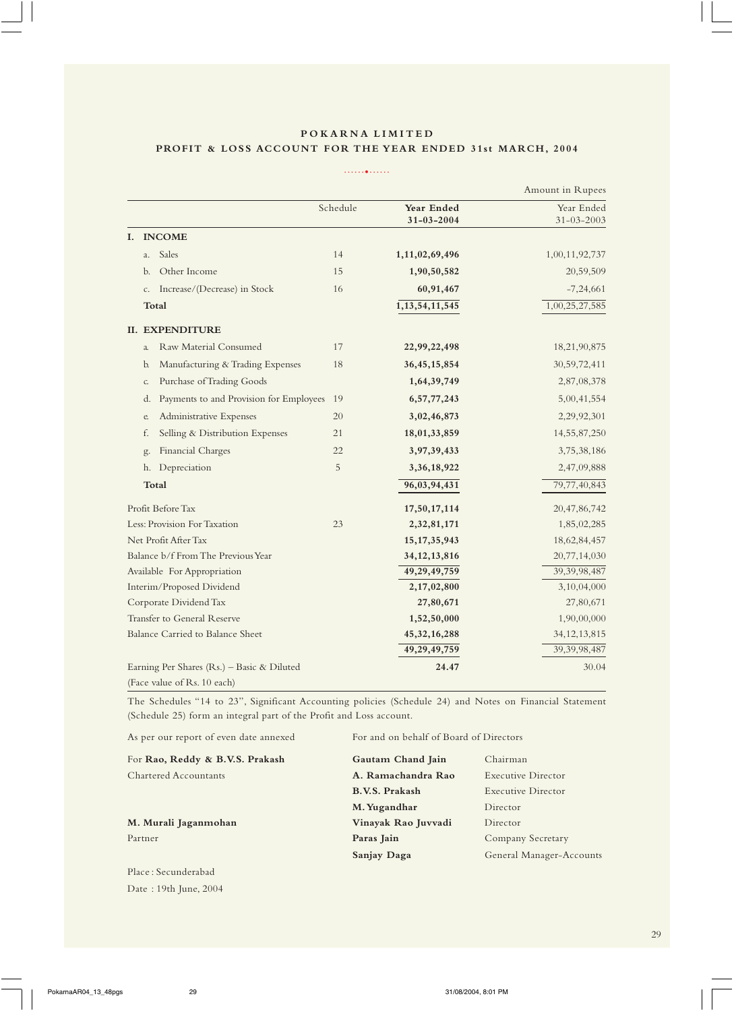# **POKARNA LIMITED PROFIT & LOSS ACCOUNT FOR THE YEAR ENDED 31st MARCH, 2004**

......•......

|    |              |                                            |          |                                | Amount in Rupees               |
|----|--------------|--------------------------------------------|----------|--------------------------------|--------------------------------|
|    |              |                                            | Schedule | Year Ended<br>$31 - 03 - 2004$ | Year Ended<br>$31 - 03 - 2003$ |
| I. |              | <b>INCOME</b>                              |          |                                |                                |
|    | a.           | Sales                                      | 14       | 1,11,02,69,496                 | 1,00,11,92,737                 |
|    | b.           | Other Income                               | 15       | 1,90,50,582                    | 20,59,509                      |
|    | c.           | Increase/(Decrease) in Stock               | 16       | 60,91,467                      | $-7,24,661$                    |
|    |              | Total                                      |          | 1, 13, 54, 11, 545             | 1,00,25,27,585                 |
|    |              | <b>II. EXPENDITURE</b>                     |          |                                |                                |
|    | $\alpha$     | Raw Material Consumed                      | 17       | 22,99,22,498                   | 18,21,90,875                   |
|    | $\mathbf{b}$ | Manufacturing & Trading Expenses           | 18       | 36, 45, 15, 854                | 30,59,72,411                   |
|    | C.           | Purchase of Trading Goods                  |          | 1,64,39,749                    | 2,87,08,378                    |
|    | d.           | Payments to and Provision for Employees    | 19       | 6, 57, 77, 243                 | 5,00,41,554                    |
|    | e.           | Administrative Expenses                    | 20       | 3,02,46,873                    | 2,29,92,301                    |
|    | f.           | Selling & Distribution Expenses            | 21       | 18,01,33,859                   | 14,55,87,250                   |
|    | g.           | Financial Charges                          | 22       | 3,97,39,433                    | 3,75,38,186                    |
|    | h.           | Depreciation                               | 5        | 3,36,18,922                    | 2,47,09,888                    |
|    |              | Total                                      |          | 96,03,94,431                   | 79,77,40,843                   |
|    |              | Profit Before Tax                          |          | 17,50,17,114                   | 20, 47, 86, 742                |
|    |              | Less: Provision For Taxation               | 23       | 2,32,81,171                    | 1,85,02,285                    |
|    |              | Net Profit After Tax                       |          | 15, 17, 35, 943                | 18,62,84,457                   |
|    |              | Balance b/f From The Previous Year         |          | 34, 12, 13, 816                | 20,77,14,030                   |
|    |              | Available For Appropriation                |          | 49, 29, 49, 759                | 39, 39, 98, 487                |
|    |              | Interim/Proposed Dividend                  |          | 2,17,02,800                    | 3,10,04,000                    |
|    |              | Corporate Dividend Tax                     |          | 27,80,671                      | 27,80,671                      |
|    |              | Transfer to General Reserve                |          | 1,52,50,000                    | 1,90,00,000                    |
|    |              | Balance Carried to Balance Sheet           |          | 45, 32, 16, 288                | 34, 12, 13, 815                |
|    |              |                                            |          | 49,29,49,759                   | 39, 39, 98, 487                |
|    |              | Earning Per Shares (Rs.) - Basic & Diluted |          | 24.47                          | 30.04                          |
|    |              | (Face value of Rs. 10 each)                |          |                                |                                |

The Schedules "14 to 23", Significant Accounting policies (Schedule 24) and Notes on Financial Statement (Schedule 25) form an integral part of the Profit and Loss account.

| As per our report of even date annexed | For and on behalf of Board of Directors |                          |
|----------------------------------------|-----------------------------------------|--------------------------|
| For Rao, Reddy & B.V.S. Prakash        | Gautam Chand Jain                       | Chairman                 |
| Chartered Accountants                  | A. Ramachandra Rao                      | Executive Director       |
|                                        | <b>B.V.S. Prakash</b>                   | Executive Director       |
|                                        | M. Yugandhar                            | Director                 |
| M. Murali Jaganmohan                   | Vinayak Rao Juvvadi                     | Director                 |
| Partner                                | Paras Jain                              | Company Secretary        |
|                                        | Sanjay Daga                             | General Manager-Accounts |
|                                        |                                         |                          |

Place : Secunderabad Date : 19th June, 2004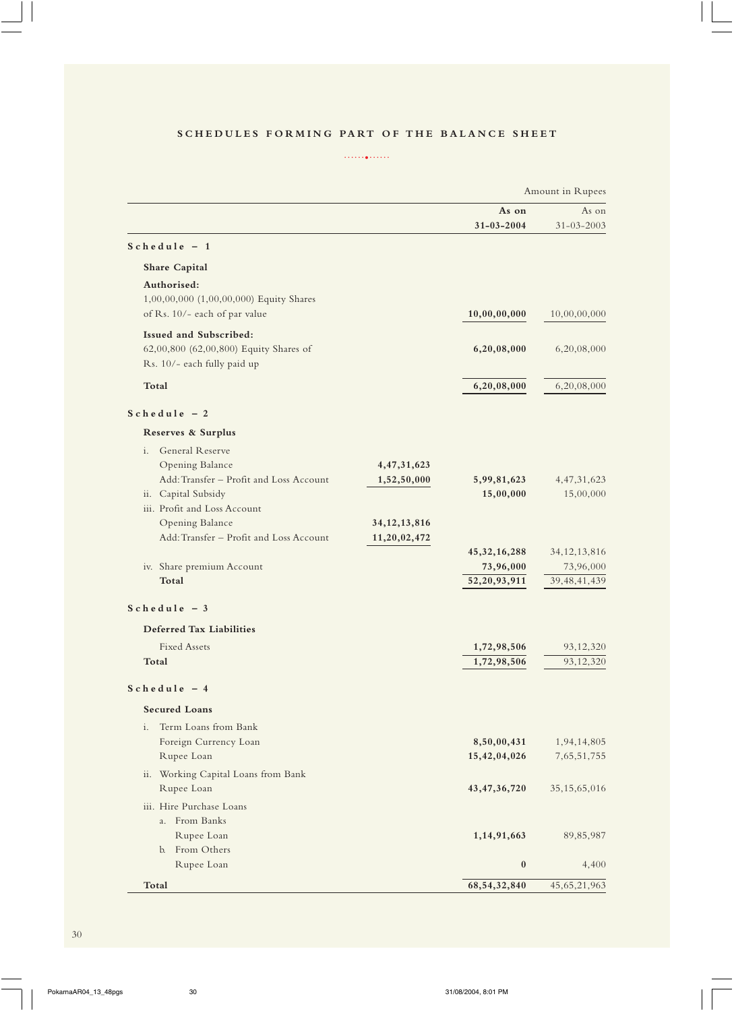# **SCHEDULES FORMING PART OF THE BALANCE SHEET**

......•......

|                                                            |                                 |                  | Amount in Rupees |
|------------------------------------------------------------|---------------------------------|------------------|------------------|
|                                                            |                                 | As on            | As on            |
|                                                            |                                 | $31 - 03 - 2004$ | $31 - 03 - 2003$ |
| $Schedule - 1$                                             |                                 |                  |                  |
| <b>Share Capital</b>                                       |                                 |                  |                  |
| Authorised:                                                |                                 |                  |                  |
| 1,00,00,000 (1,00,00,000) Equity Shares                    |                                 |                  |                  |
| of Rs. 10/- each of par value                              |                                 | 10,00,00,000     | 10,00,00,000     |
| Issued and Subscribed:                                     |                                 |                  |                  |
| 62,00,800 (62,00,800) Equity Shares of                     |                                 | 6,20,08,000      | 6,20,08,000      |
| Rs. 10/- each fully paid up                                |                                 |                  |                  |
| Total                                                      |                                 | 6,20,08,000      | 6,20,08,000      |
| $Schedule - 2$                                             |                                 |                  |                  |
| Reserves & Surplus                                         |                                 |                  |                  |
| <b>General Reserve</b><br>i.                               |                                 |                  |                  |
| Opening Balance                                            | 4, 47, 31, 623                  |                  |                  |
| Add: Transfer - Profit and Loss Account                    | 1,52,50,000                     | 5,99,81,623      | 4, 47, 31, 623   |
| ii. Capital Subsidy                                        |                                 | 15,00,000        | 15,00,000        |
| iii. Profit and Loss Account                               |                                 |                  |                  |
| Opening Balance<br>Add: Transfer - Profit and Loss Account | 34, 12, 13, 816<br>11,20,02,472 |                  |                  |
|                                                            |                                 | 45, 32, 16, 288  | 34, 12, 13, 816  |
| iv. Share premium Account                                  |                                 | 73,96,000        | 73,96,000        |
| Total                                                      |                                 | 52, 20, 93, 911  | 39, 48, 41, 439  |
| $Schedule - 3$                                             |                                 |                  |                  |
| <b>Deferred Tax Liabilities</b>                            |                                 |                  |                  |
| <b>Fixed Assets</b>                                        |                                 | 1,72,98,506      | 93,12,320        |
| Total                                                      |                                 | 1,72,98,506      | 93,12,320        |
| $Schedule - 4$                                             |                                 |                  |                  |
| <b>Secured Loans</b>                                       |                                 |                  |                  |
| Term Loans from Bank<br>i.                                 |                                 |                  |                  |
| Foreign Currency Loan                                      |                                 | 8,50,00,431      | 1,94,14,805      |
| Rupee Loan                                                 |                                 | 15,42,04,026     | 7,65,51,755      |
| ii. Working Capital Loans from Bank                        |                                 |                  |                  |
| Rupee Loan                                                 |                                 | 43, 47, 36, 720  | 35, 15, 65, 016  |
| iii. Hire Purchase Loans                                   |                                 |                  |                  |
| a. From Banks                                              |                                 |                  |                  |
| Rupee Loan                                                 |                                 | 1,14,91,663      | 89, 85, 987      |
| b. From Others                                             |                                 | $\bf{0}$         |                  |
| Rupee Loan                                                 |                                 |                  | 4,400            |
| Total                                                      |                                 | 68, 54, 32, 840  | 45, 65, 21, 963  |

 $\overline{\phantom{0}}$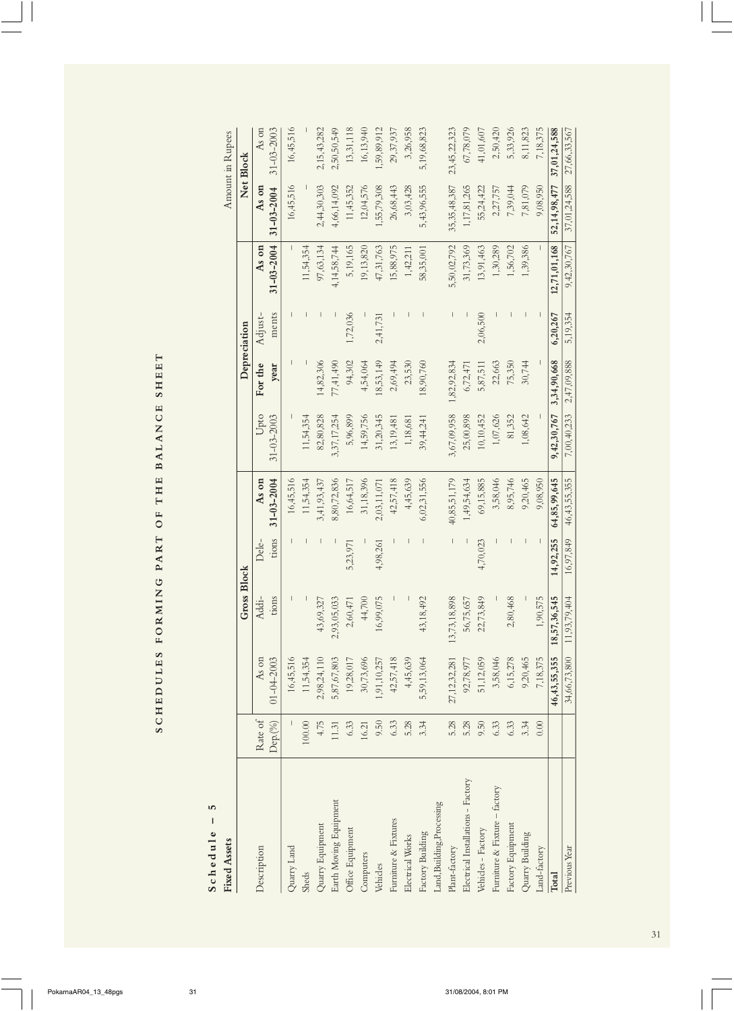| SHEE                   |
|------------------------|
| OF THE BALANCE         |
|                        |
|                        |
|                        |
| SCHEDULES FORMING PART |

# Schedule - 5 **Schedule – 5**

| <b>Fixed Assets</b>                |             |                  |                    |           |                  |                  |             |              |                  |                  | Amount in Rupees |
|------------------------------------|-------------|------------------|--------------------|-----------|------------------|------------------|-------------|--------------|------------------|------------------|------------------|
|                                    |             |                  | <b>Gross Block</b> |           |                  |                  |             | Depreciation |                  |                  | Net Block        |
| Description                        | Rate of     | As on            | Addi-              | Dele-     | As on            | Upto             | For the     | Adjust-      | As on            | As on            | As on            |
|                                    | $Dep. (\%)$ | $01 - 04 - 2003$ | tions              | tions     | $31 - 03 - 2004$ | $31 - 03 - 2003$ | year        | ments        | $31 - 03 - 2004$ | $31 - 03 - 2004$ | $31 - 03 - 2003$ |
| Quarry Land                        |             | 16,45,516        |                    |           | 16,45,516        |                  |             |              |                  | 16,45,516        | 16,45,516        |
| <b>Sheds</b>                       | $100.00\,$  | 11,54,354        |                    |           | 11,54,354        | 11,54,354        |             |              | 11,54,354        |                  |                  |
| Quarry Equipment                   | 4.75        | 2,98,24,110      | 43,69,327          |           | 3,41,93,437      | 82,80,828        | 4,82,306    |              | 97,63,134        | 2,44,30,303      | 2,15,43,282      |
| Earth Moving Equipment             | 11.31       | 5,87,67,803      | 2,93,05,033        |           | 8,80,72,836      | 3,37,17,254      | 77,41,490   |              | 4,14,58,744      | 4,66,14,092      | 2,50,50,549      |
| Office Equipment                   | 6.33        | 19,28,017        | 2,60,471           | 5,23,971  | 16,64,517        | 5,96,899         | 94,302      | ,72,036      | 5,19,165         | 11,45,352        | 13,31,118        |
| Computers                          | 16.21       | 30,73,696        | 44,700             |           | 31,18,396        | 14,59,756        | 4,54,064    |              | 19,13,820        | 12,04,576        | 16,13,940        |
| Vehicles                           | 9.50        | 1,91,10,257      | 16,99,075          | 4,98,261  | 2,03,11,071      | 31,20,345        | 18,53,149   | 2,41,731     | 47,31,763        | 1,55,79,308      | 59,89,912        |
| Furniture & Fixtures               | 6.33        | 42,57,418        |                    |           | 42,57,418        | 13,19,481        | 2,69,494    |              | 15,88,975        | 26,68,443        | 29,37,937        |
| Electrical Works                   | 5.28        | 4,45,639         |                    |           | 4,45,639         | 1,18,681         | 23,530      |              | 1,42,211         | 3,03,428         | 3,26,958         |
| Factory Building                   | 3.34        | 5,59,13,064      | 43,18,492          |           | 6,02,31,556      | 39,44,241        | 18,90,760   |              | 58,35,001        | 5,43,96,555      | 5,19,68,823      |
| Land, Building, Processing         |             |                  |                    |           |                  |                  |             |              |                  |                  |                  |
| Plant-factory                      | 5.28        | 27, 12, 32, 281  | 13,73,18,898       |           | 40,85,51,179     | 3,67,09,958      | 1,82,92,834 |              | 5,50,02,792      | 35, 35, 48, 387  | 23,45,22,323     |
| Electrical Installations - Factory | 5.28        | 92,78,977        | 56,75,657          |           | 1,49,54,634      | 25,00,898        | 6,72,471    |              | 31,73,369        | 1,17,81,265      | 67,78,079        |
| Vehicles - Factory                 | 9.50        | 51,12,059        | 22,73,849          | 4,70,023  | 69,15,885        | 10,10,452        | 5,87,511    | 2,06,500     | 13,91,463        | 55,24,422        | 41,01,607        |
| Furniture & Fixture - factory      | 6.33        | 3,58,046         |                    |           | 3,58,046         | 1,07,626         | 22,663      |              | 1,30,289         | 2,27,757         | 2,50,420         |
| Factory Equipment                  | 6.33        | 6,15,278         | ,80,468<br>$\sim$  |           | 8,95,746         | 81,352           | 75,350      |              | 1,56,702         | 7,39,044         | 5,33,926         |
| Quarry Building                    | 3.34        | 9,20,465         |                    |           | 9,20,465         | 1,08,642         | 30,744      |              | 1,39,386         | 7,81,079         | 8,11,823         |
| Land-factory                       | 0.00        | 7,18,375         | 1,90,575           |           | 9,08,950         |                  |             |              |                  | 9,08,950         | 7,18,375         |
| Total                              |             | 46,43,55,355     | 18,57,36,545       | 14,92,255 | 64,85,99,645     | 9,42,30,767      | 3,34,90,668 | 6,20,267     | 12,71,01,168     | 52,14,98,477     | 37,01,24,588     |
| Previous Year                      |             | 34,66,73,800     | 11,93,79,404       | 16,97,849 | 46, 43, 55, 355  | 7,00,40,233      | 2,47,09,888 | 5,19,354     | 9,42,30,767      | 37,01,24,588     | 27,66,33,567     |

31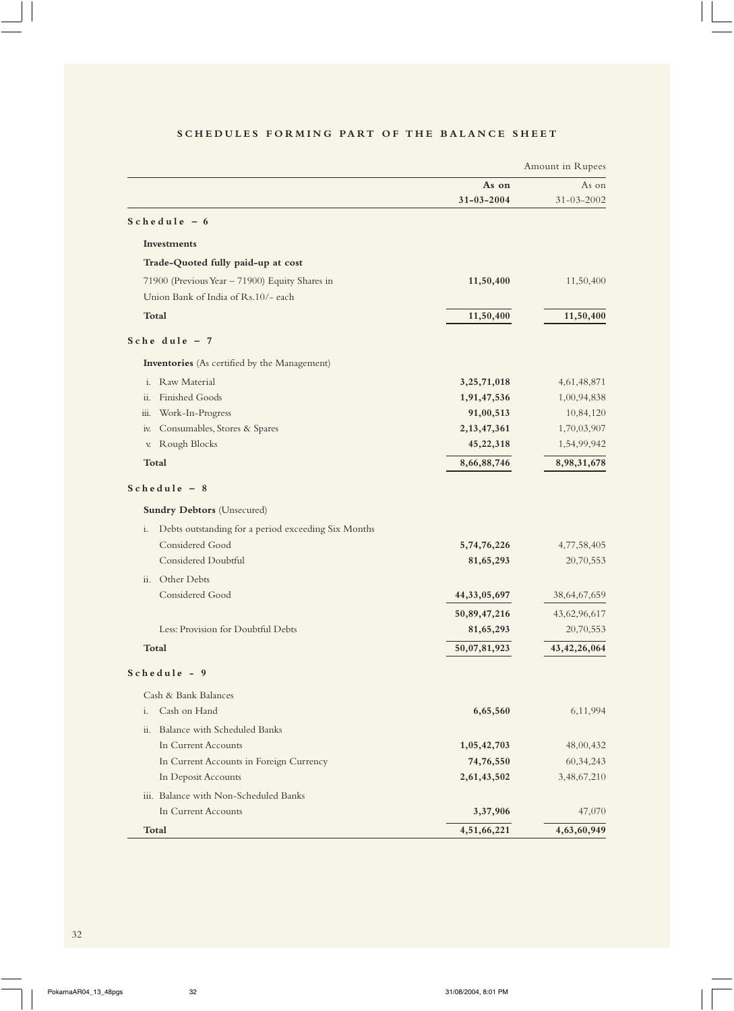|                                                           |                  | Amount in Rupees |
|-----------------------------------------------------------|------------------|------------------|
|                                                           | As on            | As on            |
|                                                           | $31 - 03 - 2004$ | $31 - 03 - 2002$ |
| $Schedule - 6$                                            |                  |                  |
| <b>Investments</b>                                        |                  |                  |
| Trade-Quoted fully paid-up at cost                        |                  |                  |
| 71900 (Previous Year - 71900) Equity Shares in            | 11,50,400        | 11,50,400        |
| Union Bank of India of Rs.10/- each                       |                  |                  |
| <b>Total</b>                                              | 11,50,400        | 11,50,400        |
| Schedule $-7$                                             |                  |                  |
| Inventories (As certified by the Management)              |                  |                  |
| Raw Material<br>$\mathbf{i}$ .                            | 3, 25, 71, 018   | 4,61,48,871      |
| Finished Goods<br>ii.                                     | 1,91,47,536      | 1,00,94,838      |
| Work-In-Progress<br>iii.                                  | 91,00,513        | 10,84,120        |
| Consumables, Stores & Spares<br>IV.                       | 2, 13, 47, 361   | 1,70,03,907      |
| Rough Blocks<br>V.                                        | 45,22,318        | 1,54,99,942      |
| Total                                                     | 8,66,88,746      | 8,98,31,678      |
| $S$ chedule - 8                                           |                  |                  |
| <b>Sundry Debtors (Unsecured)</b>                         |                  |                  |
| Debts outstanding for a period exceeding Six Months<br>i. |                  |                  |
| Considered Good                                           | 5,74,76,226      | 4,77,58,405      |
| Considered Doubtful                                       | 81,65,293        | 20,70,553        |
| ii. Other Debts                                           |                  |                  |
| Considered Good                                           | 44, 33, 05, 697  | 38,64,67,659     |
|                                                           | 50,89,47,216     | 43,62,96,617     |
| Less: Provision for Doubtful Debts                        | 81,65,293        | 20,70,553        |
| <b>Total</b>                                              | 50,07,81,923     | 43, 42, 26, 064  |
| Schedule - 9                                              |                  |                  |
| Cash & Bank Balances                                      |                  |                  |
| Cash on Hand<br>i.                                        | 6,65,560         | 6,11,994         |
| Balance with Scheduled Banks<br>$\ddot{\mathbf{i}}$       |                  |                  |
| In Current Accounts                                       | 1,05,42,703      | 48,00,432        |
| In Current Accounts in Foreign Currency                   | 74,76,550        | 60, 34, 243      |
| In Deposit Accounts                                       | 2,61,43,502      | 3,48,67,210      |
| iii. Balance with Non-Scheduled Banks                     |                  |                  |
| In Current Accounts                                       | 3,37,906         | 47,070           |
| Total                                                     | 4,51,66,221      | 4,63,60,949      |

# **SCHEDULES FORMING PART OF THE BALANCE SHEET**

 $\overline{\phantom{0}}$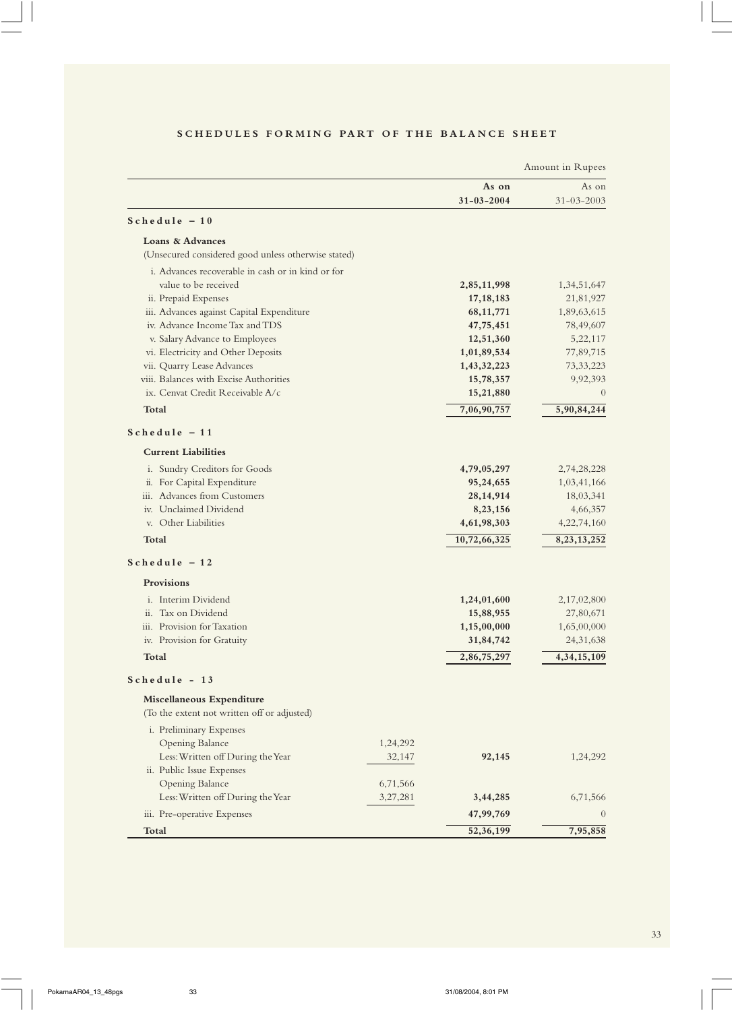|                                                                          |                      |                  | Amount in Rupees |
|--------------------------------------------------------------------------|----------------------|------------------|------------------|
|                                                                          |                      | As on            | As on            |
|                                                                          |                      | $31 - 03 - 2004$ | $31 - 03 - 2003$ |
| $Schedule - 10$                                                          |                      |                  |                  |
| Loans & Advances                                                         |                      |                  |                  |
| (Unsecured considered good unless otherwise stated)                      |                      |                  |                  |
| i. Advances recoverable in cash or in kind or for                        |                      |                  |                  |
| value to be received                                                     |                      | 2,85,11,998      | 1,34,51,647      |
| ii. Prepaid Expenses                                                     |                      | 17, 18, 183      | 21,81,927        |
| iii. Advances against Capital Expenditure                                |                      | 68, 11, 771      | 1,89,63,615      |
| iv. Advance Income Tax and TDS                                           |                      | 47,75,451        | 78,49,607        |
| v. Salary Advance to Employees                                           |                      | 12,51,360        | 5,22,117         |
| vi. Electricity and Other Deposits                                       |                      | 1,01,89,534      | 77,89,715        |
| vii. Quarry Lease Advances                                               |                      | 1,43,32,223      | 73, 33, 223      |
| viii. Balances with Excise Authorities                                   |                      | 15,78,357        | 9,92,393         |
| ix. Cenvat Credit Receivable A/c                                         |                      | 15,21,880        | $\theta$         |
| Total                                                                    |                      | 7,06,90,757      | 5,90,84,244      |
| $Schedule - 11$                                                          |                      |                  |                  |
| <b>Current Liabilities</b>                                               |                      |                  |                  |
| i. Sundry Creditors for Goods                                            |                      | 4,79,05,297      | 2,74,28,228      |
| ii. For Capital Expenditure                                              |                      | 95,24,655        | 1,03,41,166      |
| iii. Advances from Customers                                             |                      | 28, 14, 914      | 18,03,341        |
| iv. Unclaimed Dividend                                                   |                      | 8,23,156         | 4,66,357         |
| v. Other Liabilities                                                     |                      | 4,61,98,303      | 4,22,74,160      |
| Total                                                                    |                      | 10,72,66,325     | 8, 23, 13, 252   |
| $Schedule - 12$                                                          |                      |                  |                  |
| Provisions                                                               |                      |                  |                  |
| <i>i.</i> Interim Dividend                                               |                      | 1,24,01,600      | 2,17,02,800      |
| Tax on Dividend<br>$\ddot{\mathbf{i}}$                                   |                      | 15,88,955        | 27,80,671        |
| iii. Provision for Taxation                                              |                      | 1,15,00,000      | 1,65,00,000      |
| iv. Provision for Gratuity                                               |                      | 31,84,742        | 24, 31, 638      |
| Total                                                                    |                      | 2,86,75,297      | 4, 34, 15, 109   |
| Schedule - 13                                                            |                      |                  |                  |
| Miscellaneous Expenditure<br>(To the extent not written off or adjusted) |                      |                  |                  |
|                                                                          |                      |                  |                  |
| i. Preliminary Expenses                                                  |                      |                  |                  |
| Opening Balance<br>Less: Written off During the Year                     | 1,24,292             |                  | 1,24,292         |
|                                                                          | 32,147               | 92,145           |                  |
| ii. Public Issue Expenses<br>Opening Balance                             |                      |                  |                  |
| Less: Written off During the Year                                        | 6,71,566<br>3,27,281 | 3,44,285         | 6,71,566         |
|                                                                          |                      |                  |                  |
| iii. Pre-operative Expenses                                              |                      | 47,99,769        | $\theta$         |
| <b>Total</b>                                                             |                      | 52,36,199        | 7,95,858         |

# **SCHEDULES FORMING PART OF THE BALANCE SHEET**

 $\begin{array}{c} \begin{array}{c} \begin{array}{c} \end{array} \end{array} \end{array}$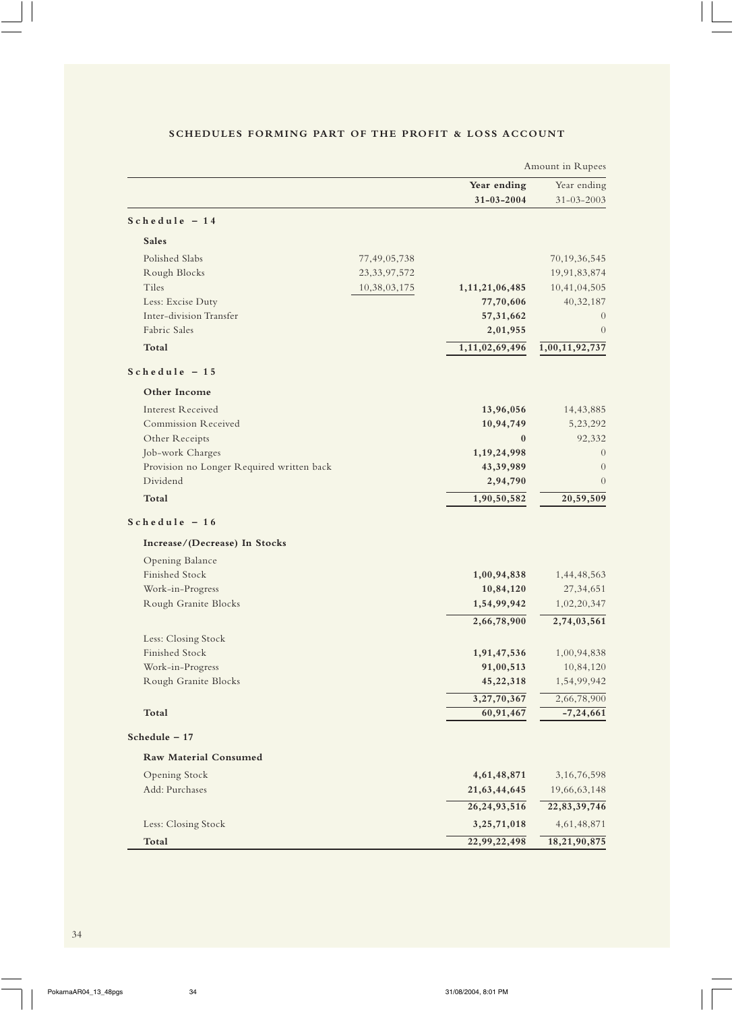|                                           |                 |                  | Amount in Rupees |
|-------------------------------------------|-----------------|------------------|------------------|
|                                           |                 | Year ending      | Year ending      |
|                                           |                 | $31 - 03 - 2004$ | $31 - 03 - 2003$ |
| $Schedule - 14$                           |                 |                  |                  |
| <b>Sales</b>                              |                 |                  |                  |
| Polished Slabs                            | 77,49,05,738    |                  | 70, 19, 36, 545  |
| Rough Blocks                              | 23, 33, 97, 572 |                  | 19,91,83,874     |
| Tiles                                     | 10,38,03,175    | 1,11,21,06,485   | 10,41,04,505     |
| Less: Excise Duty                         |                 | 77,70,606        | 40,32,187        |
| Inter-division Transfer                   |                 | 57, 31, 662      | $\overline{0}$   |
| Fabric Sales                              |                 | 2,01,955         | $\overline{0}$   |
| Total                                     |                 | 1,11,02,69,496   | 1,00,11,92,737   |
| $Schedule - 15$                           |                 |                  |                  |
| Other Income                              |                 |                  |                  |
| <b>Interest Received</b>                  |                 | 13,96,056        | 14,43,885        |
| Commission Received                       |                 | 10,94,749        | 5,23,292         |
| Other Receipts                            |                 | $\bf{0}$         | 92,332           |
| Job-work Charges                          |                 | 1,19,24,998      | $\theta$         |
| Provision no Longer Required written back |                 | 43,39,989        | $\theta$         |
| Dividend                                  |                 | 2,94,790         | $\Omega$         |
| Total                                     |                 | 1,90,50,582      | 20,59,509        |
| $Schedule - 16$                           |                 |                  |                  |
| Increase/(Decrease) In Stocks             |                 |                  |                  |
| Opening Balance                           |                 |                  |                  |
| Finished Stock                            |                 | 1,00,94,838      | 1,44,48,563      |
| Work-in-Progress                          |                 | 10,84,120        | 27, 34, 651      |
| Rough Granite Blocks                      |                 | 1,54,99,942      | 1,02,20,347      |
|                                           |                 | 2,66,78,900      | 2,74,03,561      |
| Less: Closing Stock                       |                 |                  |                  |
| Finished Stock                            |                 | 1,91,47,536      | 1,00,94,838      |
| Work-in-Progress                          |                 | 91,00,513        | 10,84,120        |
| Rough Granite Blocks                      |                 | 45,22,318        | 1,54,99,942      |
|                                           |                 | 3,27,70,367      | 2,66,78,900      |
| Total                                     |                 | 60,91,467        | $-7, 24, 661$    |
| Schedule - 17                             |                 |                  |                  |
| Raw Material Consumed                     |                 |                  |                  |
| Opening Stock                             |                 | 4,61,48,871      | 3, 16, 76, 598   |
| Add: Purchases                            |                 | 21,63,44,645     | 19,66,63,148     |
|                                           |                 | 26, 24, 93, 516  | 22,83,39,746     |
| Less: Closing Stock                       |                 | 3,25,71,018      | 4, 61, 48, 871   |
| Total                                     |                 | 22,99,22,498     | 18,21,90,875     |

# **SCHEDULES FORMING PART OF THE PROFIT & LOSS ACCOUNT**

 $\begin{array}{c} \begin{array}{c} \begin{array}{c} \end{array} \\ \begin{array}{c} \end{array} \end{array} \end{array}$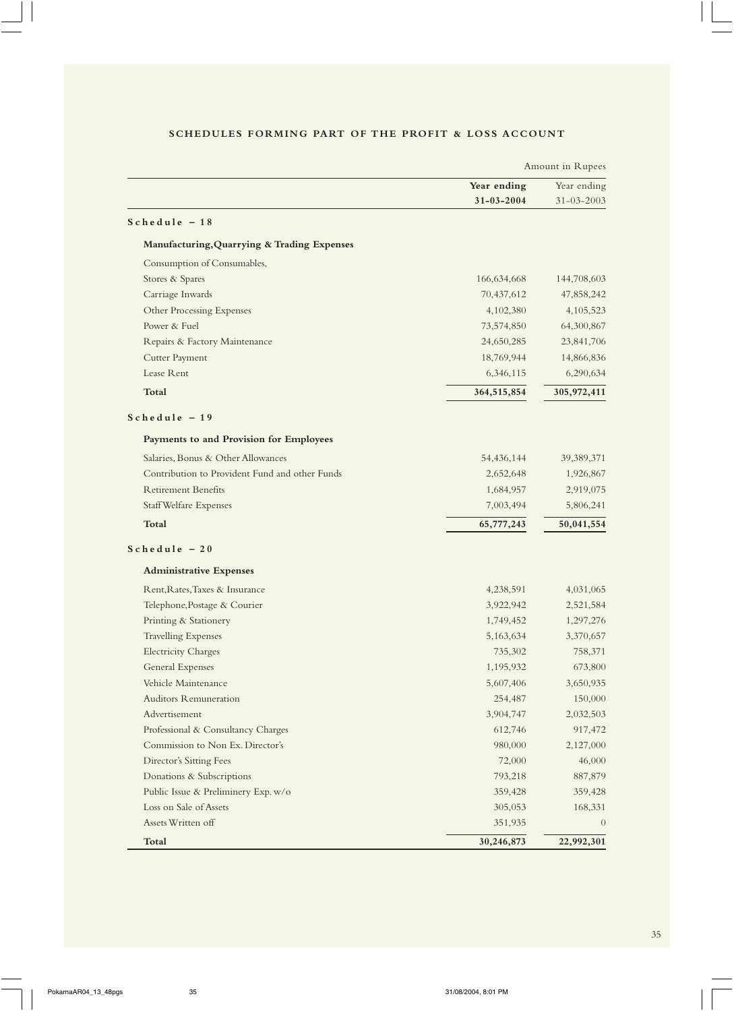|                                                | Amount in Rupees |                  |
|------------------------------------------------|------------------|------------------|
|                                                | Year ending      | Year ending      |
|                                                | $31 - 03 - 2004$ | $31 - 03 - 2003$ |
| $Schedule - 18$                                |                  |                  |
| Manufacturing, Quarrying & Trading Expenses    |                  |                  |
| Consumption of Consumables,                    |                  |                  |
| Stores & Spares                                | 166,634,668      | 144,708,603      |
| Carriage Inwards                               | 70,437,612       | 47,858,242       |
| Other Processing Expenses                      | 4,102,380        | 4,105,523        |
| Power & Fuel                                   | 73,574,850       | 64,300,867       |
| Repairs & Factory Maintenance                  | 24,650,285       | 23,841,706       |
| Cutter Payment                                 | 18,769,944       | 14,866,836       |
| Lease Rent                                     | 6,346,115        | 6,290,634        |
| <b>Total</b>                                   | 364,515,854      | 305,972,411      |
| $Schedule - 19$                                |                  |                  |
| Payments to and Provision for Employees        |                  |                  |
| Salaries, Bonus & Other Allowances             | 54,436,144       | 39,389,371       |
| Contribution to Provident Fund and other Funds | 2,652,648        | 1,926,867        |
| <b>Retirement Benefits</b>                     | 1,684,957        | 2,919,075        |
| <b>Staff Welfare Expenses</b>                  | 7,003,494        | 5,806,241        |
| <b>Total</b>                                   | 65,777,243       | 50,041,554       |
| $Schedule - 20$                                |                  |                  |
| <b>Administrative Expenses</b>                 |                  |                  |
| Rent, Rates, Taxes & Insurance                 | 4,238,591        | 4,031,065        |
| Telephone, Postage & Courier                   | 3,922,942        | 2,521,584        |
| Printing & Stationery                          | 1,749,452        | 1,297,276        |
| <b>Travelling Expenses</b>                     | 5,163,634        | 3,370,657        |
| <b>Electricity Charges</b>                     | 735,302          | 758,371          |
| <b>General Expenses</b>                        | 1,195,932        | 673,800          |
| Vehicle Maintenance                            | 5,607,406        | 3,650,935        |
| <b>Auditors Remuneration</b>                   | 254,487          | 150,000          |
| Advertisement                                  | 3,904,747        | 2,032,503        |
| Professional & Consultancy Charges             | 612,746          | 917,472          |
| Commission to Non Ex. Director's               | 980,000          | 2,127,000        |
| Director's Sitting Fees                        | 72,000           | 46,000           |
| Donations & Subscriptions                      | 793,218          | 887,879          |
| Public Issue & Preliminery Exp. w/o            | 359,428          | 359,428          |
| Loss on Sale of Assets                         | 305,053          | 168,331          |
| Assets Written off                             | 351,935          | $\theta$         |
| Total                                          | 30,246,873       | 22,992,301       |

# **SCHEDULES FORMING PART OF THE PROFIT & LOSS ACCOUNT**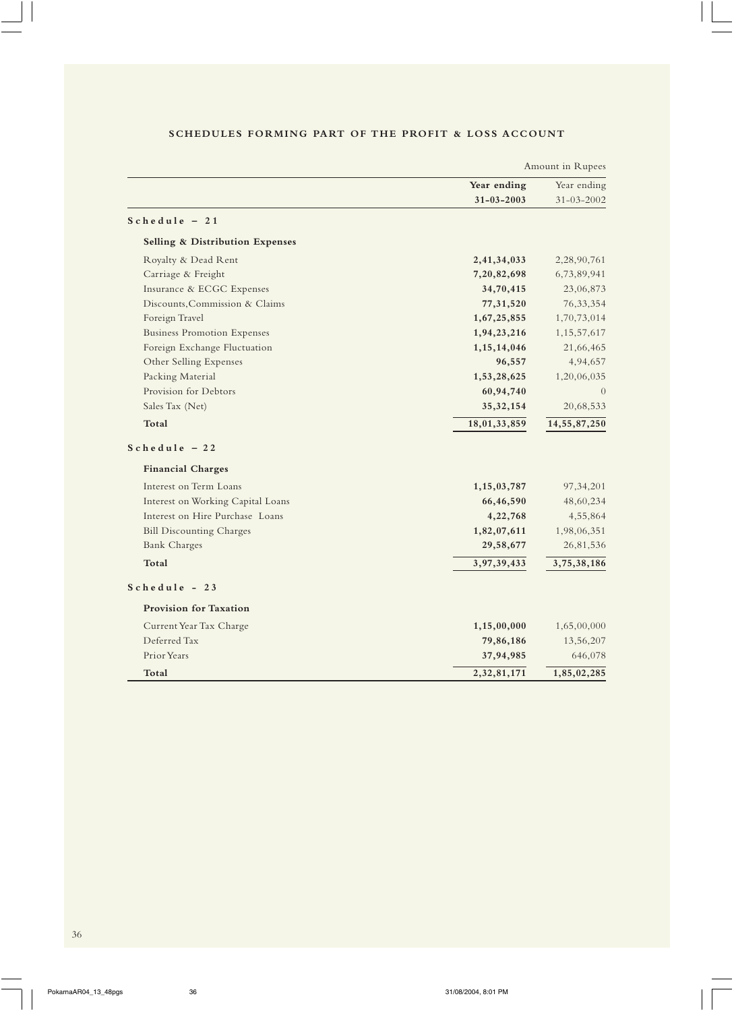|                                            | Amount in Rupees |                  |
|--------------------------------------------|------------------|------------------|
|                                            | Year ending      | Year ending      |
|                                            | $31 - 03 - 2003$ | $31 - 03 - 2002$ |
| $Schedule - 21$                            |                  |                  |
| <b>Selling &amp; Distribution Expenses</b> |                  |                  |
| Royalty & Dead Rent                        | 2,41,34,033      | 2,28,90,761      |
| Carriage & Freight                         | 7,20,82,698      | 6,73,89,941      |
| Insurance & ECGC Expenses                  | 34,70,415        | 23,06,873        |
| Discounts, Commission & Claims             | 77,31,520        | 76, 33, 354      |
| Foreign Travel                             | 1,67,25,855      | 1,70,73,014      |
| <b>Business Promotion Expenses</b>         | 1,94,23,216      | 1, 15, 57, 617   |
| Foreign Exchange Fluctuation               | 1, 15, 14, 046   | 21,66,465        |
| Other Selling Expenses                     | 96,557           | 4,94,657         |
| Packing Material                           | 1,53,28,625      | 1,20,06,035      |
| Provision for Debtors                      | 60,94,740        | $\Omega$         |
| Sales Tax (Net)                            | 35, 32, 154      | 20,68,533        |
| Total                                      | 18,01,33,859     | 14, 55, 87, 250  |
| $Schedule - 22$                            |                  |                  |
| <b>Financial Charges</b>                   |                  |                  |
| Interest on Term Loans                     | 1,15,03,787      | 97, 34, 201      |
| Interest on Working Capital Loans          | 66,46,590        | 48,60,234        |
| Interest on Hire Purchase Loans            | 4,22,768         | 4,55,864         |
| <b>Bill Discounting Charges</b>            | 1,82,07,611      | 1,98,06,351      |
| <b>Bank Charges</b>                        | 29,58,677        | 26,81,536        |
| Total                                      | 3,97,39,433      | 3,75,38,186      |
| $Schedule - 23$                            |                  |                  |
| <b>Provision for Taxation</b>              |                  |                  |
| Current Year Tax Charge                    | 1,15,00,000      | 1,65,00,000      |
| Deferred Tax                               | 79,86,186        | 13,56,207        |
| Prior Years                                | 37,94,985        | 646,078          |
| Total                                      | 2,32,81,171      | 1,85,02,285      |

# **SCHEDULES FORMING PART OF THE PROFIT & LOSS ACCOUNT**

 $\overline{\phantom{0}}$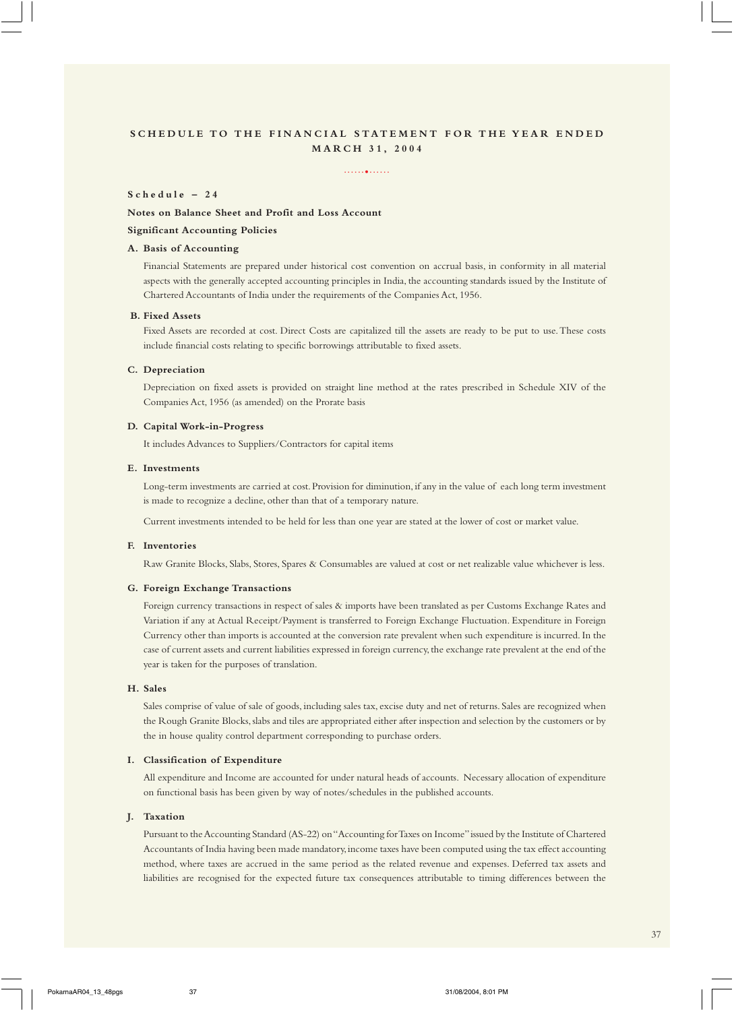#### ......•......

#### **Schedule – 24**

**Notes on Balance Sheet and Profit and Loss Account**

## **Significant Accounting Policies**

#### **A. Basis of Accounting**

Financial Statements are prepared under historical cost convention on accrual basis, in conformity in all material aspects with the generally accepted accounting principles in India, the accounting standards issued by the Institute of Chartered Accountants of India under the requirements of the Companies Act, 1956.

#### **B. Fixed Assets**

Fixed Assets are recorded at cost. Direct Costs are capitalized till the assets are ready to be put to use. These costs include financial costs relating to specific borrowings attributable to fixed assets.

#### **C. Depreciation**

Depreciation on fixed assets is provided on straight line method at the rates prescribed in Schedule XIV of the Companies Act, 1956 (as amended) on the Prorate basis

#### **D. Capital Work-in-Progress**

It includes Advances to Suppliers/Contractors for capital items

#### **E. Investments**

Long-term investments are carried at cost. Provision for diminution, if any in the value of each long term investment is made to recognize a decline, other than that of a temporary nature.

Current investments intended to be held for less than one year are stated at the lower of cost or market value.

#### **F. Inventories**

Raw Granite Blocks, Slabs, Stores, Spares & Consumables are valued at cost or net realizable value whichever is less.

#### **G. Foreign Exchange Transactions**

Foreign currency transactions in respect of sales & imports have been translated as per Customs Exchange Rates and Variation if any at Actual Receipt/Payment is transferred to Foreign Exchange Fluctuation. Expenditure in Foreign Currency other than imports is accounted at the conversion rate prevalent when such expenditure is incurred. In the case of current assets and current liabilities expressed in foreign currency, the exchange rate prevalent at the end of the year is taken for the purposes of translation.

#### **H. Sales**

Sales comprise of value of sale of goods, including sales tax, excise duty and net of returns. Sales are recognized when the Rough Granite Blocks, slabs and tiles are appropriated either after inspection and selection by the customers or by the in house quality control department corresponding to purchase orders.

#### **I. Classification of Expenditure**

All expenditure and Income are accounted for under natural heads of accounts. Necessary allocation of expenditure on functional basis has been given by way of notes/schedules in the published accounts.

#### **J. Taxation**

Pursuant to the Accounting Standard (AS-22) on "Accounting for Taxes on Income" issued by the Institute of Chartered Accountants of India having been made mandatory, income taxes have been computed using the tax effect accounting method, where taxes are accrued in the same period as the related revenue and expenses. Deferred tax assets and liabilities are recognised for the expected future tax consequences attributable to timing differences between the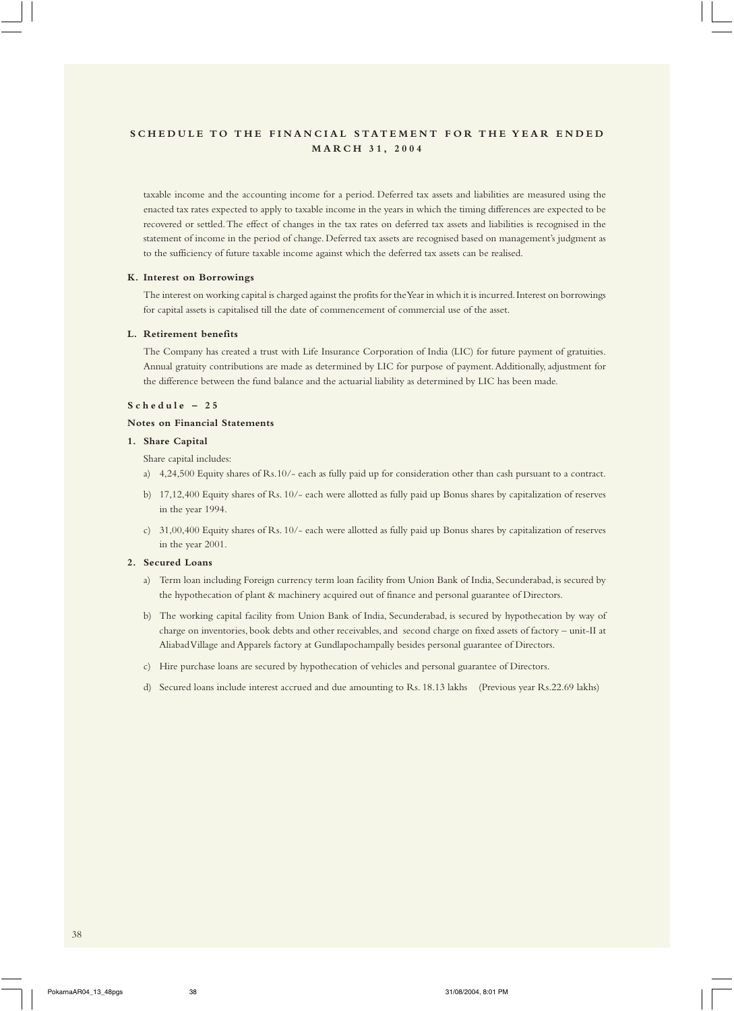taxable income and the accounting income for a period. Deferred tax assets and liabilities are measured using the enacted tax rates expected to apply to taxable income in the years in which the timing differences are expected to be recovered or settled. The effect of changes in the tax rates on deferred tax assets and liabilities is recognised in the statement of income in the period of change. Deferred tax assets are recognised based on management's judgment as to the sufficiency of future taxable income against which the deferred tax assets can be realised.

#### **K. Interest on Borrowings**

The interest on working capital is charged against the profits for the Year in which it is incurred. Interest on borrowings for capital assets is capitalised till the date of commencement of commercial use of the asset.

#### **L. Retirement benefits**

The Company has created a trust with Life Insurance Corporation of India (LIC) for future payment of gratuities. Annual gratuity contributions are made as determined by LIC for purpose of payment. Additionally, adjustment for the difference between the fund balance and the actuarial liability as determined by LIC has been made.

#### **Schedule – 25**

#### **Notes on Financial Statements**

#### **1. Share Capital**

- Share capital includes:
- a) 4,24,500 Equity shares of Rs.10/- each as fully paid up for consideration other than cash pursuant to a contract.
- b) 17,12,400 Equity shares of Rs. 10/- each were allotted as fully paid up Bonus shares by capitalization of reserves in the year 1994.
- c) 31,00,400 Equity shares of Rs. 10/- each were allotted as fully paid up Bonus shares by capitalization of reserves in the year 2001.

#### **2. Secured Loans**

- a) Term loan including Foreign currency term loan facility from Union Bank of India, Secunderabad, is secured by the hypothecation of plant & machinery acquired out of finance and personal guarantee of Directors.
- b) The working capital facility from Union Bank of India, Secunderabad, is secured by hypothecation by way of charge on inventories, book debts and other receivables, and second charge on fixed assets of factory – unit-II at Aliabad Village and Apparels factory at Gundlapochampally besides personal guarantee of Directors.
- c) Hire purchase loans are secured by hypothecation of vehicles and personal guarantee of Directors.
- d) Secured loans include interest accrued and due amounting to Rs. 18.13 lakhs (Previous year Rs.22.69 lakhs)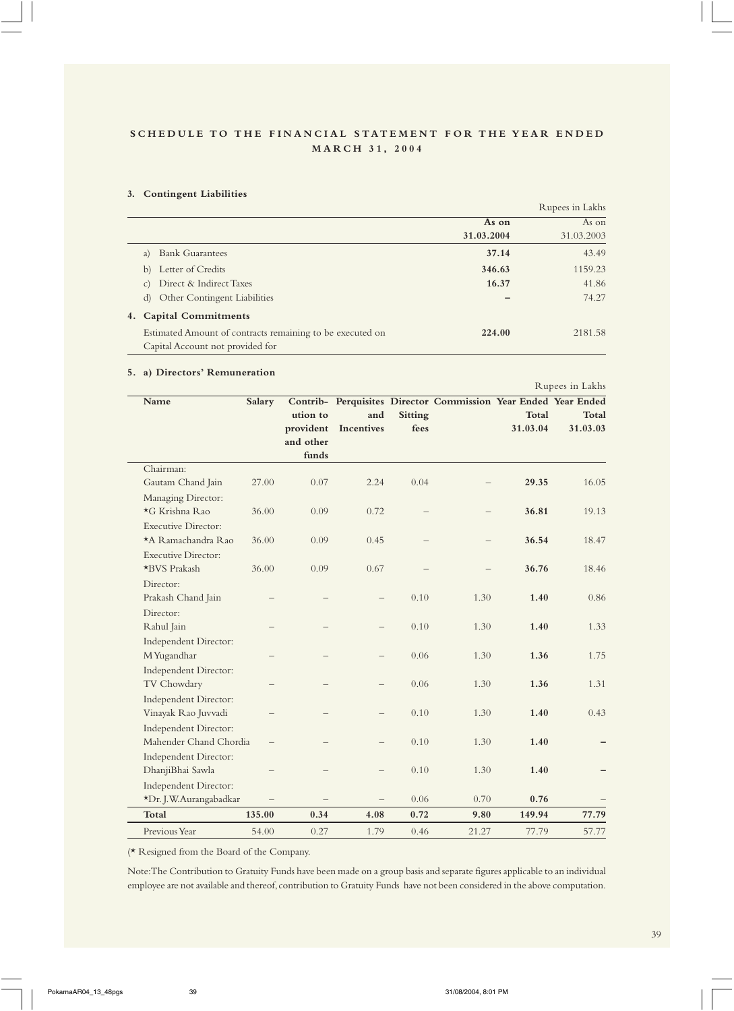#### **3. Contingent Liabilities**

|                 |                                                           |            | Rupees in Lakhs |
|-----------------|-----------------------------------------------------------|------------|-----------------|
|                 |                                                           | As on      | As on           |
|                 |                                                           | 31.03.2004 | 31.03.2003      |
| a)              | <b>Bank Guarantees</b>                                    | 37.14      | 43.49           |
| b)              | Letter of Credits                                         | 346.63     | 1159.23         |
| $\mathcal{C}$ ) | Direct & Indirect Taxes                                   | 16.37      | 41.86           |
| d)              | <b>Other Contingent Liabilities</b>                       |            | 74.27           |
|                 | 4. Capital Commitments                                    |            |                 |
|                 | Estimated Amount of contracts remaining to be executed on | 224.00     | 2181.58         |
|                 | Capital Account not provided for                          |            |                 |

#### **5. a) Directors' Remuneration**

**Name Salary Contrib- Perquisites Director Commission Year Ended Year Ended ution to and Sitting Total Total provident Incentives fees 31.03.04 31.03.03 and other funds** Chairman: Gautam Chand Jain 27.00 0.07 2.24 0.04 – **29.35** 16.05 Managing Director: \*G Krishna Rao 36.00 0.09 0.72 – – **36.81** 19.13 Executive Director: \*A Ramachandra Rao 36.00 0.09 0.45 – – **36.54** 18.47 Executive Director: \*BVS Prakash 36.00 0.09 0.67 – – **36.76** 18.46 Director: Prakash Chand Jain – – – 0.10 1.30 **1.40** 0.86 Director: Rahul Jain – – – 0.10 1.30 **1.40** 1.33 Independent Director: M Yugandhar – – – 0.06 1.30 **1.36** 1.75 Independent Director: TV Chowdary – – – 0.06 1.30 **1.36** 1.31 Independent Director: Vinayak Rao Juvvadi – – – 0.10 1.30 **1.40** 0.43 Independent Director: Mahender Chand Chordia – – – 0.10 1.30 **1.40 –** Independent Director: DhanjiBhai Sawla – – – 0.10 1.30 **1.40 –** Independent Director: \*Dr. J.W.Aurangabadkar – – – 0.06 0.70 **0.76** –

(\* Resigned from the Board of the Company.

Note: The Contribution to Gratuity Funds have been made on a group basis and separate figures applicable to an individual employee are not available and thereof, contribution to Gratuity Funds have not been considered in the above computation.

**Total 135.00 0.34 4.08 0.72 9.80 149.94 77.79** Previous Year 54.00 0.27 1.79 0.46 21.27 77.79 57.77

Rupees in Lakhs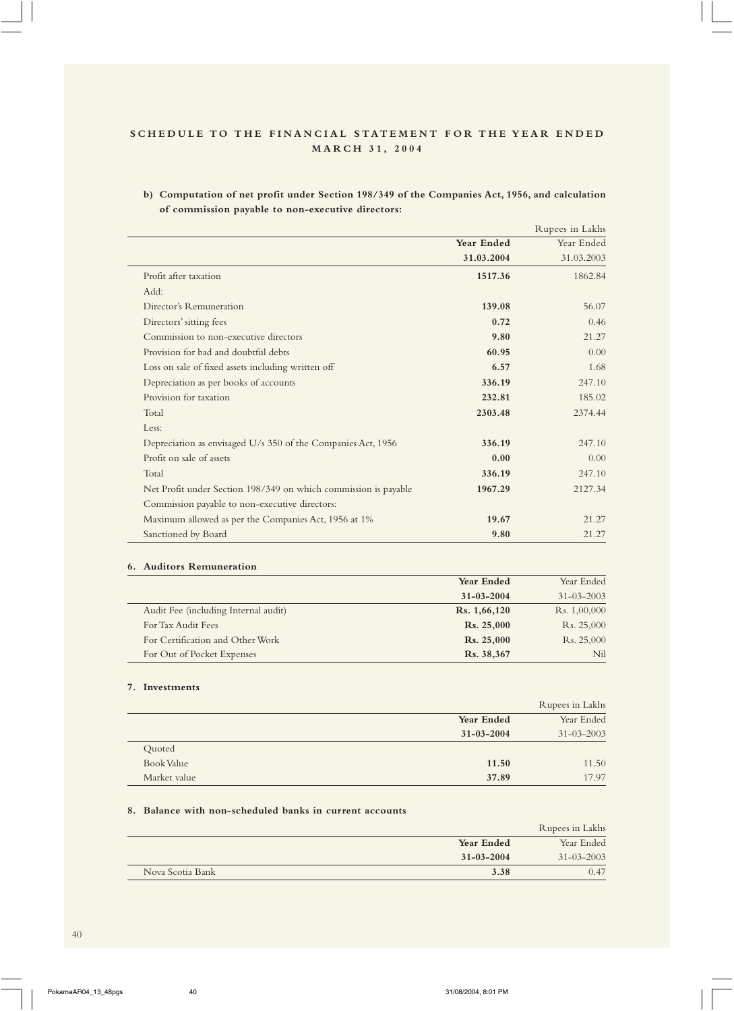**b) Computation of net profit under Section 198/349 of the Companies Act, 1956, and calculation of commission payable to non-executive directors:**

|                                                                 |            | Rupees in Lakhs |
|-----------------------------------------------------------------|------------|-----------------|
|                                                                 | Year Ended | Year Ended      |
|                                                                 | 31.03.2004 | 31.03.2003      |
| Profit after taxation                                           | 1517.36    | 1862.84         |
| Add:                                                            |            |                 |
| Director's Remuneration                                         | 139.08     | 56.07           |
| Directors' sitting fees                                         | 0.72       | 0.46            |
| Commission to non-executive directors                           | 9.80       | 21.27           |
| Provision for bad and doubtful debts                            | 60.95      | 0.00            |
| Loss on sale of fixed assets including written off              | 6.57       | 1.68            |
| Depreciation as per books of accounts                           | 336.19     | 247.10          |
| Provision for taxation                                          | 232.81     | 185.02          |
| Total                                                           | 2303.48    | 2374.44         |
| Less:                                                           |            |                 |
| Depreciation as envisaged U/s 350 of the Companies Act, 1956    | 336.19     | 247.10          |
| Profit on sale of assets                                        | 0.00       | 0.00            |
| Total                                                           | 336.19     | 247.10          |
| Net Profit under Section 198/349 on which commission is payable | 1967.29    | 2127.34         |
| Commission payable to non-executive directors:                  |            |                 |
| Maximum allowed as per the Companies Act, 1956 at 1%            | 19.67      | 21.27           |
| Sanctioned by Board                                             | 9.80       | 21.27           |

## **6. Auditors Remuneration**

|                                      | Year Ended        | Year Ended       |
|--------------------------------------|-------------------|------------------|
|                                      | $31 - 03 - 2004$  | $31 - 03 - 2003$ |
| Audit Fee (including Internal audit) | Rs. 1,66,120      | Rs. 1,00,000     |
| For Tax Audit Fees                   | <b>Rs. 25,000</b> | Rs. 25,000       |
| For Certification and Other Work     | <b>Rs. 25,000</b> | Rs. 25,000       |
| For Out of Pocket Expenses           | Rs. 38,367        | N <sub>il</sub>  |

## **7. Investments**

|              |                  | Rupees in Lakhs  |
|--------------|------------------|------------------|
|              | Year Ended       | Year Ended       |
|              | $31 - 03 - 2004$ | $31 - 03 - 2003$ |
| Quoted       |                  |                  |
| Book Value   | 11.50            | 11.50            |
| Market value | 37.89            | 17.97            |

# **8. Balance with non-scheduled banks in current accounts**

|                  |                  | Rupees in Lakhs  |
|------------------|------------------|------------------|
|                  | Year Ended       | Year Ended       |
|                  | $31 - 03 - 2004$ | $31 - 03 - 2003$ |
| Nova Scotia Bank | 3.38             | 0.47             |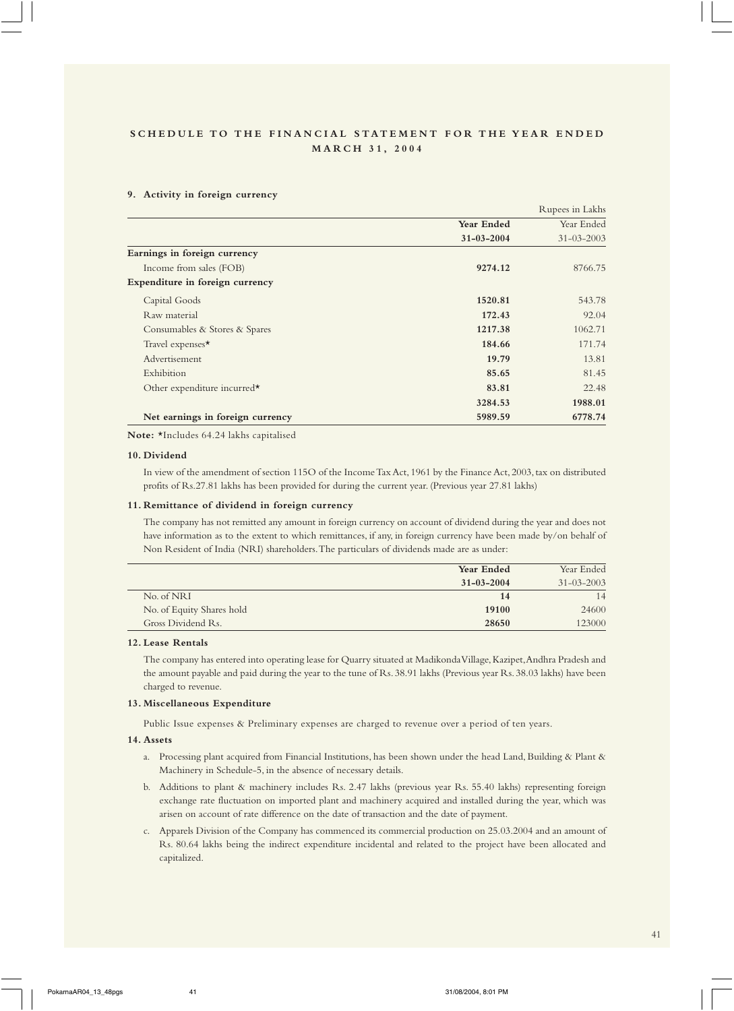#### **9. Activity in foreign currency**

|                                  |                  | Rupees in Lakhs  |
|----------------------------------|------------------|------------------|
|                                  | Year Ended       | Year Ended       |
|                                  | $31 - 03 - 2004$ | $31 - 03 - 2003$ |
| Earnings in foreign currency     |                  |                  |
| Income from sales (FOB)          | 9274.12          | 8766.75          |
| Expenditure in foreign currency  |                  |                  |
| Capital Goods                    | 1520.81          | 543.78           |
| Raw material                     | 172.43           | 92.04            |
| Consumables & Stores & Spares    | 1217.38          | 1062.71          |
| Travel expenses*                 | 184.66           | 171.74           |
| Advertisement                    | 19.79            | 13.81            |
| Exhibition                       | 85.65            | 81.45            |
| Other expenditure incurred*      | 83.81            | 22.48            |
|                                  | 3284.53          | 1988.01          |
| Net earnings in foreign currency | 5989.59          | 6778.74          |

**Note:** \*Includes 64.24 lakhs capitalised

#### **10. Dividend**

In view of the amendment of section 115O of the Income Tax Act, 1961 by the Finance Act, 2003, tax on distributed profits of Rs.27.81 lakhs has been provided for during the current year. (Previous year 27.81 lakhs)

#### **11. Remittance of dividend in foreign currency**

The company has not remitted any amount in foreign currency on account of dividend during the year and does not have information as to the extent to which remittances, if any, in foreign currency have been made by/on behalf of Non Resident of India (NRI) shareholders. The particulars of dividends made are as under:

|                           | Year Ended       | Year Ended       |
|---------------------------|------------------|------------------|
|                           | $31 - 03 - 2004$ | $31 - 03 - 2003$ |
| No. of NRI                | 14               | 14               |
| No. of Equity Shares hold | 19100            | 24600            |
| Gross Dividend Rs.        | 28650            | 123000           |

#### **12. Lease Rentals**

The company has entered into operating lease for Quarry situated at Madikonda Village, Kazipet, Andhra Pradesh and the amount payable and paid during the year to the tune of Rs. 38.91 lakhs (Previous year Rs. 38.03 lakhs) have been charged to revenue.

#### **13. Miscellaneous Expenditure**

Public Issue expenses & Preliminary expenses are charged to revenue over a period of ten years.

#### **14. Assets**

- a. Processing plant acquired from Financial Institutions, has been shown under the head Land, Building & Plant & Machinery in Schedule-5, in the absence of necessary details.
- b. Additions to plant & machinery includes Rs. 2.47 lakhs (previous year Rs. 55.40 lakhs) representing foreign exchange rate fluctuation on imported plant and machinery acquired and installed during the year, which was arisen on account of rate difference on the date of transaction and the date of payment.
- c. Apparels Division of the Company has commenced its commercial production on 25.03.2004 and an amount of Rs. 80.64 lakhs being the indirect expenditure incidental and related to the project have been allocated and capitalized.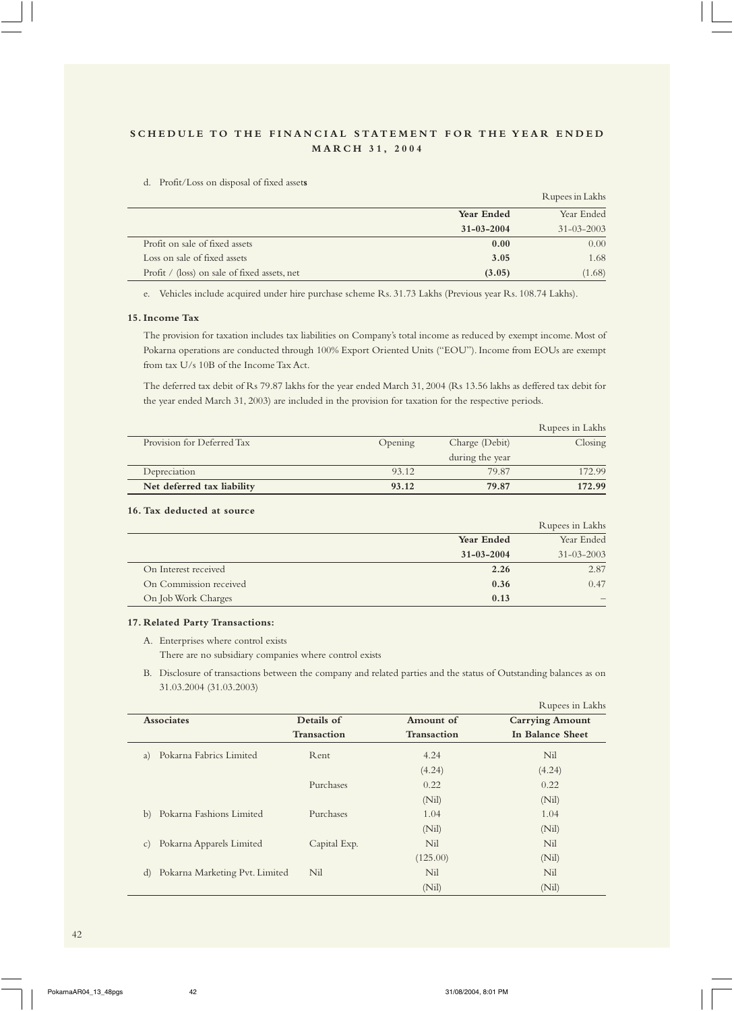| d. | Profit/Loss on disposal of fixed assets |  |  |  |  |  |
|----|-----------------------------------------|--|--|--|--|--|
|----|-----------------------------------------|--|--|--|--|--|

|                                              |                  | Rupees in Lakhs  |
|----------------------------------------------|------------------|------------------|
|                                              | Year Ended       | Year Ended       |
|                                              | $31 - 03 - 2004$ | $31 - 03 - 2003$ |
| Profit on sale of fixed assets               | 0.00             | 0.00             |
| Loss on sale of fixed assets                 | 3.05             | 1.68             |
| Profit / (loss) on sale of fixed assets, net | (3.05)           | (1.68)           |

e. Vehicles include acquired under hire purchase scheme Rs. 31.73 Lakhs (Previous year Rs. 108.74 Lakhs).

#### **15. Income Tax**

The provision for taxation includes tax liabilities on Company's total income as reduced by exempt income. Most of Pokarna operations are conducted through 100% Export Oriented Units ("EOU"). Income from EOUs are exempt from tax U/s 10B of the Income Tax Act.

The deferred tax debit of Rs 79.87 lakhs for the year ended March 31, 2004 (Rs 13.56 lakhs as deffered tax debit for the year ended March 31, 2003) are included in the provision for taxation for the respective periods.

|                            |         |                 | Rupees in Lakhs |
|----------------------------|---------|-----------------|-----------------|
| Provision for Deferred Tax | Opening | Charge (Debit)  | Closing         |
|                            |         | during the year |                 |
| Depreciation               | 93.12   | 79.87           | 172.99          |
| Net deferred tax liability | 93.12   | 79.87           | 172.99          |

## **16. Tax deducted at source**

|                        |                  | Rupees in Lakhs  |
|------------------------|------------------|------------------|
|                        | Year Ended       | Year Ended       |
|                        | $31 - 03 - 2004$ | $31 - 03 - 2003$ |
| On Interest received   | 2.26             | 2.87             |
| On Commission received | 0.36             | 0.47             |
| On Job Work Charges    | 0.13             |                  |

#### **17. Related Party Transactions:**

A. Enterprises where control exists

There are no subsidiary companies where control exists

B. Disclosure of transactions between the company and related parties and the status of Outstanding balances as on 31.03.2004 (31.03.2003)

|                                             |              |                    | Rupees in Lakhs        |
|---------------------------------------------|--------------|--------------------|------------------------|
| <b>Associates</b>                           | Details of   | Amount of          | <b>Carrying Amount</b> |
|                                             | Transaction  | <b>Transaction</b> | In Balance Sheet       |
| Pokarna Fabrics Limited<br>a)               | Rent         | 4.24               | Nil                    |
|                                             |              | (4.24)             | (4.24)                 |
|                                             | Purchases    | 0.22               | 0.22                   |
|                                             |              | (Nil)              | (Nil)                  |
| Pokarna Fashions Limited<br>b)              | Purchases    | 1.04               | 1.04                   |
|                                             |              | (Nil)              | (Nil)                  |
| Pokarna Apparels Limited<br>$\mathcal{C}$ ) | Capital Exp. | Nil                | Nil                    |
|                                             |              | (125.00)           | (Nil)                  |
| Pokarna Marketing Pvt. Limited<br>d)        | Nil          | Nil                | Nil                    |
|                                             |              | (Nil)              | (Nil)                  |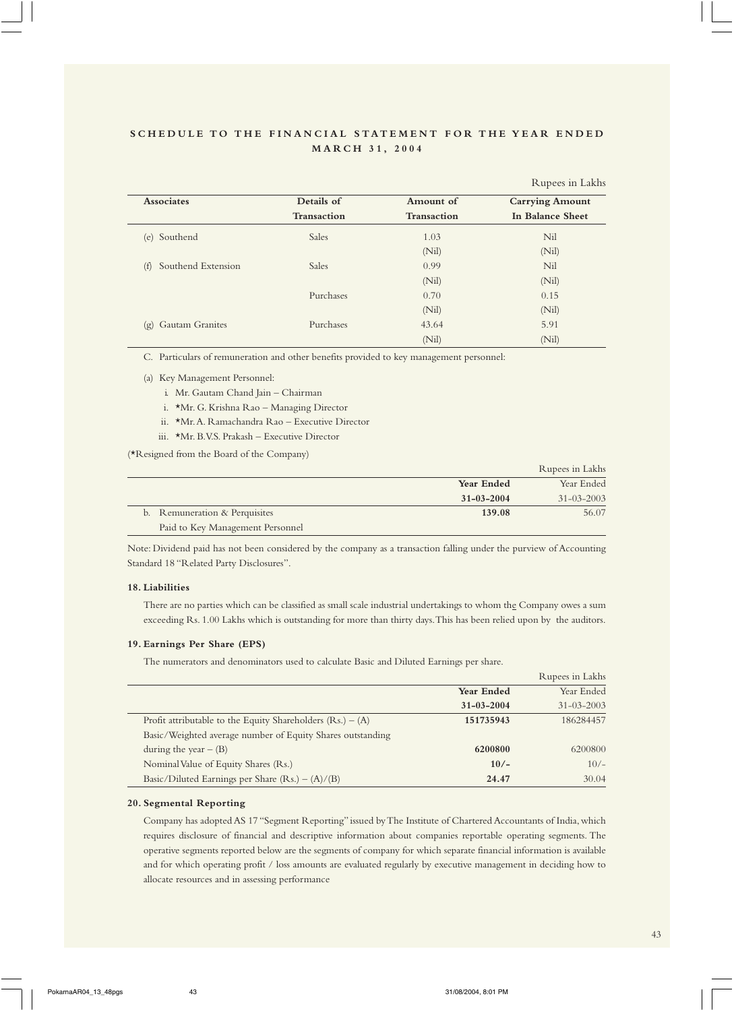|                           |                    |             | Rupees in Lakhs        |
|---------------------------|--------------------|-------------|------------------------|
| <b>Associates</b>         | Details of         | Amount of   | <b>Carrying Amount</b> |
|                           | <b>Transaction</b> | Transaction | In Balance Sheet       |
| Southend<br>(e)           | <b>Sales</b>       | 1.03        | Nil                    |
|                           |                    | (Nil)       | (Nil)                  |
| Southend Extension<br>(f) | <b>Sales</b>       | 0.99        | Nil                    |
|                           |                    | (Nil)       | (Nil)                  |
|                           | Purchases          | 0.70        | 0.15                   |
|                           |                    | (Nil)       | (Nil)                  |
| Gautam Granites<br>(g)    | Purchases          | 43.64       | 5.91                   |
|                           |                    | (Nil)       | (Nil)                  |

C. Particulars of remuneration and other benefits provided to key management personnel:

- (a) Key Management Personnel:
	- i. Mr. Gautam Chand Jain Chairman
	- i. \*Mr. G. Krishna Rao Managing Director
	- ii. \*Mr. A. Ramachandra Rao Executive Director
	- iii. \*Mr. B.V.S. Prakash Executive Director

(\*Resigned from the Board of the Company)

|                                  |                   | Rupees in Lakhs   |
|----------------------------------|-------------------|-------------------|
|                                  | <b>Year Ended</b> | Year Ended        |
|                                  | $31 - 03 - 2004$  | $31 - 0.3 - 2003$ |
| b. Remuneration & Perquisites    | 139.08            | 56.07             |
| Paid to Key Management Personnel |                   |                   |

Note: Dividend paid has not been considered by the company as a transaction falling under the purview of Accounting Standard 18 "Related Party Disclosures".

#### **18. Liabilities**

There are no parties which can be classified as small scale industrial undertakings to whom the Company owes a sum exceeding Rs. 1.00 Lakhs which is outstanding for more than thirty days. This has been relied upon by the auditors.

#### **19. Earnings Per Share (EPS)**

The numerators and denominators used to calculate Basic and Diluted Earnings per share.

|                                                              |                   | Rupees in Lakhs  |
|--------------------------------------------------------------|-------------------|------------------|
|                                                              | <b>Year Ended</b> | Year Ended       |
|                                                              | $31 - 03 - 2004$  | $31 - 03 - 2003$ |
| Profit attributable to the Equity Shareholders $(Rs.) - (A)$ | 151735943         | 186284457        |
| Basic/Weighted average number of Equity Shares outstanding   |                   |                  |
| during the year $-$ (B)                                      | 6200800           | 6200800          |
| Nominal Value of Equity Shares (Rs.)                         | $10/-$            | $10/-$           |
| Basic/Diluted Earnings per Share $(Rs.) - (A)/(B)$           | 24.47             | 30.04            |
|                                                              |                   |                  |

#### **20. Segmental Reporting**

Company has adopted AS 17 "Segment Reporting" issued by The Institute of Chartered Accountants of India, which requires disclosure of financial and descriptive information about companies reportable operating segments. The operative segments reported below are the segments of company for which separate financial information is available and for which operating profit / loss amounts are evaluated regularly by executive management in deciding how to allocate resources and in assessing performance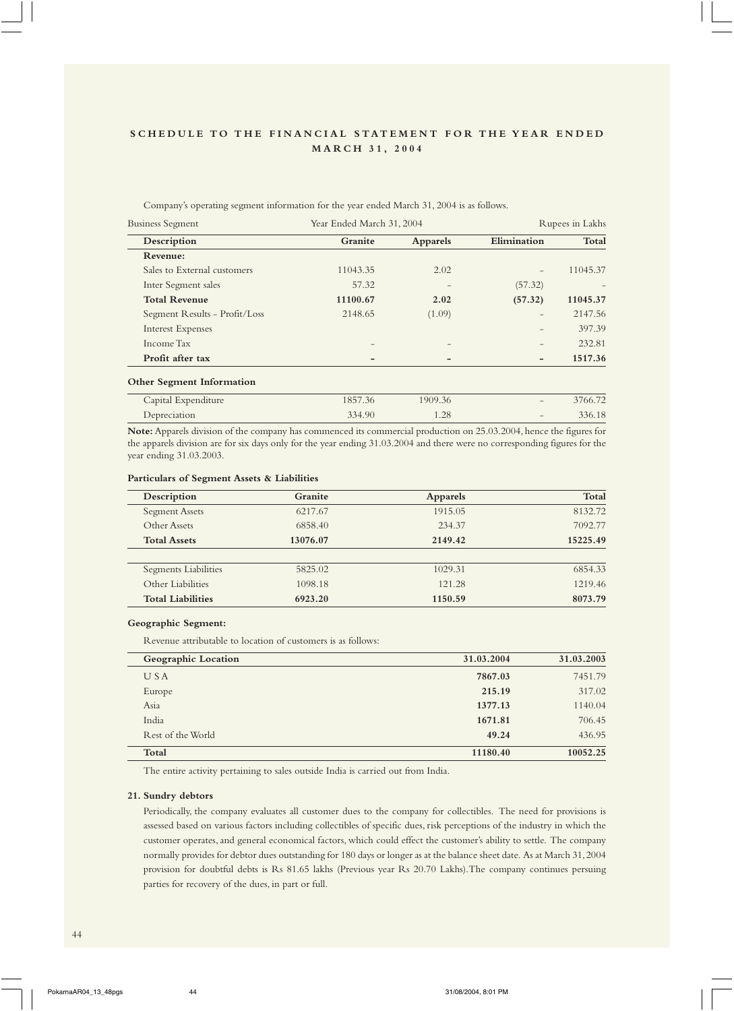Company's operating segment information for the year ended March 31, 2004 is as follows.

| <b>Business Segment</b>       | Year Ended March 31, 2004 |                 |                              | Rupees in Lakhs |
|-------------------------------|---------------------------|-----------------|------------------------------|-----------------|
| Description                   | Granite                   | <b>Apparels</b> | Elimination                  | Total           |
| Revenue:                      |                           |                 |                              |                 |
| Sales to External customers   | 11043.35                  | 2.02            |                              | 11045.37        |
| Inter Segment sales           | 57.32                     |                 | (57.32)                      |                 |
| <b>Total Revenue</b>          | 11100.67                  | 2.02            | (57.32)                      | 11045.37        |
| Segment Results - Profit/Loss | 2148.65                   | (1.09)          |                              | 2147.56         |
| <b>Interest Expenses</b>      |                           |                 | $\overline{\phantom{0}}$     | 397.39          |
| Income Tax                    |                           |                 | $\overline{\phantom{0}}$     | 232.81          |
| Profit after tax              |                           |                 | $\qquad \qquad \blacksquare$ | 1517.36         |

#### **Other Segment Information**

| Capital Expenditure | 1857.36 | 1909.36 | $\overline{\phantom{a}}$ | 3766.72 |
|---------------------|---------|---------|--------------------------|---------|
| Depreciation        | 334.90  | 1.28    | $\overline{\phantom{a}}$ | 336.18  |
|                     |         |         |                          |         |

**Note:** Apparels division of the company has commenced its commercial production on 25.03.2004, hence the figures for the apparels division are for six days only for the year ending 31.03.2004 and there were no corresponding figures for the year ending 31.03.2003.

#### **Particulars of Segment Assets & Liabilities**

| Description              | Granite  | <b>Apparels</b> | Total    |
|--------------------------|----------|-----------------|----------|
| <b>Segment Assets</b>    | 6217.67  | 1915.05         | 8132.72  |
| Other Assets             | 6858.40  | 234.37          | 7092.77  |
| <b>Total Assets</b>      | 13076.07 | 2149.42         | 15225.49 |
|                          |          |                 |          |
| Segments Liabilities     | 5825.02  | 1029.31         | 6854.33  |
| Other Liabilities        | 1098.18  | 121.28          | 1219.46  |
| <b>Total Liabilities</b> | 6923.20  | 1150.59         | 8073.79  |

#### **Geographic Segment:**

Revenue attributable to location of customers is as follows:

| Geographic Location | 31.03.2004 | 31.03.2003 |
|---------------------|------------|------------|
| USA                 | 7867.03    | 7451.79    |
| Europe              | 215.19     | 317.02     |
| Asia                | 1377.13    | 1140.04    |
| India               | 1671.81    | 706.45     |
| Rest of the World   | 49.24      | 436.95     |
| Total               | 11180.40   | 10052.25   |

The entire activity pertaining to sales outside India is carried out from India.

## **21. Sundry debtors**

Periodically, the company evaluates all customer dues to the company for collectibles. The need for provisions is assessed based on various factors including collectibles of specific dues, risk perceptions of the industry in which the customer operates, and general economical factors, which could effect the customer's ability to settle. The company normally provides for debtor dues outstanding for 180 days or longer as at the balance sheet date. As at March 31, 2004 provision for doubtful debts is Rs 81.65 lakhs (Previous year Rs 20.70 Lakhs).The company continues persuing parties for recovery of the dues, in part or full.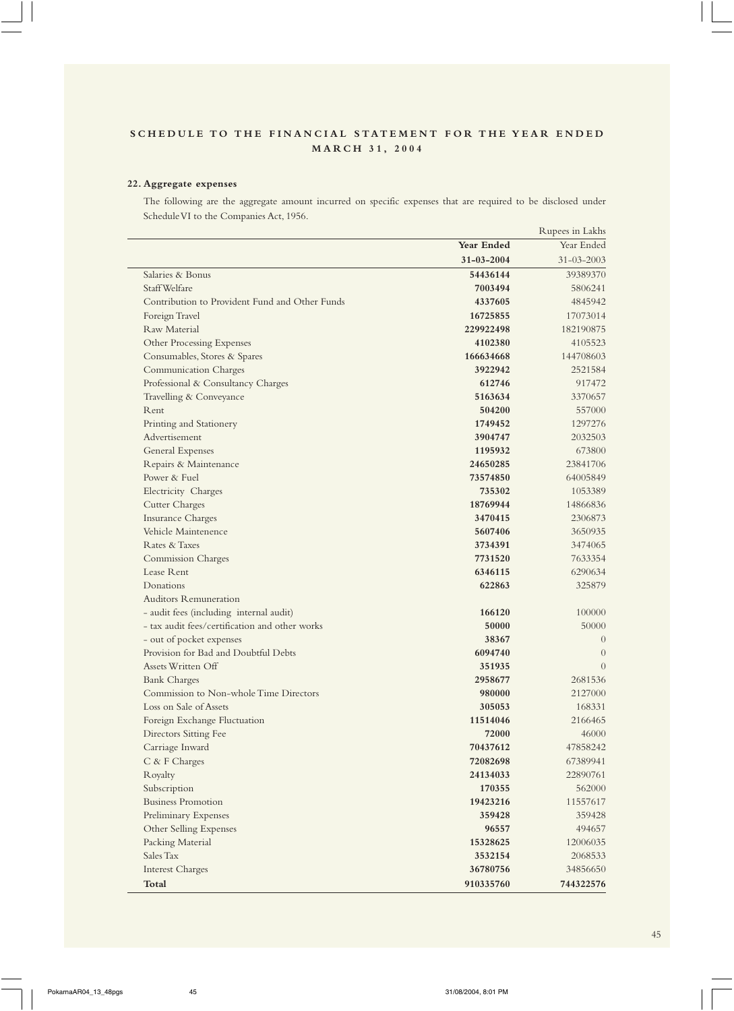## **22. Aggregate expenses**

The following are the aggregate amount incurred on specific expenses that are required to be disclosed under Schedule VI to the Companies Act, 1956.

 $R_{\text{R}}$  in Lakhstra in Lakhstra in Lakhstra in Lakhstra in Lakhstra in Lakhstra in Lakhstra in Lakhstra in Lakhstra in Lakhstra in Lakhstra in Lakhstra in Lakhstra in Lakhstra in Lakhstra in Lakhstra in Lakhstra in Lakh

|                                                |                  | Rupees in Lakns  |
|------------------------------------------------|------------------|------------------|
|                                                | Year Ended       | Year Ended       |
|                                                | $31 - 03 - 2004$ | $31 - 03 - 2003$ |
| Salaries & Bonus                               | 54436144         | 39389370         |
| Staff Welfare                                  | 7003494          | 5806241          |
| Contribution to Provident Fund and Other Funds | 4337605          | 4845942          |
| Foreign Travel                                 | 16725855         | 17073014         |
| Raw Material                                   | 229922498        | 182190875        |
| Other Processing Expenses                      | 4102380          | 4105523          |
| Consumables, Stores & Spares                   | 166634668        | 144708603        |
| <b>Communication Charges</b>                   | 3922942          | 2521584          |
| Professional & Consultancy Charges             | 612746           | 917472           |
| Travelling & Conveyance                        | 5163634          | 3370657          |
| Rent                                           | 504200           | 557000           |
| Printing and Stationery                        | 1749452          | 1297276          |
| Advertisement                                  | 3904747          | 2032503          |
| General Expenses                               | 1195932          | 673800           |
| Repairs & Maintenance                          | 24650285         | 23841706         |
| Power & Fuel                                   | 73574850         | 64005849         |
| Electricity Charges                            | 735302           | 1053389          |
| <b>Cutter Charges</b>                          | 18769944         | 14866836         |
| Insurance Charges                              | 3470415          | 2306873          |
| Vehicle Maintenence                            | 5607406          | 3650935          |
| Rates & Taxes                                  | 3734391          | 3474065          |
| <b>Commission Charges</b>                      | 7731520          | 7633354          |
| Lease Rent                                     | 6346115          | 6290634          |
| Donations                                      | 622863           | 325879           |
| <b>Auditors Remuneration</b>                   |                  |                  |
| - audit fees (including internal audit)        | 166120           | 100000           |
| - tax audit fees/certification and other works | 50000            | 50000            |
| - out of pocket expenses                       | 38367            | $\overline{0}$   |
| Provision for Bad and Doubtful Debts           | 6094740          | $\theta$         |
| Assets Written Off                             | 351935           | $\Omega$         |
| <b>Bank Charges</b>                            | 2958677          | 2681536          |
| Commission to Non-whole Time Directors         | 980000           | 2127000          |
| Loss on Sale of Assets                         | 305053           | 168331           |
| Foreign Exchange Fluctuation                   | 11514046         | 2166465          |
| Directors Sitting Fee                          | 72000            | 46000            |
| Carriage Inward                                | 70437612         | 47858242         |
| C & F Charges                                  | 72082698         | 67389941         |
| Royalty                                        | 24134033         | 22890761         |
| Subscription                                   | 170355           | 562000           |
| <b>Business Promotion</b>                      | 19423216         | 11557617         |
| Preliminary Expenses                           | 359428           | 359428           |
| Other Selling Expenses                         | 96557            | 494657           |
| Packing Material                               | 15328625         | 12006035         |
| Sales Tax                                      | 3532154          | 2068533          |
| <b>Interest Charges</b>                        | 36780756         | 34856650         |
| <b>Total</b>                                   | 910335760        | 744322576        |
|                                                |                  |                  |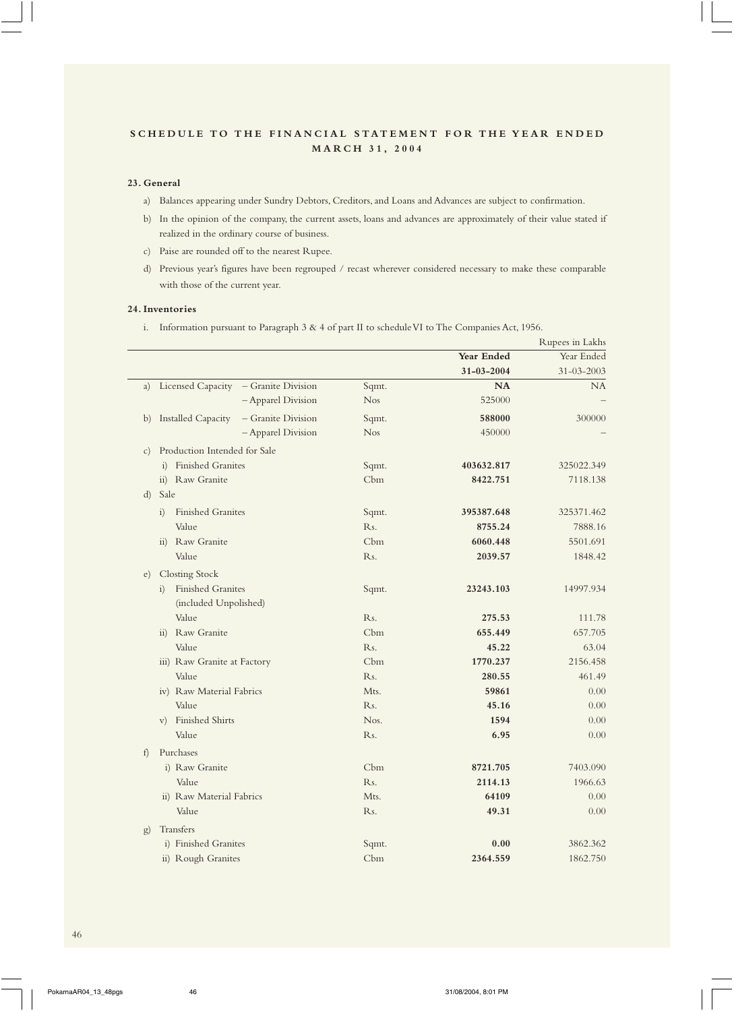## **23. General**

- a) Balances appearing under Sundry Debtors, Creditors, and Loans and Advances are subject to confirmation.
- b) In the opinion of the company, the current assets, loans and advances are approximately of their value stated if realized in the ordinary course of business.
- c) Paise are rounded off to the nearest Rupee.
- d) Previous year's figures have been regrouped / recast wherever considered necessary to make these comparable with those of the current year.

#### **24. Inventories**

i. Information pursuant to Paragraph 3 & 4 of part II to schedule VI to The Companies Act, 1956.

|                 |                                                 |                  |            | Rupees in Lakhs |
|-----------------|-------------------------------------------------|------------------|------------|-----------------|
|                 |                                                 |                  | Year Ended | Year Ended      |
|                 |                                                 |                  | 31-03-2004 | 31-03-2003      |
| a)              | Licensed Capacity - Granite Division            | Sqmt.            | <b>NA</b>  | NA              |
|                 | - Apparel Division                              | <b>Nos</b>       | 525000     |                 |
| b)              | <b>Installed Capacity</b><br>- Granite Division | Sqmt.            | 588000     | 300000          |
|                 | - Apparel Division                              | <b>Nos</b>       | 450000     |                 |
| $\mathcal{C}$ ) | Production Intended for Sale                    |                  |            |                 |
|                 | i) Finished Granites                            | Sqmt.            | 403632.817 | 325022.349      |
|                 | ii) Raw Granite                                 | Cbm              | 8422.751   | 7118.138        |
| d)              | Sale                                            |                  |            |                 |
|                 | <b>Finished Granites</b><br>i)                  | Sqmt.            | 395387.648 | 325371.462      |
|                 | Value                                           | Rs.              | 8755.24    | 7888.16         |
|                 | ii) Raw Granite                                 | Cbm              | 6060.448   | 5501.691        |
|                 | Value                                           | Rs.              | 2039.57    | 1848.42         |
| $\epsilon$ )    | <b>Closting Stock</b>                           |                  |            |                 |
|                 | Finished Granites<br>$\left( i\right)$          | Sqmt.            | 23243.103  | 14997.934       |
|                 | (included Unpolished)                           |                  |            |                 |
|                 | Value                                           | R <sub>s</sub> . | 275.53     | 111.78          |
|                 | ii) Raw Granite                                 | Cbm              | 655.449    | 657.705         |
|                 | Value                                           | R <sub>s</sub> . | 45.22      | 63.04           |
|                 | iii) Raw Granite at Factory                     | Cbm              | 1770.237   | 2156.458        |
|                 | Value                                           | R <sub>s</sub> . | 280.55     | 461.49          |
|                 | iv) Raw Material Fabrics                        | Mts.             | 59861      | 0.00            |
|                 | Value                                           | Rs.              | 45.16      | 0.00            |
|                 | v) Finished Shirts                              | Nos.             | 1594       | 0.00            |
|                 | Value                                           | Rs.              | 6.95       | 0.00            |
| f               | Purchases                                       |                  |            |                 |
|                 | i) Raw Granite                                  | Cbm              | 8721.705   | 7403.090        |
|                 | Value                                           | Rs.              | 2114.13    | 1966.63         |
|                 | ii) Raw Material Fabrics                        | Mts.             | 64109      | 0.00            |
|                 | Value                                           | Rs.              | 49.31      | 0.00            |
| g)              | Transfers                                       |                  |            |                 |
|                 | i) Finished Granites                            | Sqmt.            | 0.00       | 3862.362        |
|                 | ii) Rough Granites                              | Cbm              | 2364.559   | 1862.750        |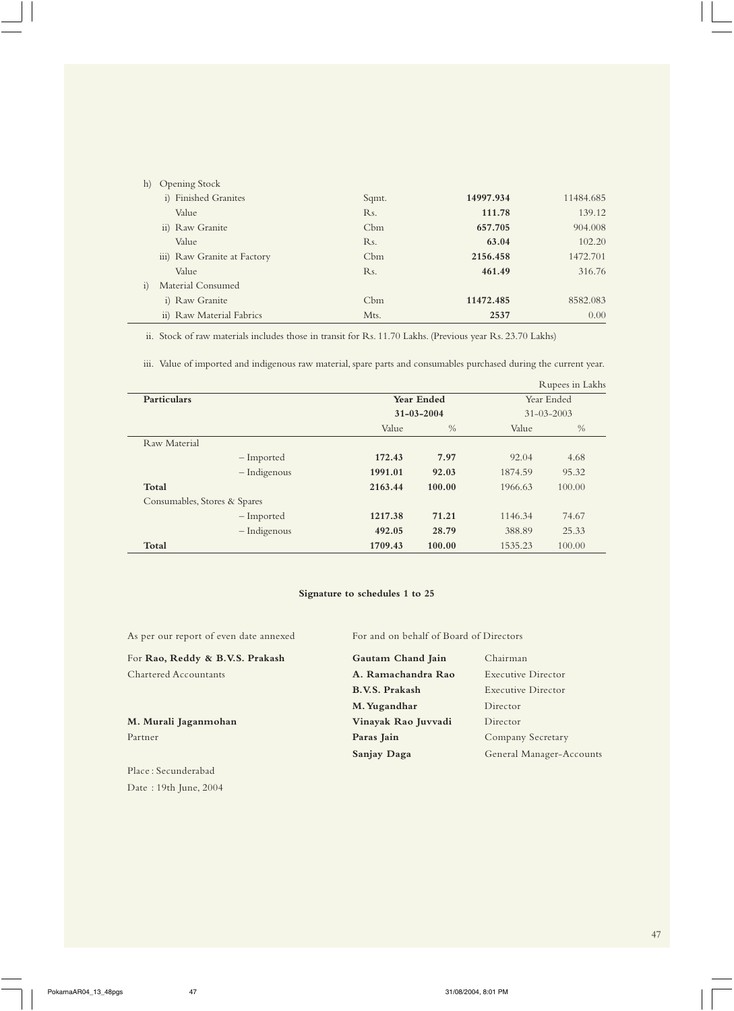| <b>Opening Stock</b><br>h)  |                  |           |           |
|-----------------------------|------------------|-----------|-----------|
| i) Finished Granites        | Sqmt.            | 14997.934 | 11484.685 |
| Value                       | Rs.              | 111.78    | 139.12    |
| ii) Raw Granite             | Cbm              | 657.705   | 904.008   |
| Value                       | R <sub>s</sub> . | 63.04     | 102.20    |
| iii) Raw Granite at Factory | Cbm              | 2156.458  | 1472.701  |
| Value                       | Rs.              | 461.49    | 316.76    |
| Material Consumed<br>1)     |                  |           |           |
| i) Raw Granite              | Cbm              | 11472.485 | 8582.083  |
| ii) Raw Material Fabrics    | Mts.             | 2537      | 0.00      |

ii. Stock of raw materials includes those in transit for Rs. 11.70 Lakhs. (Previous year Rs. 23.70 Lakhs)

iii. Value of imported and indigenous raw material, spare parts and consumables purchased during the current year.

|                              |                  |               |                  | Rupees in Lakhs |  |
|------------------------------|------------------|---------------|------------------|-----------------|--|
| <b>Particulars</b>           | Year Ended       |               |                  | Year Ended      |  |
|                              | $31 - 03 - 2004$ |               | $31 - 03 - 2003$ |                 |  |
|                              | Value            | $\frac{0}{0}$ | Value            | $\frac{0}{0}$   |  |
| Raw Material                 |                  |               |                  |                 |  |
| - Imported                   | 172.43           | 7.97          | 92.04            | 4.68            |  |
| - Indigenous                 | 1991.01          | 92.03         | 1874.59          | 95.32           |  |
| Total                        | 2163.44          | 100.00        | 1966.63          | 100.00          |  |
| Consumables, Stores & Spares |                  |               |                  |                 |  |
| - Imported                   | 1217.38          | 71.21         | 1146.34          | 74.67           |  |
| - Indigenous                 | 492.05           | 28.79         | 388.89           | 25.33           |  |
| Total                        | 1709.43          | 100.00        | 1535.23          | 100.00          |  |

## **Signature to schedules 1 to 25**

As per our report of even date annexed For and on behalf of Board of Directors

For Rao, Reddy & B.V.S. Prakash Gautam Chand Jai Chartered Accountants **A. Ramachandra F** 

M. Murali Jaganmohan **Vinayak Rao Juvva** Partner **Paras Jain** Company Secretary Secretary Secretary Secretary Secretary Secretary Secretary Secretary Secretary Secretary Secretary Secretary Secretary Secretary Secretary Secretary Secretary Secretary Secretary Sec

Place : Secunderabad Date : 19th June, 2004

| Gautam Chand Jain     | Chairman                  |
|-----------------------|---------------------------|
| A. Ramachandra Rao    | <b>Executive Director</b> |
| <b>B.V.S. Prakash</b> | Executive Director        |
| M. Yugandhar          | Director                  |
| Vinayak Rao Juvvadi   | Director                  |
| Paras Jain            | Company Secretary         |
| Sanjay Daga           | General Manager-Accounts  |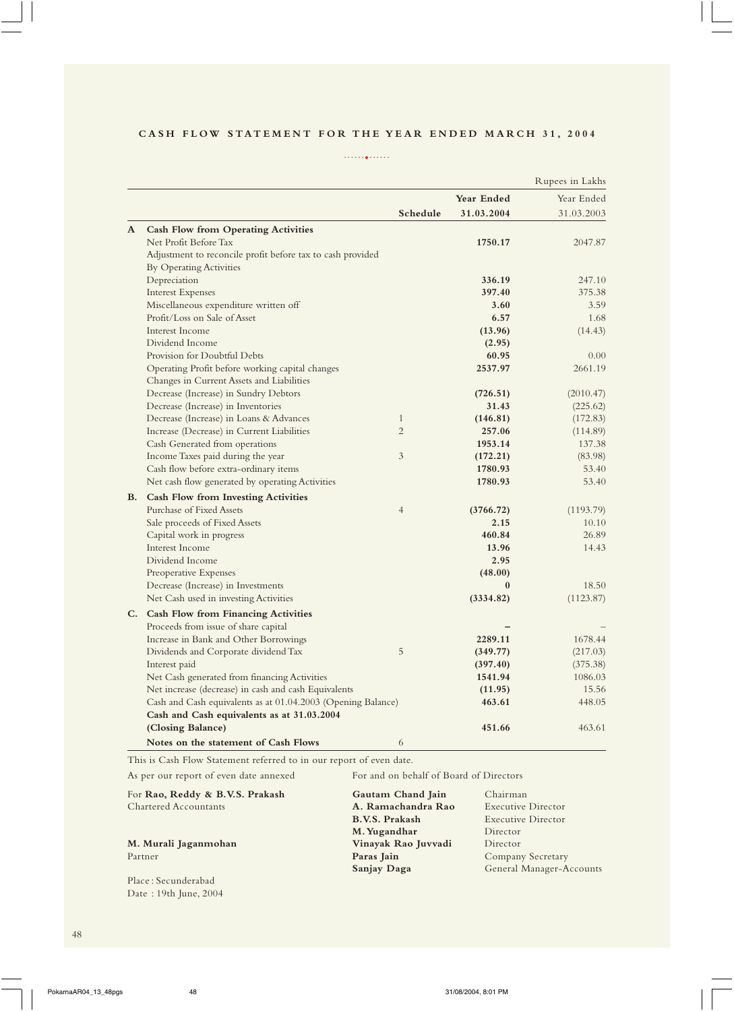## CASH FLOW STATEMENT FOR THE YEAR ENDED MARCH 31, 2004

......•......

|           |                                                              |                |              | Rupees in Lakhs |
|-----------|--------------------------------------------------------------|----------------|--------------|-----------------|
|           |                                                              |                | Year Ended   | Year Ended      |
|           |                                                              | Schedule       | 31.03.2004   | 31.03.2003      |
| ${\bf A}$ | <b>Cash Flow from Operating Activities</b>                   |                |              |                 |
|           | Net Profit Before Tax                                        |                | 1750.17      | 2047.87         |
|           | Adjustment to reconcile profit before tax to cash provided   |                |              |                 |
|           | <b>By Operating Activities</b>                               |                |              |                 |
|           | Depreciation                                                 |                | 336.19       | 247.10          |
|           | <b>Interest Expenses</b>                                     |                | 397.40       | 375.38          |
|           | Miscellaneous expenditure written off                        |                | 3.60         | 3.59            |
|           | Profit/Loss on Sale of Asset                                 |                | 6.57         | 1.68            |
|           | Interest Income                                              |                | (13.96)      | (14.43)         |
|           | Dividend Income                                              |                | (2.95)       |                 |
|           | Provision for Doubtful Debts                                 |                | 60.95        | 0.00            |
|           | Operating Profit before working capital changes              |                | 2537.97      | 2661.19         |
|           | Changes in Current Assets and Liabilities                    |                |              |                 |
|           | Decrease (Increase) in Sundry Debtors                        |                | (726.51)     | (2010.47)       |
|           | Decrease (Increase) in Inventories                           |                | 31.43        | (225.62)        |
|           | Decrease (Increase) in Loans & Advances                      | $\mathbf{1}$   | (146.81)     | (172.83)        |
|           | Increase (Decrease) in Current Liabilities                   | $\overline{2}$ | 257.06       | (114.89)        |
|           | Cash Generated from operations                               |                | 1953.14      | 137.38          |
|           | Income Taxes paid during the year                            | 3              | (172.21)     | (83.98)         |
|           | Cash flow before extra-ordinary items                        |                | 1780.93      | 53.40           |
|           | Net cash flow generated by operating Activities              |                | 1780.93      | 53.40           |
| <b>B.</b> | <b>Cash Flow from Investing Activities</b>                   |                |              |                 |
|           | Purchase of Fixed Assets                                     | $\overline{4}$ | (3766.72)    | (1193.79)       |
|           | Sale proceeds of Fixed Assets                                |                | 2.15         | 10.10           |
|           | Capital work in progress                                     |                | 460.84       | 26.89           |
|           | Interest Income                                              |                | 13.96        | 14.43           |
|           | Dividend Income                                              |                | 2.95         |                 |
|           | Preoperative Expenses                                        |                | (48.00)      |                 |
|           | Decrease (Increase) in Investments                           |                | $\mathbf{0}$ | 18.50           |
|           | Net Cash used in investing Activities                        |                | (3334.82)    | (1123.87)       |
|           | C. Cash Flow from Financing Activities                       |                |              |                 |
|           | Proceeds from issue of share capital                         |                |              |                 |
|           | Increase in Bank and Other Borrowings                        |                | 2289.11      | 1678.44         |
|           | Dividends and Corporate dividend Tax                         | 5              | (349.77)     | (217.03)        |
|           | Interest paid                                                |                | (397.40)     | (375.38)        |
|           | Net Cash generated from financing Activities                 |                | 1541.94      | 1086.03         |
|           | Net increase (decrease) in cash and cash Equivalents         |                | (11.95)      | 15.56           |
|           | Cash and Cash equivalents as at 01.04.2003 (Opening Balance) |                | 463.61       | 448.05          |
|           | Cash and Cash equivalents as at 31.03.2004                   |                |              |                 |
|           | (Closing Balance)                                            |                | 451.66       | 463.61          |
|           | Notes on the statement of Cash Flows                         | 6              |              |                 |

This is Cash Flow Statement referred to in our report of even date.

As per our report of even date annexed For and on behalf of Board of Directors

| For Rao, Reddy & B.V.S. Prakash | Gautam Chand Jain     | Chairman                 |
|---------------------------------|-----------------------|--------------------------|
| <b>Chartered Accountants</b>    | A. Ramachandra Rao    | Executive Director       |
|                                 | <b>B.V.S. Prakash</b> | Executive Director       |
|                                 | M. Yugandhar          | Director                 |
| M. Murali Jaganmohan            | Vinayak Rao Juvvadi   | Director                 |
| Partner                         | Paras Jain            | Company Secretary        |
|                                 | <b>Sanjay Daga</b>    | General Manager-Accounts |
| Place: Secunderabad             |                       |                          |

48

Date : 19th June, 2004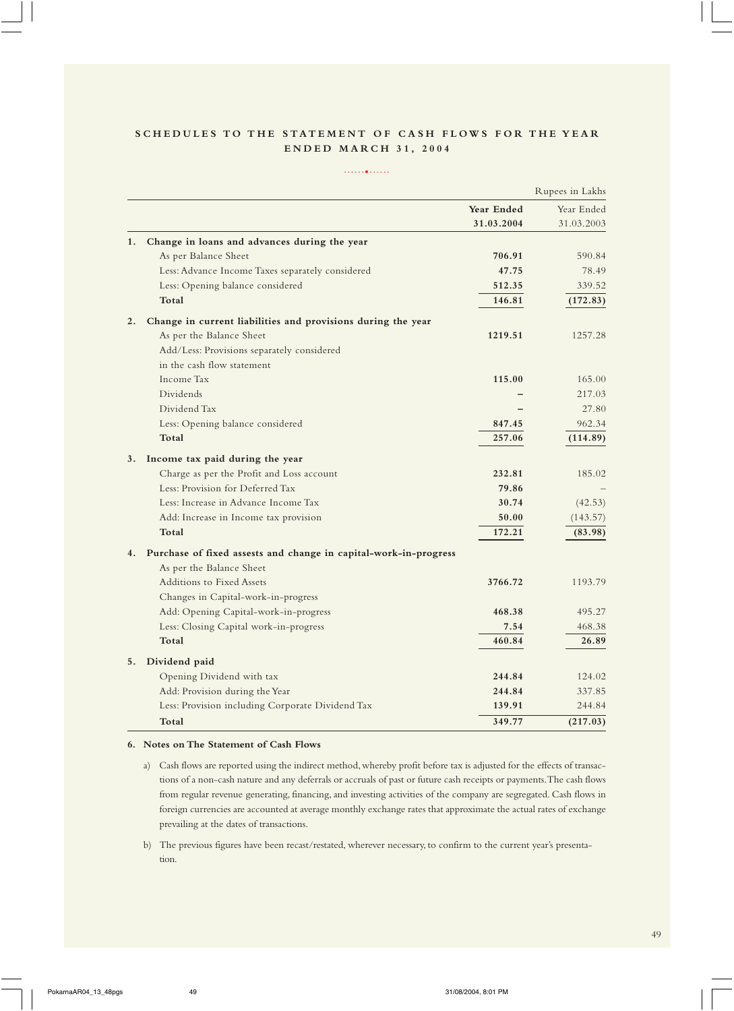## SCHEDULES TO THE STATEMENT OF CASH FLOWS FOR THE YEAR **ENDED MARCH 31, 2004**

#### ......•......

|    |                                                                  |            | Rupees in Lakhs |
|----|------------------------------------------------------------------|------------|-----------------|
|    |                                                                  | Year Ended | Year Ended      |
|    |                                                                  | 31.03.2004 | 31.03.2003      |
| 1. | Change in loans and advances during the year                     |            |                 |
|    | As per Balance Sheet                                             | 706.91     | 590.84          |
|    | Less: Advance Income Taxes separately considered                 | 47.75      | 78.49           |
|    | Less: Opening balance considered                                 | 512.35     | 339.52          |
|    | Total                                                            | 146.81     | (172.83)        |
| 2. | Change in current liabilities and provisions during the year     |            |                 |
|    | As per the Balance Sheet                                         | 1219.51    | 1257.28         |
|    | Add/Less: Provisions separately considered                       |            |                 |
|    | in the cash flow statement                                       |            |                 |
|    | Income Tax                                                       | 115.00     | 165.00          |
|    | Dividends                                                        |            | 217.03          |
|    | Dividend Tax                                                     |            | 27.80           |
|    | Less: Opening balance considered                                 | 847.45     | 962.34          |
|    | Total                                                            | 257.06     | (114.89)        |
| 3. | Income tax paid during the year                                  |            |                 |
|    | Charge as per the Profit and Loss account                        | 232.81     | 185.02          |
|    | Less: Provision for Deferred Tax                                 | 79.86      |                 |
|    | Less: Increase in Advance Income Tax                             | 30.74      | (42.53)         |
|    | Add: Increase in Income tax provision                            | 50.00      | (143.57)        |
|    | Total                                                            | 172.21     | (83.98)         |
| 4. | Purchase of fixed assests and change in capital-work-in-progress |            |                 |
|    | As per the Balance Sheet                                         |            |                 |
|    | Additions to Fixed Assets                                        | 3766.72    | 1193.79         |
|    | Changes in Capital-work-in-progress                              |            |                 |
|    | Add: Opening Capital-work-in-progress                            | 468.38     | 495.27          |
|    | Less: Closing Capital work-in-progress                           | 7.54       | 468.38          |
|    | Total                                                            | 460.84     | 26.89           |
| 5. | Dividend paid                                                    |            |                 |
|    | Opening Dividend with tax                                        | 244.84     | 124.02          |
|    | Add: Provision during the Year                                   | 244.84     | 337.85          |
|    | Less: Provision including Corporate Dividend Tax                 | 139.91     | 244.84          |
|    | Total                                                            | 349.77     | (217.03)        |

#### **6. Notes on The Statement of Cash Flows**

- a) Cash flows are reported using the indirect method, whereby profit before tax is adjusted for the effects of transactions of a non-cash nature and any deferrals or accruals of past or future cash receipts or payments. The cash flows from regular revenue generating, financing, and investing activities of the company are segregated. Cash flows in foreign currencies are accounted at average monthly exchange rates that approximate the actual rates of exchange prevailing at the dates of transactions.
- b) The previous figures have been recast/restated, wherever necessary, to confirm to the current year's presentation.